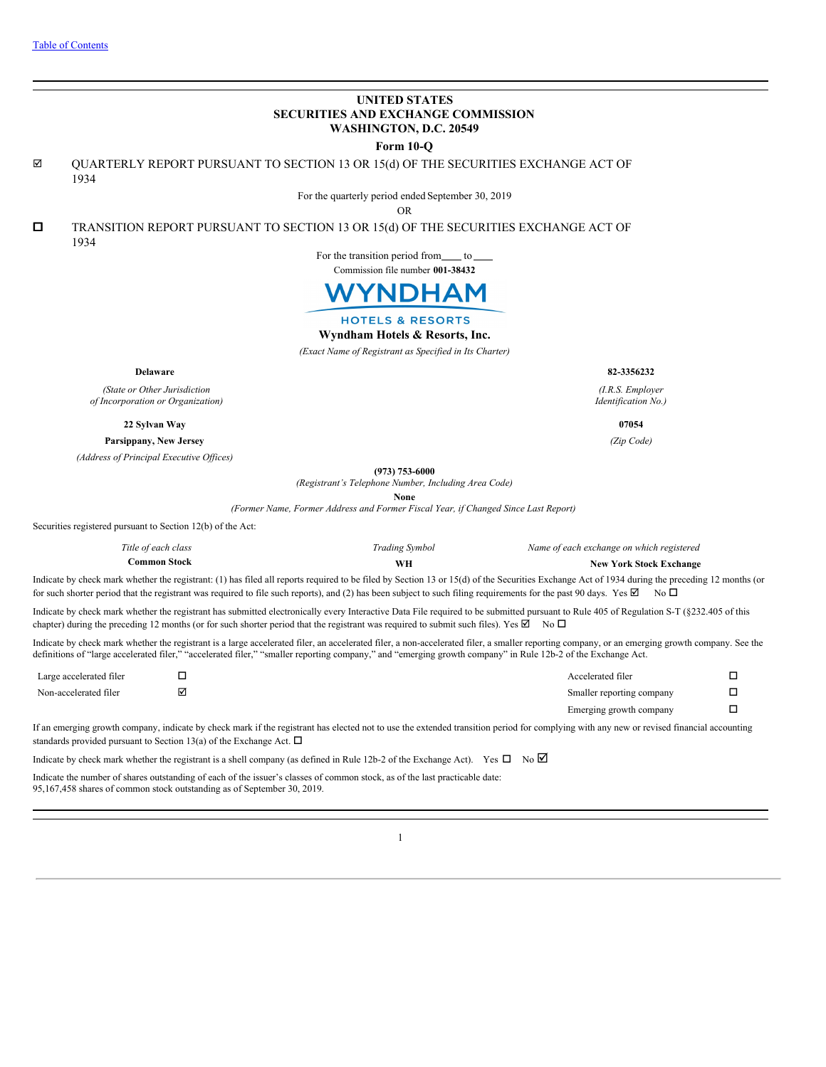# **UNITED STATES SECURITIES AND EXCHANGE COMMISSION WASHINGTON, D.C. 20549**

**Form 10-Q**

 $\boxtimes$  QUARTERLY REPORT PURSUANT TO SECTION 13 OR 15(d) OF THE SECURITIES EXCHANGE ACT OF 1934

For the quarterly period ended September 30, 2019

OR

 $\square$  TRANSITION REPORT PURSUANT TO SECTION 13 OR 15(d) OF THE SECURITIES EXCHANGE ACT OF 1934

For the transition period from  $_$ to

Commission file number **001-38432**

**NDHAM** 

# **HOTELS & RESORTS**

**Wyndham Hotels & Resorts, Inc.**

*(Exact Name of Registrant as Specified in Its Charter)*

*(State or Other Jurisdiction of Incorporation or Organization)*

**22 Sylvan Way 07054**

**Parsippany, New Jersey** *(Zip Code)*

*(Address of Principal Executive Of ices)*

**(973) 753-6000**

*(Registrant's Telephone Number, Including Area Code)*

**None**

*(Former Name, Former Address and Former Fiscal Year, if Changed Since Last Report)*

Securities registered pursuant to Section 12(b) of the Act:

| Title of each class                                                                                                                                                                            | <b>Trading Symbol</b> | Name of each exchange on which registered |
|------------------------------------------------------------------------------------------------------------------------------------------------------------------------------------------------|-----------------------|-------------------------------------------|
| Common Stock-                                                                                                                                                                                  | WН                    | <b>New York Stock Exchange</b>            |
| Indicate by check mark whether the registrant: (1) has filed all reports required to be filed by Section 13 or 15(d) of the Securities Exchange Act of 1934 during the preceding 12 months (or |                       |                                           |
| for such shorter period that the registrant was required to file such reports), and (2) has been subject to such filing requirements for the past 90 days. Yes $\boxtimes$                     |                       | No $\square$                              |

Indicate by check mark whether the registrant has submitted electronically every Interactive Data File required to be submitted pursuant to Rule 405 of Regulation S-T (§232.405 of this chapter) during the preceding 12 months (or for such shorter period that the registrant was required to submit such files). Yes  $\boxtimes$  No  $\Box$ 

Indicate by check mark whether the registrant is a large accelerated filer, an accelerated filer, a non-accelerated filer, a smaller reporting company, or an emerging growth company. See the definitions of "large accelerated filer," "accelerated filer," "smaller reporting company," and "emerging growth company" in Rule 12b-2 of the Exchange Act.

| Large accelerated filer | Accelerated filer         |  |
|-------------------------|---------------------------|--|
| Non-accelerated filer   | Smaller reporting company |  |
|                         | Emerging growth company   |  |

If an emerging growth company, indicate by check mark if the registrant has elected not to use the extended transition period for complying with any new or revised financial accounting standards provided pursuant to Section 13(a) of the Exchange Act.  $\Box$ 

Indicate by check mark whether the registrant is a shell company (as defined in Rule 12b-2 of the Exchange Act). Yes  $\Box$  No  $\Box$ 

Indicate the number of shares outstanding of each of the issuer's classes of common stock, as of the last practicable date: 95,167,458 shares of common stock outstanding as of September 30, 2019.

1

**Delaware 82-3356232**

*(I.R.S. Employer Identification No.)*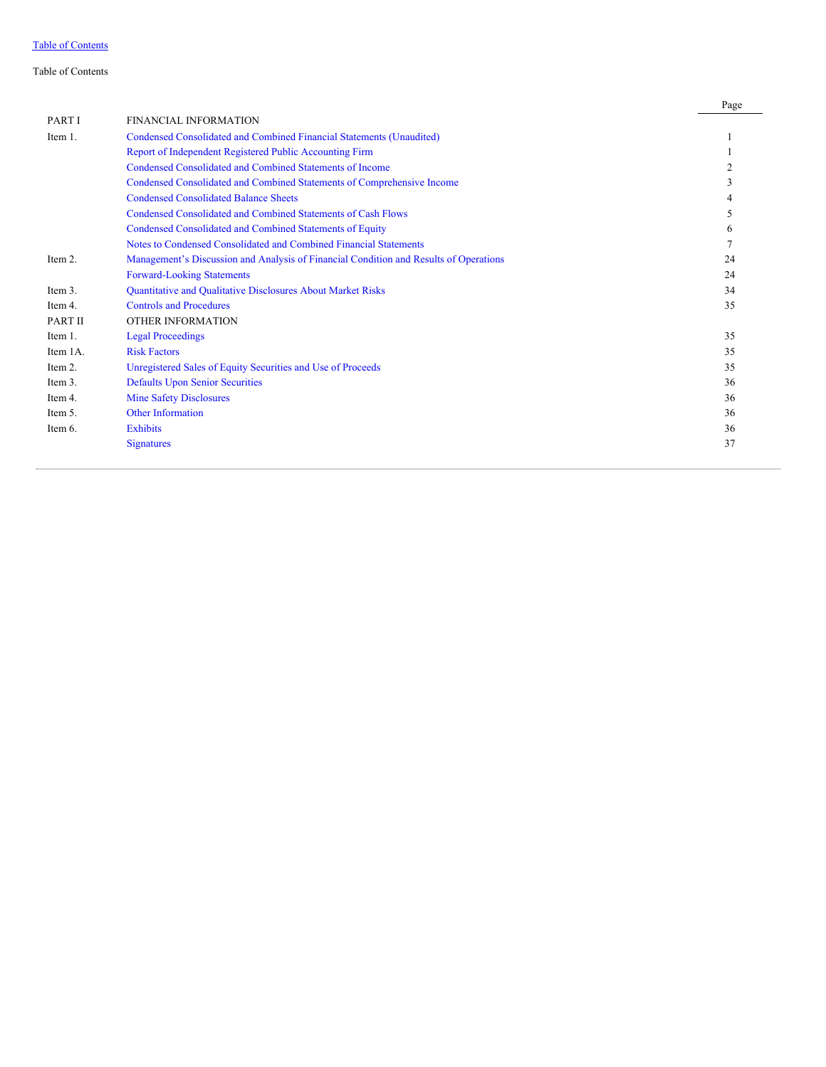### <span id="page-1-0"></span>Table of Contents

|              |                                                                                       | Page          |
|--------------|---------------------------------------------------------------------------------------|---------------|
| <b>PARTI</b> | <b>FINANCIAL INFORMATION</b>                                                          |               |
| Item 1.      | Condensed Consolidated and Combined Financial Statements (Unaudited)                  |               |
|              | Report of Independent Registered Public Accounting Firm                               |               |
|              | Condensed Consolidated and Combined Statements of Income                              |               |
|              | <b>Condensed Consolidated and Combined Statements of Comprehensive Income</b>         |               |
|              | <b>Condensed Consolidated Balance Sheets</b>                                          |               |
|              | Condensed Consolidated and Combined Statements of Cash Flows                          | $\mathcal{L}$ |
|              | Condensed Consolidated and Combined Statements of Equity                              | 6             |
|              | Notes to Condensed Consolidated and Combined Financial Statements                     |               |
| Item 2.      | Management's Discussion and Analysis of Financial Condition and Results of Operations | 24            |
|              | <b>Forward-Looking Statements</b>                                                     | 24            |
| Item 3.      | <b>Quantitative and Qualitative Disclosures About Market Risks</b>                    | 34            |
| Item 4.      | <b>Controls and Procedures</b>                                                        | 35            |
| PART II      | OTHER INFORMATION                                                                     |               |
| Item 1.      | <b>Legal Proceedings</b>                                                              | 35            |
| Item 1A.     | <b>Risk Factors</b>                                                                   | 35            |
| Item 2.      | Unregistered Sales of Equity Securities and Use of Proceeds                           | 35            |
| Item 3.      | <b>Defaults Upon Senior Securities</b>                                                | 36            |
| Item 4.      | <b>Mine Safety Disclosures</b>                                                        | 36            |
| Item 5.      | <b>Other Information</b>                                                              | 36            |
| Item 6.      | <b>Exhibits</b>                                                                       | 36            |
|              | <b>Signatures</b>                                                                     | 37            |
|              |                                                                                       |               |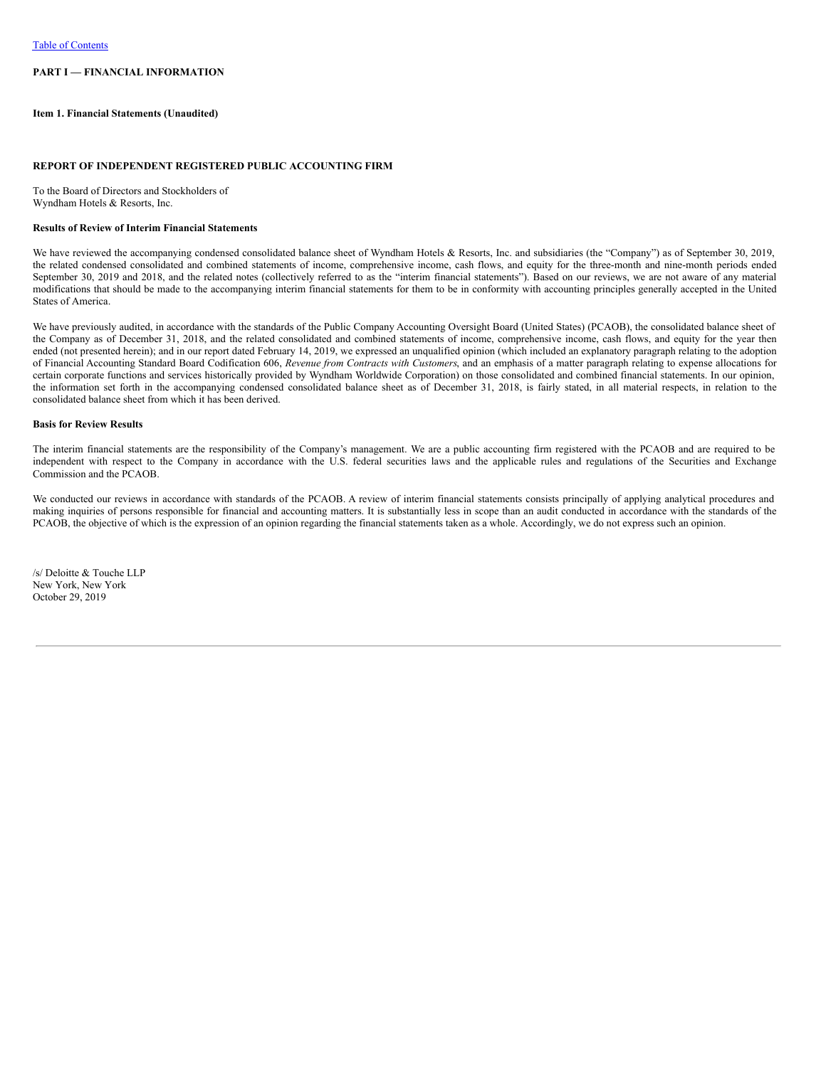### **PART I — FINANCIAL INFORMATION**

### <span id="page-2-0"></span>**Item 1. Financial Statements (Unaudited)**

### <span id="page-2-1"></span>**REPORT OF INDEPENDENT REGISTERED PUBLIC ACCOUNTING FIRM**

To the Board of Directors and Stockholders of Wyndham Hotels & Resorts, Inc.

### **Results of Review of Interim Financial Statements**

We have reviewed the accompanying condensed consolidated balance sheet of Wyndham Hotels & Resorts, Inc. and subsidiaries (the "Company") as of September 30, 2019, the related condensed consolidated and combined statements of income, comprehensive income, cash flows, and equity for the three-month and nine-month periods ended September 30, 2019 and 2018, and the related notes (collectively referred to as the "interim financial statements"). Based on our reviews, we are not aware of any material modifications that should be made to the accompanying interim financial statements for them to be in conformity with accounting principles generally accepted in the United States of America.

We have previously audited, in accordance with the standards of the Public Company Accounting Oversight Board (United States) (PCAOB), the consolidated balance sheet of the Company as of December 31, 2018, and the related consolidated and combined statements of income, comprehensive income, cash flows, and equity for the year then ended (not presented herein); and in our report dated February 14, 2019, we expressed an unqualified opinion (which included an explanatory paragraph relating to the adoption of Financial Accounting Standard Board Codification 606, *Revenue from Contracts with Customers*, and an emphasis of a matter paragraph relating to expense allocations for certain corporate functions and services historically provided by Wyndham Worldwide Corporation) on those consolidated and combined financial statements. In our opinion, the information set forth in the accompanying condensed consolidated balance sheet as of December 31, 2018, is fairly stated, in all material respects, in relation to the consolidated balance sheet from which it has been derived.

#### **Basis for Review Results**

The interim financial statements are the responsibility of the Company's management. We are a public accounting firm registered with the PCAOB and are required to be independent with respect to the Company in accordance with the U.S. federal securities laws and the applicable rules and regulations of the Securities and Exchange Commission and the PCAOB.

We conducted our reviews in accordance with standards of the PCAOB. A review of interim financial statements consists principally of applying analytical procedures and making inquiries of persons responsible for financial and accounting matters. It is substantially less in scope than an audit conducted in accordance with the standards of the PCAOB, the objective of which is the expression of an opinion regarding the financial statements taken as a whole. Accordingly, we do not express such an opinion.

/s/ Deloitte & Touche LLP New York, New York October 29, 2019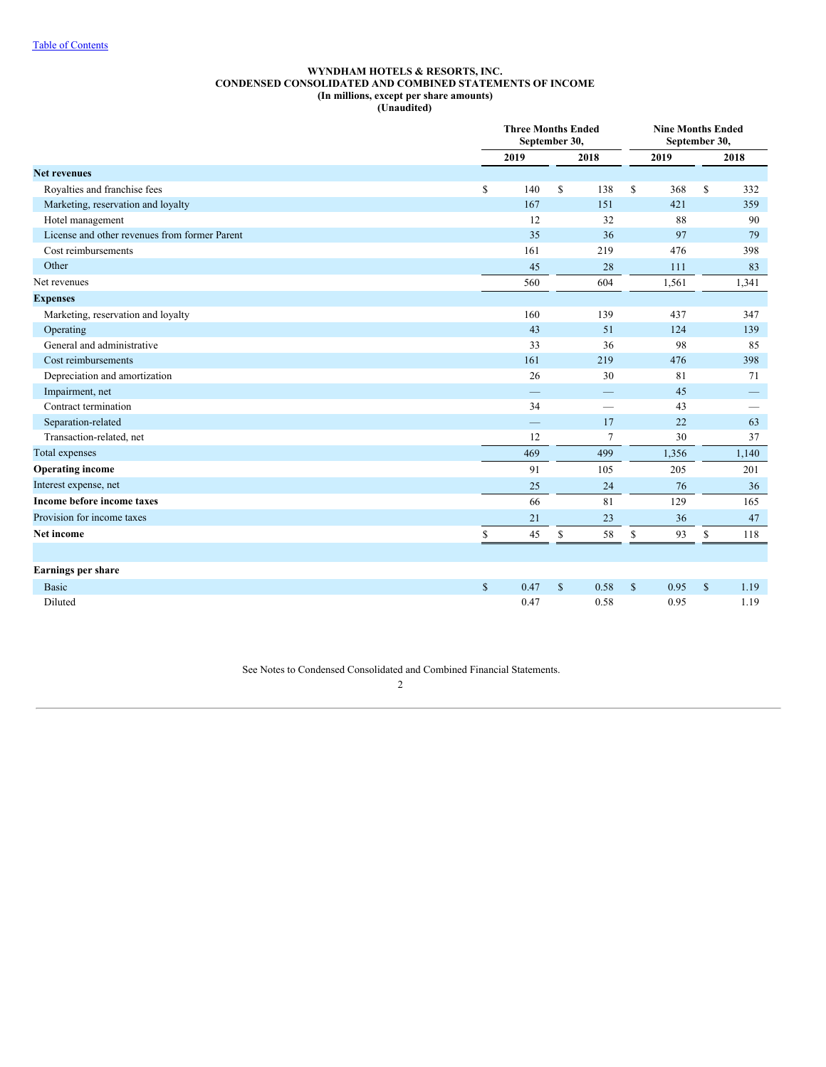### **WYNDHAM HOTELS & RESORTS, INC. CONDENSED CONSOLIDATED AND COMBINED STATEMENTS OF INCOME (In millions, except per share amounts) (Unaudited)**

<span id="page-3-0"></span>

|                                               |              | <b>Three Months Ended</b><br>September 30, |              |                 |              |       |             | <b>Nine Months Ended</b><br>September 30, |  |  |
|-----------------------------------------------|--------------|--------------------------------------------|--------------|-----------------|--------------|-------|-------------|-------------------------------------------|--|--|
|                                               |              | 2019                                       |              | 2018            |              | 2019  |             | 2018                                      |  |  |
| <b>Net revenues</b>                           |              |                                            |              |                 |              |       |             |                                           |  |  |
| Royalties and franchise fees                  | \$           | 140                                        | \$           | 138             | \$           | 368   | S           | 332                                       |  |  |
| Marketing, reservation and loyalty            |              | 167                                        |              | 151             |              | 421   |             | 359                                       |  |  |
| Hotel management                              |              | 12                                         |              | 32              |              | 88    |             | 90                                        |  |  |
| License and other revenues from former Parent |              | 35                                         |              | 36              |              | 97    |             | 79                                        |  |  |
| Cost reimbursements                           |              | 161                                        |              | 219             |              | 476   |             | 398                                       |  |  |
| Other                                         |              | 45                                         |              | 28              |              | 111   |             | 83                                        |  |  |
| Net revenues                                  |              | 560                                        |              | 604             |              | 1,561 |             | 1,341                                     |  |  |
| <b>Expenses</b>                               |              |                                            |              |                 |              |       |             |                                           |  |  |
| Marketing, reservation and loyalty            |              | 160                                        |              | 139             |              | 437   |             | 347                                       |  |  |
| Operating                                     |              | 43                                         |              | 51              |              | 124   |             | 139                                       |  |  |
| General and administrative                    |              | 33                                         |              | 36              |              | 98    |             | 85                                        |  |  |
| Cost reimbursements                           |              | 161                                        |              | 219             |              | 476   |             | 398                                       |  |  |
| Depreciation and amortization                 |              | 26                                         |              | 30              |              | 81    |             | 71                                        |  |  |
| Impairment, net                               |              |                                            |              | $\qquad \qquad$ |              | 45    |             |                                           |  |  |
| Contract termination                          |              | 34                                         |              | --              |              | 43    |             |                                           |  |  |
| Separation-related                            |              | $\overline{\phantom{0}}$                   |              | 17              |              | 22    |             | 63                                        |  |  |
| Transaction-related, net                      |              | 12                                         |              | $\tau$          |              | 30    |             | 37                                        |  |  |
| Total expenses                                |              | 469                                        |              | 499             |              | 1,356 |             | 1,140                                     |  |  |
| <b>Operating income</b>                       |              | 91                                         |              | 105             |              | 205   |             | 201                                       |  |  |
| Interest expense, net                         |              | 25                                         |              | 24              |              | 76    |             | 36                                        |  |  |
| Income before income taxes                    |              | 66                                         |              | 81              |              | 129   |             | 165                                       |  |  |
| Provision for income taxes                    |              | 21                                         |              | 23              |              | 36    |             | 47                                        |  |  |
| Net income                                    | \$           | 45                                         | \$           | 58              | $\mathbb{S}$ | 93    | \$          | 118                                       |  |  |
|                                               |              |                                            |              |                 |              |       |             |                                           |  |  |
| Earnings per share                            |              |                                            |              |                 |              |       |             |                                           |  |  |
| <b>Basic</b>                                  | $\mathbb{S}$ | 0.47                                       | $\mathbb{S}$ | 0.58            | $\mathbb{S}$ | 0.95  | $\mathbf S$ | 1.19                                      |  |  |
| Diluted                                       |              | 0.47                                       |              | 0.58            |              | 0.95  |             | 1.19                                      |  |  |

See Notes to Condensed Consolidated and Combined Financial Statements.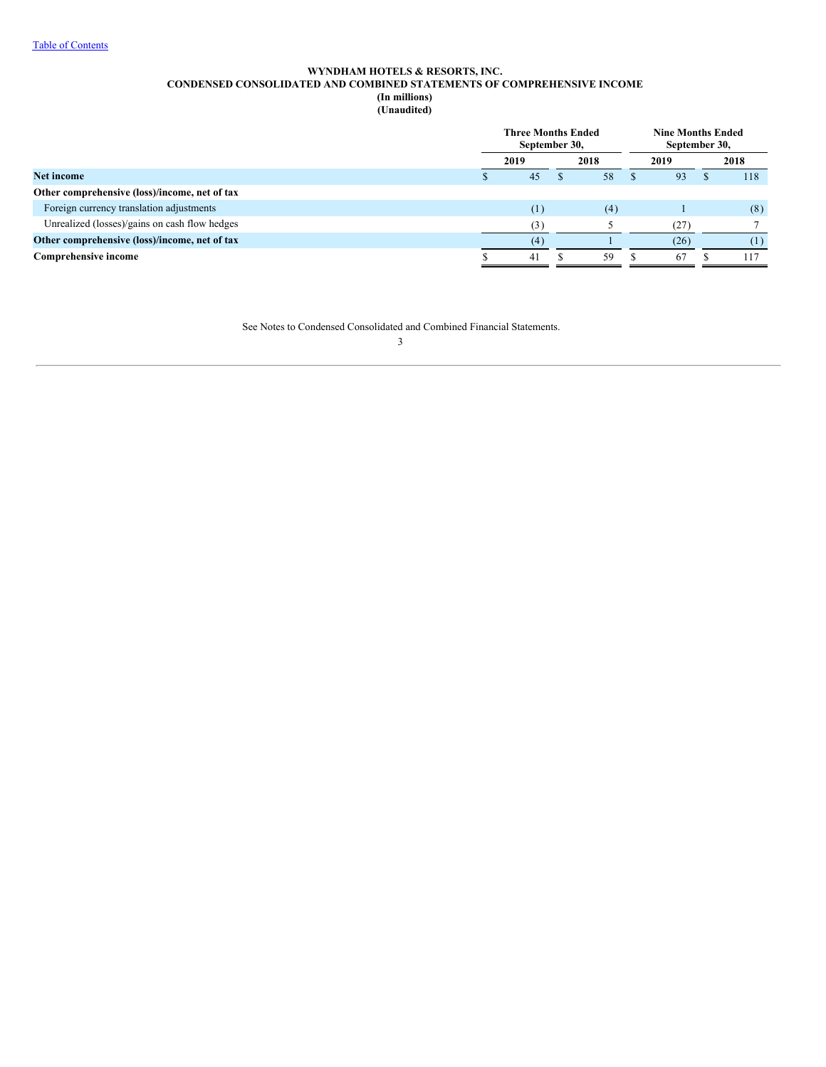### **WYNDHAM HOTELS & RESORTS, INC. CONDENSED CONSOLIDATED AND COMBINED STATEMENTS OF COMPREHENSIVE INCOME (In millions)**

**(Unaudited)**

<span id="page-4-0"></span>

|                                               | <b>Three Months Ended</b><br>September 30, |      |     |  | <b>Nine Months Ended</b><br>September 30, |  |      |  |
|-----------------------------------------------|--------------------------------------------|------|-----|--|-------------------------------------------|--|------|--|
|                                               | 2019                                       | 2018 |     |  | 2019                                      |  | 2018 |  |
| <b>Net income</b>                             | 45                                         |      | 58  |  | 93                                        |  | 118  |  |
| Other comprehensive (loss)/income, net of tax |                                            |      |     |  |                                           |  |      |  |
| Foreign currency translation adjustments      | (1)                                        |      | (4) |  |                                           |  | (8)  |  |
| Unrealized (losses)/gains on cash flow hedges | (3)                                        |      |     |  | (27)                                      |  |      |  |
| Other comprehensive (loss)/income, net of tax | (4)                                        |      |     |  | (26)                                      |  | (1)  |  |
| Comprehensive income                          | 41                                         |      | 59  |  | 67                                        |  | 117  |  |
|                                               |                                            |      |     |  |                                           |  |      |  |

See Notes to Condensed Consolidated and Combined Financial Statements.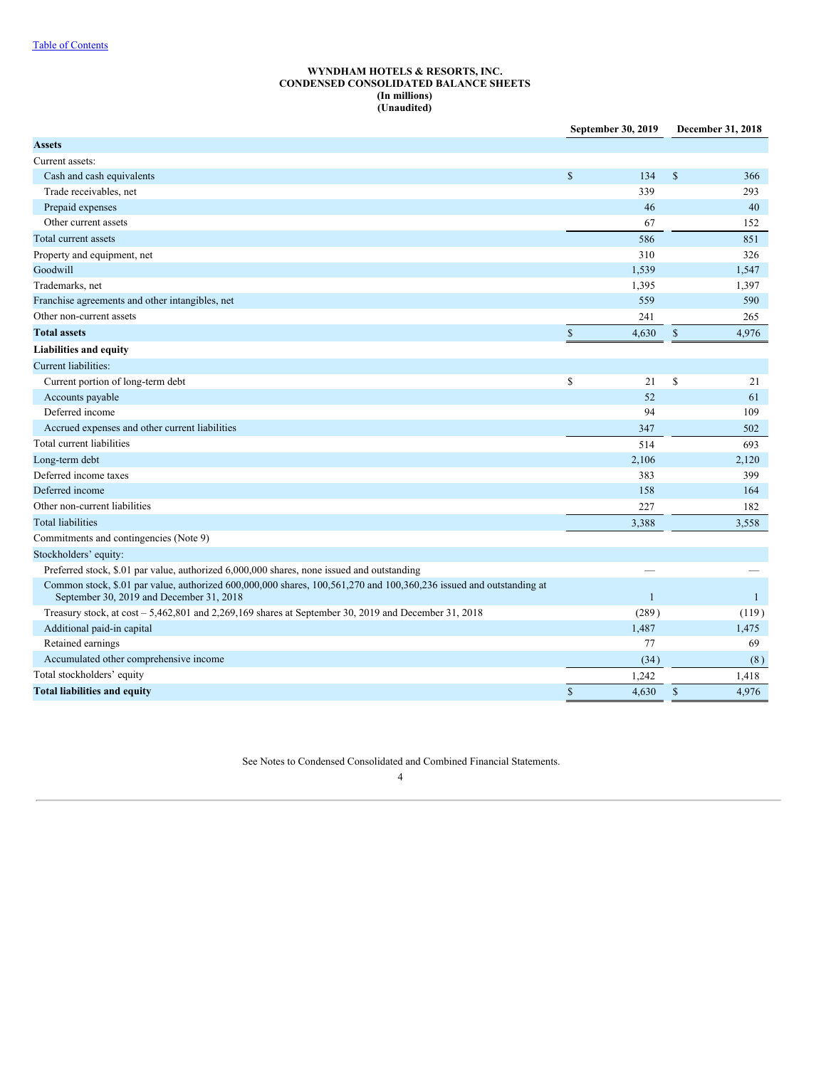### **WYNDHAM HOTELS & RESORTS, INC. CONDENSED CONSOLIDATED BALANCE SHEETS (In millions) (Unaudited)**

<span id="page-5-0"></span>

|                                                                                                                                                                 | September 30, 2019<br>December 31, 2018 |              |               |              |
|-----------------------------------------------------------------------------------------------------------------------------------------------------------------|-----------------------------------------|--------------|---------------|--------------|
| <b>Assets</b>                                                                                                                                                   |                                         |              |               |              |
| Current assets:                                                                                                                                                 |                                         |              |               |              |
| Cash and cash equivalents                                                                                                                                       | $\mathsf{\$}$                           | 134          | $\mathsf{\$}$ | 366          |
| Trade receivables, net                                                                                                                                          |                                         | 339          |               | 293          |
| Prepaid expenses                                                                                                                                                |                                         | 46           |               | 40           |
| Other current assets                                                                                                                                            |                                         | 67           |               | 152          |
| Total current assets                                                                                                                                            |                                         | 586          |               | 851          |
| Property and equipment, net                                                                                                                                     |                                         | 310          |               | 326          |
| Goodwill                                                                                                                                                        |                                         | 1,539        |               | 1,547        |
| Trademarks, net                                                                                                                                                 |                                         | 1,395        |               | 1,397        |
| Franchise agreements and other intangibles, net                                                                                                                 |                                         | 559          |               | 590          |
| Other non-current assets                                                                                                                                        |                                         | 241          |               | 265          |
| <b>Total assets</b>                                                                                                                                             | $\mathbb{S}$                            | 4,630        | $\mathbb{S}$  | 4,976        |
| <b>Liabilities and equity</b>                                                                                                                                   |                                         |              |               |              |
| Current liabilities:                                                                                                                                            |                                         |              |               |              |
| Current portion of long-term debt                                                                                                                               | \$                                      | 21           | \$            | 21           |
| Accounts payable                                                                                                                                                |                                         | 52           |               | 61           |
| Deferred income                                                                                                                                                 |                                         | 94           |               | 109          |
| Accrued expenses and other current liabilities                                                                                                                  |                                         | 347          |               | 502          |
| Total current liabilities                                                                                                                                       |                                         | 514          |               | 693          |
| Long-term debt                                                                                                                                                  |                                         | 2,106        |               | 2,120        |
| Deferred income taxes                                                                                                                                           |                                         | 383          |               | 399          |
| Deferred income                                                                                                                                                 |                                         | 158          |               | 164          |
| Other non-current liabilities                                                                                                                                   |                                         | 227          |               | 182          |
| <b>Total liabilities</b>                                                                                                                                        |                                         | 3,388        |               | 3,558        |
| Commitments and contingencies (Note 9)                                                                                                                          |                                         |              |               |              |
| Stockholders' equity:                                                                                                                                           |                                         |              |               |              |
| Preferred stock, \$.01 par value, authorized 6,000,000 shares, none issued and outstanding                                                                      |                                         |              |               |              |
| Common stock, \$.01 par value, authorized 600,000,000 shares, 100,561,270 and 100,360,236 issued and outstanding at<br>September 30, 2019 and December 31, 2018 |                                         | $\mathbf{1}$ |               | $\mathbf{1}$ |
| Treasury stock, at $\cos(-5,462,801)$ and $2,269,169$ shares at September 30, 2019 and December 31, 2018                                                        |                                         | (289)        |               | (119)        |
| Additional paid-in capital                                                                                                                                      |                                         | 1,487        |               | 1,475        |
| Retained earnings                                                                                                                                               |                                         | 77           |               | 69           |
| Accumulated other comprehensive income                                                                                                                          |                                         | (34)         |               | (8)          |
| Total stockholders' equity                                                                                                                                      |                                         | 1,242        |               | 1,418        |
| <b>Total liabilities and equity</b>                                                                                                                             | $\mathsf{\$}$                           | 4,630        | $\mathsf{\$}$ | 4,976        |

See Notes to Condensed Consolidated and Combined Financial Statements.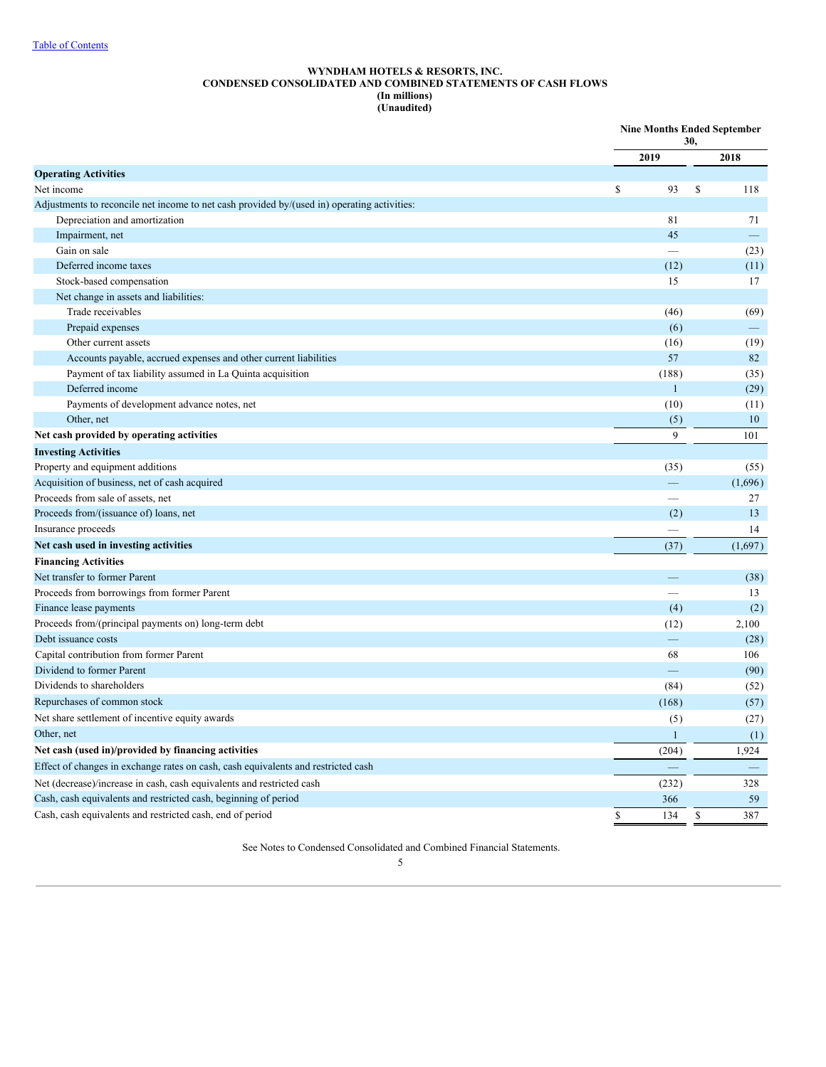#### **WYNDHAM HOTELS & RESORTS, INC. CONDENSED CONSOLIDATED AND COMBINED STATEMENTS OF CASH FLOWS (In millions) (Unaudited)**

<span id="page-6-0"></span>

|                                                                                             |                          | 30,          | <b>Nine Months Ended September</b> |  |  |
|---------------------------------------------------------------------------------------------|--------------------------|--------------|------------------------------------|--|--|
|                                                                                             | 2019                     |              | 2018                               |  |  |
| <b>Operating Activities</b>                                                                 |                          |              |                                    |  |  |
| Net income                                                                                  | 93<br>\$                 | <sup>S</sup> | 118                                |  |  |
| Adjustments to reconcile net income to net cash provided by/(used in) operating activities: |                          |              |                                    |  |  |
| Depreciation and amortization                                                               | 81                       |              | 71                                 |  |  |
| Impairment, net                                                                             | 45                       |              |                                    |  |  |
| Gain on sale                                                                                | $\overline{\phantom{0}}$ |              | (23)                               |  |  |
| Deferred income taxes                                                                       | (12)                     |              | (11)                               |  |  |
| Stock-based compensation                                                                    | 15                       |              | 17                                 |  |  |
| Net change in assets and liabilities:                                                       |                          |              |                                    |  |  |
| Trade receivables                                                                           | (46)                     |              | (69)                               |  |  |
| Prepaid expenses                                                                            | (6)                      |              | $\equiv$                           |  |  |
| Other current assets                                                                        | (16)                     |              | (19)                               |  |  |
| Accounts payable, accrued expenses and other current liabilities                            | 57                       |              | 82                                 |  |  |
| Payment of tax liability assumed in La Quinta acquisition                                   | (188)                    |              | (35)                               |  |  |
| Deferred income                                                                             | $\mathbf{1}$             |              | (29)                               |  |  |
| Payments of development advance notes, net                                                  | (10)                     |              | (11)                               |  |  |
| Other, net                                                                                  | (5)                      |              | 10                                 |  |  |
| Net cash provided by operating activities                                                   | $\mathbf{Q}$             |              | 101                                |  |  |
| <b>Investing Activities</b>                                                                 |                          |              |                                    |  |  |
| Property and equipment additions                                                            | (35)                     |              | (55)                               |  |  |
| Acquisition of business, net of cash acquired                                               | $\overline{\phantom{0}}$ |              | (1,696)                            |  |  |
| Proceeds from sale of assets, net                                                           |                          |              | 27                                 |  |  |
| Proceeds from/(issuance of) loans, net                                                      | (2)                      |              | 13                                 |  |  |
| Insurance proceeds                                                                          |                          |              | 14                                 |  |  |
| Net cash used in investing activities                                                       | (37)                     |              | (1,697)                            |  |  |
| <b>Financing Activities</b>                                                                 |                          |              |                                    |  |  |
| Net transfer to former Parent                                                               |                          |              | (38)                               |  |  |
| Proceeds from borrowings from former Parent                                                 |                          |              | 13                                 |  |  |
| Finance lease payments                                                                      | (4)                      |              | (2)                                |  |  |
| Proceeds from/(principal payments on) long-term debt                                        | (12)                     |              | 2,100                              |  |  |
| Debt issuance costs                                                                         | $\overline{\phantom{0}}$ |              | (28)                               |  |  |
| Capital contribution from former Parent                                                     | 68                       |              | 106                                |  |  |
| Dividend to former Parent                                                                   |                          |              | (90)                               |  |  |
| Dividends to shareholders                                                                   | (84)                     |              | (52)                               |  |  |
| Repurchases of common stock                                                                 | (168)                    |              | (57)                               |  |  |
| Net share settlement of incentive equity awards                                             | (5)                      |              | (27)                               |  |  |
| Other, net                                                                                  | $\mathbf{1}$             |              | (1)                                |  |  |
| Net cash (used in)/provided by financing activities                                         | (204)                    |              | 1,924                              |  |  |
| Effect of changes in exchange rates on cash, cash equivalents and restricted cash           |                          |              |                                    |  |  |
| Net (decrease)/increase in cash, cash equivalents and restricted cash                       | (232)                    |              | 328                                |  |  |
| Cash, cash equivalents and restricted cash, beginning of period                             | 366                      |              | 59                                 |  |  |
| Cash, cash equivalents and restricted cash, end of period                                   | \$<br>134                | \$           | 387                                |  |  |
|                                                                                             |                          |              |                                    |  |  |

See Notes to Condensed Consolidated and Combined Financial Statements.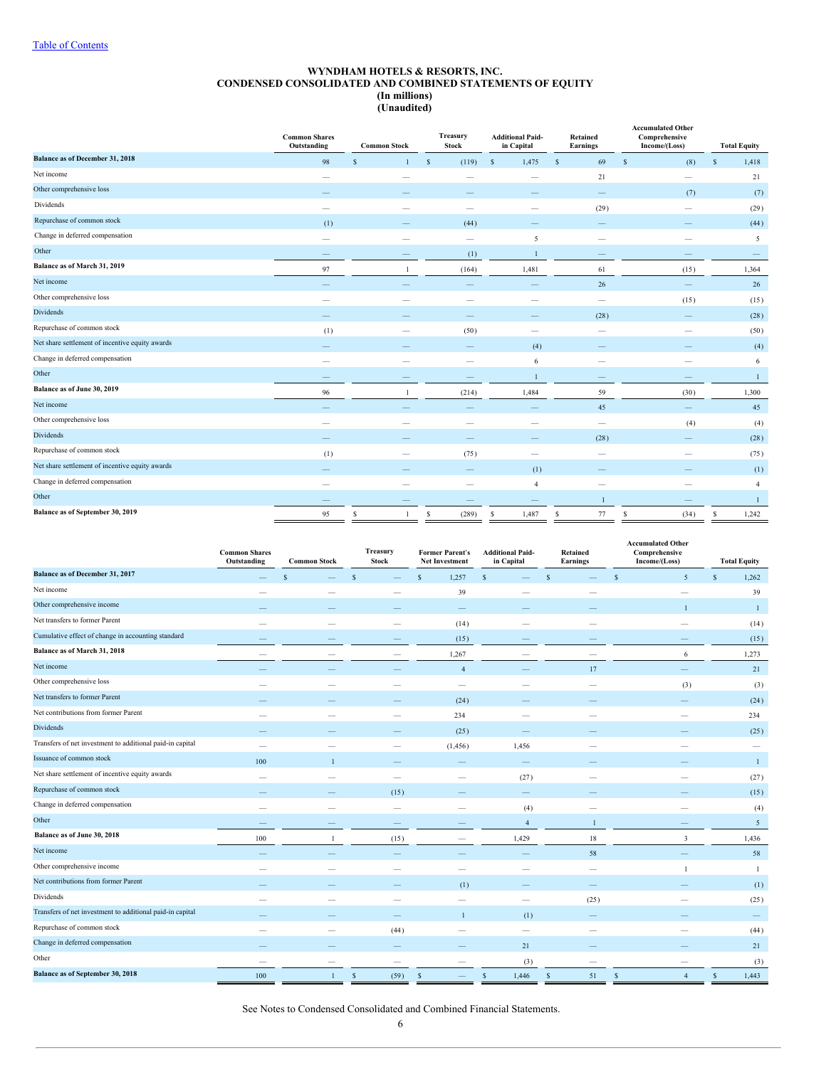#### **WYNDHAM HOTELS & RESORTS, INC. CONDENSED CONSOLIDATED AND COMBINED STATEMENTS OF EQUITY (In millions) (Unaudited)**

<span id="page-7-0"></span>

|                                                 | <b>Common Shares</b><br>Outstanding |   | <b>Common Stock</b> |              | Treasury<br><b>Stock</b> |              | <b>Additional Paid-</b><br>in Capital |    | Retained<br><b>Earnings</b> |              | <b>Accumulated Other</b><br>Comprehensive<br>Income/(Loss) |              | <b>Total Equity</b> |
|-------------------------------------------------|-------------------------------------|---|---------------------|--------------|--------------------------|--------------|---------------------------------------|----|-----------------------------|--------------|------------------------------------------------------------|--------------|---------------------|
| Balance as of December 31, 2018                 | 98                                  | S | $\mathbf{1}$        | $\mathbf{s}$ | (119)                    | $\mathbf{s}$ | 1,475                                 | \$ | 69                          | $\mathbf{s}$ | (8)                                                        | $\mathsf{s}$ | 1,418               |
| Net income                                      | $\overline{\phantom{a}}$            |   |                     |              | $\overline{\phantom{a}}$ |              |                                       |    | 21                          |              | $\overline{\phantom{a}}$                                   |              | 21                  |
| Other comprehensive loss                        |                                     |   |                     |              |                          |              |                                       |    |                             |              | (7)                                                        |              | (7)                 |
| Dividends                                       |                                     |   |                     |              | $\overline{\phantom{a}}$ |              |                                       |    | (29)                        |              | $\overline{\phantom{a}}$                                   |              | (29)                |
| Repurchase of common stock                      | (1)                                 |   |                     |              | (44)                     |              |                                       |    |                             |              |                                                            |              | (44)                |
| Change in deferred compensation                 | $\qquad \qquad$                     |   |                     |              | $\qquad \qquad$          |              | 5                                     |    | $\qquad \qquad$             |              |                                                            |              | 5                   |
| Other                                           |                                     |   |                     |              | (1)                      |              | $\mathbf{1}$                          |    |                             |              |                                                            |              | $\qquad \qquad -$   |
| Balance as of March 31, 2019                    | 97                                  |   | $\mathbf{1}$        |              | (164)                    |              | 1,481                                 |    | 61                          |              | (15)                                                       |              | 1,364               |
| Net income                                      |                                     |   |                     |              |                          |              |                                       |    | 26                          |              |                                                            |              | 26                  |
| Other comprehensive loss                        |                                     |   |                     |              |                          |              |                                       |    | -                           |              | (15)                                                       |              | (15)                |
| Dividends                                       |                                     |   |                     |              |                          |              |                                       |    | (28)                        |              |                                                            |              | (28)                |
| Repurchase of common stock                      | (1)                                 |   |                     |              | (50)                     |              |                                       |    | --                          |              |                                                            |              | (50)                |
| Net share settlement of incentive equity awards |                                     |   |                     |              |                          |              | (4)                                   |    |                             |              |                                                            |              | (4)                 |
| Change in deferred compensation                 | $\overline{\phantom{a}}$            |   |                     |              |                          |              | 6                                     |    |                             |              | $\overline{\phantom{a}}$                                   |              | 6                   |
| Other                                           |                                     |   |                     |              |                          |              | $\mathbf{1}$                          |    |                             |              |                                                            |              | $\mathbf{1}$        |
| Balance as of June 30, 2019                     | 96                                  |   | $\overline{1}$      |              | (214)                    |              | 1,484                                 |    | 59                          |              | (30)                                                       |              | 1,300               |
| Net income                                      |                                     |   |                     |              | -                        |              |                                       |    | 45                          |              |                                                            |              | 45                  |
| Other comprehensive loss                        | $\overline{\phantom{a}}$            |   |                     |              |                          |              | $\overline{\phantom{a}}$              |    |                             |              | (4)                                                        |              | (4)                 |
| <b>Dividends</b>                                |                                     |   |                     |              |                          |              |                                       |    | (28)                        |              |                                                            |              | (28)                |
| Repurchase of common stock                      | (1)                                 |   | -                   |              | (75)                     |              | $\overline{\phantom{0}}$              |    | $\sim$                      |              | -                                                          |              | (75)                |
| Net share settlement of incentive equity awards |                                     |   |                     |              |                          |              | (1)                                   |    |                             |              |                                                            |              | (1)                 |
| Change in deferred compensation                 |                                     |   |                     |              | -                        |              | $\overline{4}$                        |    |                             |              |                                                            |              | $\overline{4}$      |
| Other                                           |                                     |   |                     |              |                          |              |                                       |    | $\mathbf{1}$                |              |                                                            |              | $\overline{1}$      |
| Balance as of September 30, 2019                | 95                                  | s | $\mathbf{1}$        | s            | (289)                    | s            | 1,487                                 | s  | 77                          | s            | (34)                                                       | s            | 1,242               |

|                                                           | <b>Common Shares</b><br>Outstanding | <b>Common Stock</b> |                          |              | Treasury<br><b>Stock</b> | <b>Former Parent's</b><br><b>Net Investment</b> |                | <b>Additional Paid-</b><br>in Capital |                          |              | <b>Retained</b><br><b>Earnings</b> |                    | <b>Accumulated Other</b><br>Comprehensive<br>Income/(Loss) |              | <b>Total Equity</b> |
|-----------------------------------------------------------|-------------------------------------|---------------------|--------------------------|--------------|--------------------------|-------------------------------------------------|----------------|---------------------------------------|--------------------------|--------------|------------------------------------|--------------------|------------------------------------------------------------|--------------|---------------------|
| Balance as of December 31, 2017                           |                                     | $\mathbf{s}$        |                          | S            |                          | $\mathbf{s}$                                    | 1,257          | $\mathbf{s}$                          |                          |              |                                    | $\hat{\mathbf{x}}$ | $\overline{5}$                                             | $\mathbb{S}$ | 1,262               |
| Net income                                                |                                     |                     |                          |              |                          |                                                 | 39             |                                       |                          |              |                                    |                    |                                                            |              | 39                  |
| Other comprehensive income                                |                                     |                     |                          |              |                          |                                                 |                |                                       |                          |              |                                    |                    | $\overline{1}$                                             |              | $\mathbf{1}$        |
| Net transfers to former Parent                            |                                     |                     | $\overline{\phantom{a}}$ |              |                          |                                                 | (14)           |                                       |                          |              |                                    |                    |                                                            |              | (14)                |
| Cumulative effect of change in accounting standard        |                                     |                     |                          |              |                          |                                                 | (15)           |                                       |                          |              |                                    |                    |                                                            |              | (15)                |
| Balance as of March 31, 2018                              |                                     |                     |                          |              |                          |                                                 | 1,267          |                                       |                          |              |                                    |                    | 6                                                          |              | 1,273               |
| Net income                                                |                                     |                     |                          |              |                          |                                                 | $\overline{4}$ |                                       |                          |              | 17                                 |                    |                                                            |              | 21                  |
| Other comprehensive loss                                  |                                     |                     |                          |              |                          |                                                 | -              |                                       |                          |              |                                    |                    | (3)                                                        |              | (3)                 |
| Net transfers to former Parent                            |                                     |                     |                          |              |                          |                                                 | (24)           |                                       |                          |              |                                    |                    |                                                            |              | (24)                |
| Net contributions from former Parent                      |                                     |                     |                          |              |                          |                                                 | 234            |                                       | $\overline{\phantom{a}}$ |              |                                    |                    |                                                            |              | 234                 |
| <b>Dividends</b>                                          |                                     |                     |                          |              |                          |                                                 | (25)           |                                       |                          |              |                                    |                    |                                                            |              | (25)                |
| Transfers of net investment to additional paid-in capital |                                     |                     |                          |              |                          |                                                 | (1, 456)       |                                       | 1,456                    |              |                                    |                    |                                                            |              |                     |
| Issuance of common stock                                  | 100                                 |                     |                          |              |                          |                                                 |                |                                       |                          |              |                                    |                    |                                                            |              | $\overline{1}$      |
| Net share settlement of incentive equity awards           | $\overline{\phantom{m}}$            |                     |                          |              |                          |                                                 |                |                                       | (27)                     |              |                                    |                    |                                                            |              | (27)                |
| Repurchase of common stock                                |                                     |                     |                          |              | (15)                     |                                                 |                |                                       |                          |              |                                    |                    |                                                            |              | (15)                |
| Change in deferred compensation                           |                                     |                     |                          |              |                          |                                                 |                |                                       | (4)                      |              |                                    |                    |                                                            |              | (4)                 |
| Other                                                     |                                     |                     |                          |              |                          |                                                 |                |                                       | $\overline{4}$           |              | $\mathbf{1}$                       |                    |                                                            |              | $\mathfrak{S}$      |
| Balance as of June 30, 2018                               | 100                                 |                     | $\overline{1}$           |              | (15)                     |                                                 |                |                                       | 1,429                    |              | $18\,$                             |                    | 3                                                          |              | 1,436               |
| Net income                                                |                                     |                     |                          |              |                          |                                                 |                |                                       |                          |              | 58                                 |                    |                                                            |              | 58                  |
| Other comprehensive income                                |                                     |                     |                          |              |                          |                                                 |                |                                       |                          |              |                                    |                    | $\overline{1}$                                             |              | $\mathbf{1}$        |
| Net contributions from former Parent                      |                                     |                     |                          |              |                          |                                                 | (1)            |                                       |                          |              |                                    |                    |                                                            |              | (1)                 |
| Dividends                                                 |                                     |                     |                          |              |                          |                                                 |                |                                       |                          |              | (25)                               |                    |                                                            |              | (25)                |
| Transfers of net investment to additional paid-in capital |                                     |                     |                          |              |                          |                                                 |                |                                       | (1)                      |              |                                    |                    |                                                            |              |                     |
| Repurchase of common stock                                |                                     |                     |                          |              | (44)                     |                                                 |                |                                       | -                        |              |                                    |                    |                                                            |              | (44)                |
| Change in deferred compensation                           |                                     |                     |                          |              |                          |                                                 |                |                                       | 21                       |              |                                    |                    |                                                            |              | 21                  |
| Other                                                     |                                     |                     |                          |              |                          |                                                 |                |                                       | (3)                      |              |                                    |                    |                                                            |              | (3)                 |
| Balance as of September 30, 2018                          | 100                                 |                     | $\mathbf{1}$             | $\mathbf{s}$ | (59)                     | $\mathbf{s}$                                    |                | $\mathsf{s}$                          | 1,446                    | $\mathbf{s}$ | 51                                 | $\mathsf{s}$       | $\overline{4}$                                             | $\mathsf{s}$ | 1,443               |

See Notes to Condensed Consolidated and Combined Financial Statements.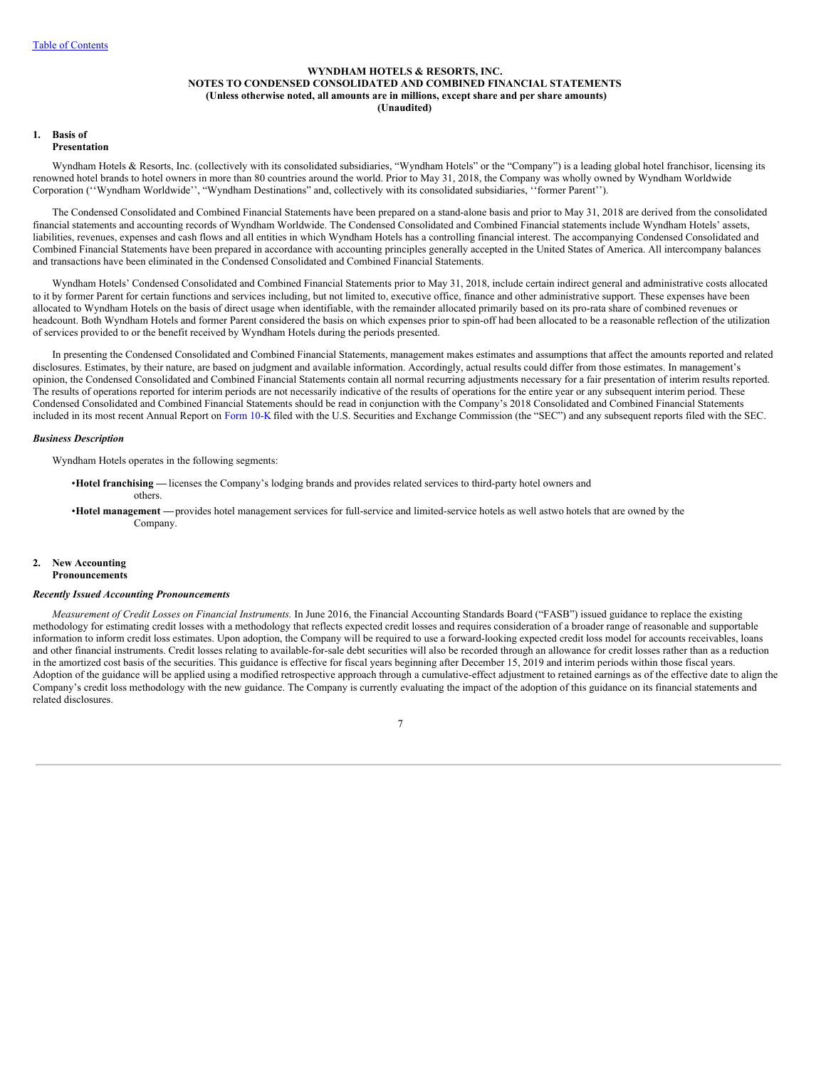### **WYNDHAM HOTELS & RESORTS, INC. NOTES TO CONDENSED CONSOLIDATED AND COMBINED FINANCIAL STATEMENTS (Unless otherwise noted, all amounts are in millions, except share and per share amounts) (Unaudited)**

#### <span id="page-8-0"></span>**1. Basis of Presentation**

Wyndham Hotels & Resorts, Inc. (collectively with its consolidated subsidiaries, "Wyndham Hotels" or the "Company") is a leading global hotel franchisor, licensing its renowned hotel brands to hotel owners in more than 80 countries around the world. Prior to May 31, 2018, the Company was wholly owned by Wyndham Worldwide Corporation (''Wyndham Worldwide'', "Wyndham Destinations" and, collectively with its consolidated subsidiaries, ''former Parent'').

The Condensed Consolidated and Combined Financial Statements have been prepared on a stand-alone basis and prior to May 31, 2018 are derived from the consolidated financial statements and accounting records of Wyndham Worldwide. The Condensed Consolidated and Combined Financial statements include Wyndham Hotels' assets, liabilities, revenues, expenses and cash flows and all entities in which Wyndham Hotels has a controlling financial interest. The accompanying Condensed Consolidated and Combined Financial Statements have been prepared in accordance with accounting principles generally accepted in the United States of America. All intercompany balances and transactions have been eliminated in the Condensed Consolidated and Combined Financial Statements.

Wyndham Hotels' Condensed Consolidated and Combined Financial Statements prior to May 31, 2018, include certain indirect general and administrative costs allocated to it by former Parent for certain functions and services including, but not limited to, executive office, finance and other administrative support. These expenses have been allocated to Wyndham Hotels on the basis of direct usage when identifiable, with the remainder allocated primarily based on its pro-rata share of combined revenues or headcount. Both Wyndham Hotels and former Parent considered the basis on which expenses prior to spin-off had been allocated to be a reasonable reflection of the utilization of services provided to or the benefit received by Wyndham Hotels during the periods presented.

In presenting the Condensed Consolidated and Combined Financial Statements, management makes estimates and assumptions that affect the amounts reported and related disclosures. Estimates, by their nature, are based on judgment and available information. Accordingly, actual results could differ from those estimates. In management's opinion, the Condensed Consolidated and Combined Financial Statements contain all normal recurring adjustments necessary for a fair presentation of interim results reported. The results of operations reported for interim periods are not necessarily indicative of the results of operations for the entire year or any subsequent interim period. These Condensed Consolidated and Combined Financial Statements should be read in conjunction with the Company's 2018 Consolidated and Combined Financial Statements included in its most recent Annual Report on [Form](http://www.sec.gov/Archives/edgar/data/1722684/000172268419000008/wh-20181231x10k.htm) 10-K filed with the U.S. Securities and Exchange Commission (the "SEC") and any subsequent reports filed with the SEC.

### *Business Description*

Wyndham Hotels operates in the following segments:

- •**Hotel franchising —** licenses the Company's lodging brands and provides related services to third-party hotel owners and others.
- •**Hotel management —**provides hotel management services for full-service and limited-service hotels as well astwo hotels that are owned by the Company.

#### **2. New Accounting Pronouncements**

#### *Recently Issued Accounting Pronouncements*

*Measurement of Credit Losses on Financial Instruments.* In June 2016, the Financial Accounting Standards Board ("FASB") issued guidance to replace the existing methodology for estimating credit losses with a methodology that reflects expected credit losses and requires consideration of a broader range of reasonable and supportable information to inform credit loss estimates. Upon adoption, the Company will be required to use a forward-looking expected credit loss model for accounts receivables, loans and other financial instruments. Credit losses relating to available-for-sale debt securities will also be recorded through an allowance for credit losses rather than as a reduction in the amortized cost basis of the securities. This guidance is effective for fiscal years beginning after December 15, 2019 and interim periods within those fiscal years. Adoption of the guidance will be applied using a modified retrospective approach through a cumulative-effect adjustment to retained earnings as of the effective date to align the Company's credit loss methodology with the new guidance. The Company is currently evaluating the impact of the adoption of this guidance on its financial statements and related disclosures.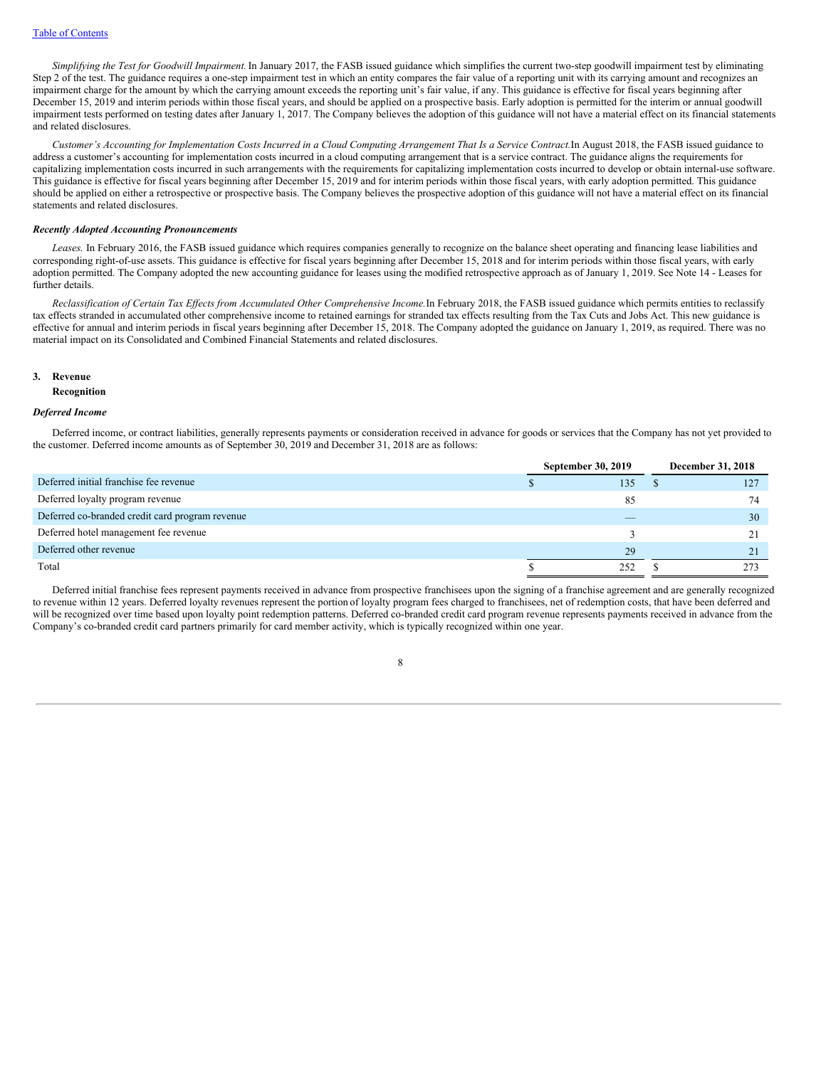*Simplifying the Test for Goodwill Impairment.*In January 2017, the FASB issued guidance which simplifies the current two-step goodwill impairment test by eliminating Step 2 of the test. The guidance requires a one-step impairment test in which an entity compares the fair value of a reporting unit with its carrying amount and recognizes an impairment charge for the amount by which the carrying amount exceeds the reporting unit's fair value, if any. This guidance is effective for fiscal years beginning after December 15, 2019 and interim periods within those fiscal years, and should be applied on a prospective basis. Early adoption is permitted for the interim or annual goodwill impairment tests performed on testing dates after January 1, 2017. The Company believes the adoption of this guidance will not have a material effect on its financial statements and related disclosures.

Customer's Accounting for Implementation Costs Incurred in a Cloud Computing Arrangement That Is a Service Contract. In August 2018, the FASB issued guidance to address a customer's accounting for implementation costs incurred in a cloud computing arrangement that is a service contract. The guidance aligns the requirements for capitalizing implementation costs incurred in such arrangements with the requirements for capitalizing implementation costs incurred to develop or obtain internal-use software. This guidance is effective for fiscal years beginning after December 15, 2019 and for interim periods within those fiscal years, with early adoption permitted. This guidance should be applied on either a retrospective or prospective basis. The Company believes the prospective adoption of this guidance will not have a material effect on its financial statements and related disclosures.

#### *Recently Adopted Accounting Pronouncements*

Leases. In February 2016, the FASB issued guidance which requires companies generally to recognize on the balance sheet operating and financing lease liabilities and corresponding right-of-use assets. This guidance is effective for fiscal years beginning after December 15, 2018 and for interim periods within those fiscal years, with early adoption permitted. The Company adopted the new accounting guidance for leases using the modified retrospective approach as of January 1, 2019. See Note 14 - Leases for further details.

Reclassification of Certain Tax Effects from Accumulated Other Comprehensive Income. In February 2018, the FASB issued guidance which permits entities to reclassify tax effects stranded in accumulated other comprehensive income to retained earnings for stranded tax effects resulting from the Tax Cuts and Jobs Act. This new guidance is effective for annual and interim periods in fiscal years beginning after December 15, 2018. The Company adopted the guidance on January 1, 2019, as required. There was no material impact on its Consolidated and Combined Financial Statements and related disclosures.

#### **3. Revenue**

#### **Recognition**

### *Deferred Income*

Deferred income, or contract liabilities, generally represents payments or consideration received in advance for goods or services that the Company has not yet provided to the customer. Deferred income amounts as of September 30, 2019 and December 31, 2018 are as follows:

|                                                 | <b>September 30, 2019</b> | December 31, 2018 |
|-------------------------------------------------|---------------------------|-------------------|
| Deferred initial franchise fee revenue          | 135                       | 127               |
| Deferred loyalty program revenue                | 85                        | 74                |
| Deferred co-branded credit card program revenue |                           | 30                |
| Deferred hotel management fee revenue           |                           |                   |
| Deferred other revenue                          | 29                        |                   |
| Total                                           | 252                       | 273               |

Deferred initial franchise fees represent payments received in advance from prospective franchisees upon the signing of a franchise agreement and are generally recognized to revenue within 12 years. Deferred loyalty revenues represent the portion of loyalty program fees charged to franchisees, net of redemption costs, that have been deferred and will be recognized over time based upon loyalty point redemption patterns. Deferred co-branded credit card program revenue represents payments received in advance from the Company's co-branded credit card partners primarily for card member activity, which is typically recognized within one year.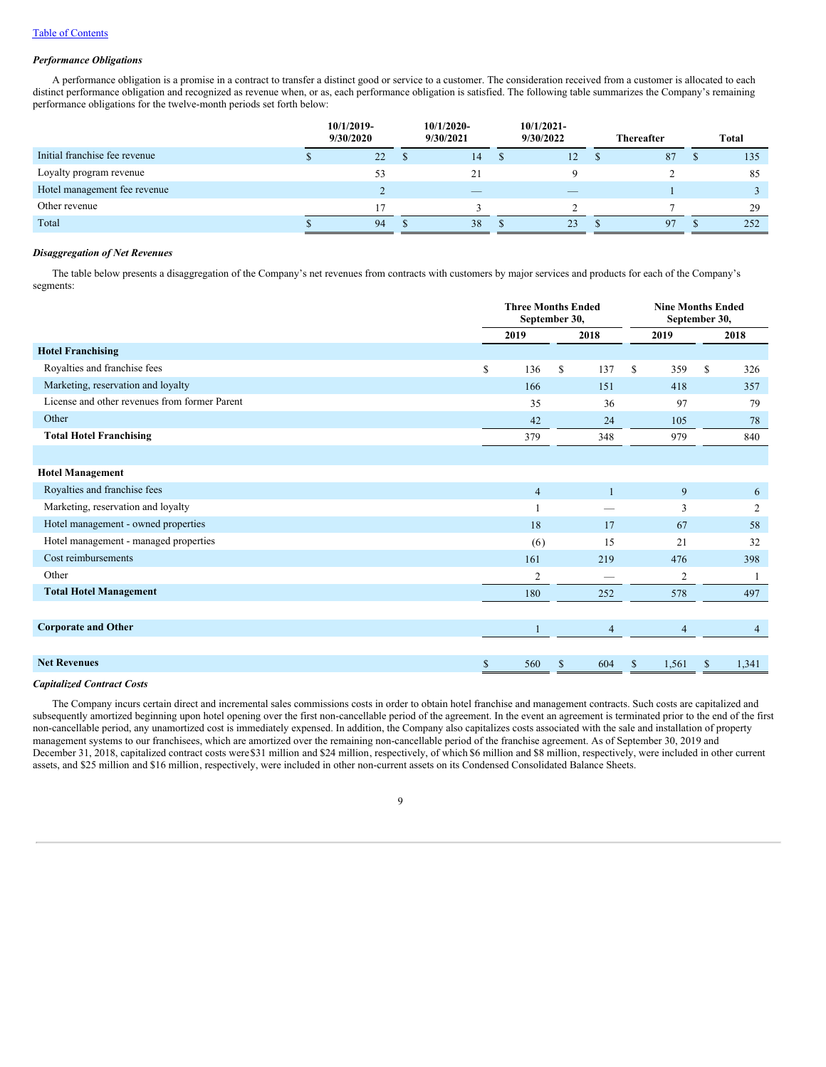### *Performance Obligations*

A performance obligation is a promise in a contract to transfer a distinct good or service to a customer. The consideration received from a customer is allocated to each distinct performance obligation and recognized as revenue when, or as, each performance obligation is satisfied. The following table summarizes the Company's remaining performance obligations for the twelve-month periods set forth below:

|                               | $10/1/2019$ -<br>9/30/2020 | $10/1/2020$ -<br>9/30/2021 | $10/1/2021-$<br>9/30/2022 |    |   | <b>Thereafter</b> |   | <b>Total</b> |
|-------------------------------|----------------------------|----------------------------|---------------------------|----|---|-------------------|---|--------------|
| Initial franchise fee revenue | 22                         | 14                         |                           | 12 | D | 87                | D | 135          |
| Loyalty program revenue       | 53                         | 21                         |                           |    |   |                   |   | 85           |
| Hotel management fee revenue  |                            | $\overline{\phantom{a}}$   |                           |    |   |                   |   |              |
| Other revenue                 | 17                         |                            |                           |    |   |                   |   | 29           |
| Total                         | 94                         | 38                         |                           | 23 |   | 97                |   | 252          |

### *Disaggregation of Net Revenues*

The table below presents a disaggregation of the Company's net revenues from contracts with customers by major services and products for each of the Company's segments:

|                                               |           |                | <b>Three Months Ended</b><br>September 30, |               | <b>Nine Months Ended</b><br>September 30, |   |                |
|-----------------------------------------------|-----------|----------------|--------------------------------------------|---------------|-------------------------------------------|---|----------------|
|                                               | 2019      |                | 2018                                       |               | 2019                                      |   | 2018           |
| <b>Hotel Franchising</b>                      |           |                |                                            |               |                                           |   |                |
| Royalties and franchise fees                  | \$<br>136 |                | $\mathbf S$<br>137                         | S             | 359                                       | S | 326            |
| Marketing, reservation and loyalty            | 166       |                | 151                                        |               | 418                                       |   | 357            |
| License and other revenues from former Parent |           | 35             | 36                                         |               | 97                                        |   | 79             |
| Other                                         |           | 42             | 24                                         |               | 105                                       |   | 78             |
| <b>Total Hotel Franchising</b>                | 379       |                | 348                                        |               | 979                                       |   | 840            |
|                                               |           |                |                                            |               |                                           |   |                |
| <b>Hotel Management</b>                       |           |                |                                            |               |                                           |   |                |
| Royalties and franchise fees                  |           | $\overline{4}$ | 1                                          |               | 9                                         |   | 6              |
| Marketing, reservation and loyalty            |           |                |                                            |               | 3                                         |   | 2              |
| Hotel management - owned properties           |           | 18             | 17                                         |               | 67                                        |   | 58             |
| Hotel management - managed properties         |           | (6)            | 15                                         |               | 21                                        |   | 32             |
| Cost reimbursements                           | 161       |                | 219                                        |               | 476                                       |   | 398            |
| Other                                         |           | $\overline{2}$ |                                            |               | $\overline{2}$                            |   |                |
| <b>Total Hotel Management</b>                 | 180       |                | 252                                        |               | 578                                       |   | 497            |
|                                               |           |                |                                            |               |                                           |   |                |
| <b>Corporate and Other</b>                    |           |                | $\overline{4}$                             |               | $\overline{4}$                            |   | $\overline{4}$ |
|                                               |           |                |                                            |               |                                           |   |                |
| <b>Net Revenues</b>                           | \$<br>560 |                | 604<br>\$                                  | $\mathcal{S}$ | 1,561                                     | S | 1,341          |

### *Capitalized Contract Costs*

The Company incurs certain direct and incremental sales commissions costs in order to obtain hotel franchise and management contracts. Such costs are capitalized and subsequently amortized beginning upon hotel opening over the first non-cancellable period of the agreement. In the event an agreement is terminated prior to the end of the first non-cancellable period, any unamortized cost is immediately expensed. In addition, the Company also capitalizes costs associated with the sale and installation of property management systems to our franchisees, which are amortized over the remaining non-cancellable period of the franchise agreement. As of September 30, 2019 and December 31, 2018, capitalized contract costs were\$31 million and \$24 million, respectively, of which \$6 million and \$8 million, respectively, were included in other current assets, and \$25 million and \$16 million, respectively, were included in other non-current assets on its Condensed Consolidated Balance Sheets.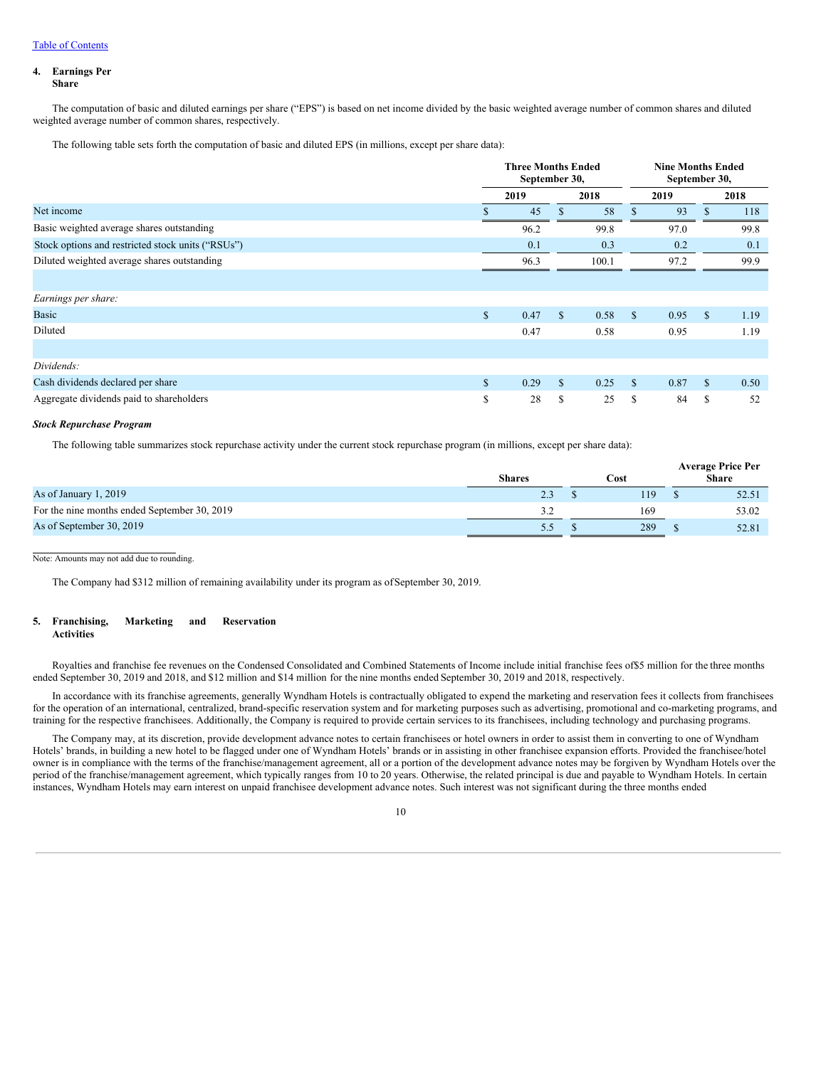#### **4. Earnings Per Share**

The computation of basic and diluted earnings per share ("EPS") is based on net income divided by the basic weighted average number of common shares and diluted weighted average number of common shares, respectively.

The following table sets forth the computation of basic and diluted EPS (in millions, except per share data):

|                                                   |              | <b>Three Months Ended</b><br>September 30, |              |       |              | <b>Nine Months Ended</b><br>September 30, |               |      |  |
|---------------------------------------------------|--------------|--------------------------------------------|--------------|-------|--------------|-------------------------------------------|---------------|------|--|
|                                                   |              | 2019                                       |              | 2018  | 2019         |                                           |               | 2018 |  |
| Net income                                        |              | 45                                         |              | 58    |              | 93                                        |               | 118  |  |
| Basic weighted average shares outstanding         |              | 96.2                                       |              | 99.8  |              | 97.0                                      |               | 99.8 |  |
| Stock options and restricted stock units ("RSUs") |              | 0.1                                        |              | 0.3   |              | 0.2                                       |               | 0.1  |  |
| Diluted weighted average shares outstanding       |              | 96.3                                       |              | 100.1 |              | 97.2                                      |               | 99.9 |  |
|                                                   |              |                                            |              |       |              |                                           |               |      |  |
| Earnings per share:                               |              |                                            |              |       |              |                                           |               |      |  |
| <b>Basic</b>                                      | $\mathbb{S}$ | 0.47                                       | $\mathbb{S}$ | 0.58  | $\mathbb{S}$ | 0.95                                      | \$            | 1.19 |  |
| Diluted                                           |              | 0.47                                       |              | 0.58  |              | 0.95                                      |               | 1.19 |  |
|                                                   |              |                                            |              |       |              |                                           |               |      |  |
| Dividends:                                        |              |                                            |              |       |              |                                           |               |      |  |
| Cash dividends declared per share                 | $\mathbb{S}$ | 0.29                                       | $\mathbb{S}$ | 0.25  | $\mathbf{s}$ | 0.87                                      | <sup>\$</sup> | 0.50 |  |
| Aggregate dividends paid to shareholders          | \$           | 28                                         | \$           | 25    | \$           | 84                                        | <sup>\$</sup> | 52   |  |

#### *Stock Repurchase Program*

The following table summarizes stock repurchase activity under the current stock repurchase program (in millions, except per share data):

|                                              | <b>Shares</b> | Cost | <b>Average Price Per</b><br><b>Share</b> |       |  |
|----------------------------------------------|---------------|------|------------------------------------------|-------|--|
| As of January 1, 2019                        | 2.3           | 19   |                                          | 52.51 |  |
| For the nine months ended September 30, 2019 |               | 169  |                                          | 53.02 |  |
| As of September 30, 2019                     | 5.5           | 289  |                                          | 52.81 |  |

Note: Amounts may not add due to rounding.

The Company had \$312 million of remaining availability under its program as ofSeptember 30, 2019.

#### **5. Franchising, Marketing and Reservation Activities**

Royalties and franchise fee revenues on the Condensed Consolidated and Combined Statements of Income include initial franchise fees of\$5 million for the three months ended September 30, 2019 and 2018, and \$12 million and \$14 million for the nine months ended September 30, 2019 and 2018, respectively.

In accordance with its franchise agreements, generally Wyndham Hotels is contractually obligated to expend the marketing and reservation fees it collects from franchisees for the operation of an international, centralized, brand-specific reservation system and for marketing purposes such as advertising, promotional and co-marketing programs, and training for the respective franchisees. Additionally, the Company is required to provide certain services to its franchisees, including technology and purchasing programs.

The Company may, at its discretion, provide development advance notes to certain franchisees or hotel owners in order to assist them in converting to one of Wyndham Hotels' brands, in building a new hotel to be flagged under one of Wyndham Hotels' brands or in assisting in other franchisee expansion efforts. Provided the franchisee/hotel owner is in compliance with the terms of the franchise/management agreement, all or a portion of the development advance notes may be forgiven by Wyndham Hotels over the period of the franchise/management agreement, which typically ranges from 10 to 20 years. Otherwise, the related principal is due and payable to Wyndham Hotels. In certain instances, Wyndham Hotels may earn interest on unpaid franchisee development advance notes. Such interest was not significant during the three months ended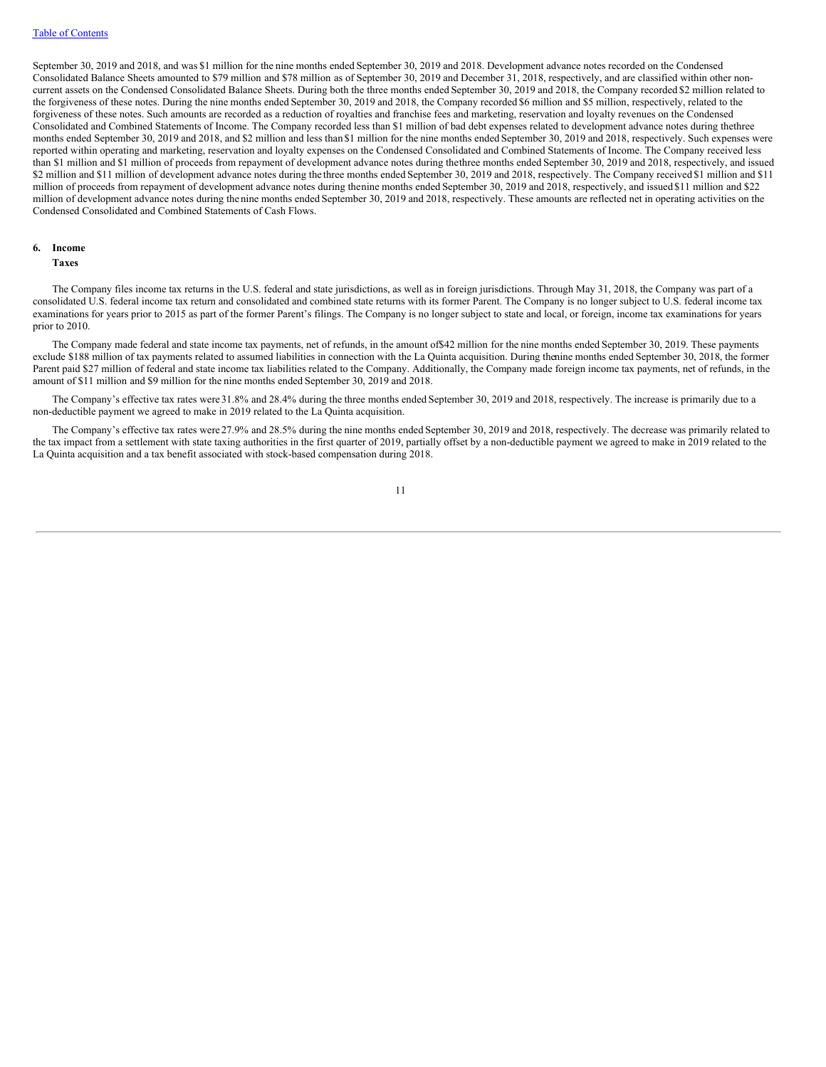September 30, 2019 and 2018, and was \$1 million for the nine months ended September 30, 2019 and 2018. Development advance notes recorded on the Condensed Consolidated Balance Sheets amounted to \$79 million and \$78 million as of September 30, 2019 and December 31, 2018, respectively, and are classified within other noncurrent assets on the Condensed Consolidated Balance Sheets. During both the three months ended September 30, 2019 and 2018, the Company recorded \$2 million related to the forgiveness of these notes. During the nine months ended September 30, 2019 and 2018, the Company recorded \$6 million and \$5 million, respectively, related to the forgiveness of these notes. Such amounts are recorded as a reduction of royalties and franchise fees and marketing, reservation and loyalty revenues on the Condensed Consolidated and Combined Statements of Income. The Company recorded less than \$1 million of bad debt expenses related to development advance notes during thethree months ended September 30, 2019 and 2018, and \$2 million and less than \$1 million for the nine months ended September 30, 2019 and 2018, respectively. Such expenses were reported within operating and marketing, reservation and loyalty expenses on the Condensed Consolidated and Combined Statements of Income. The Company received less than \$1 million and \$1 million of proceeds from repayment of development advance notes during thethree months ended September 30, 2019 and 2018, respectively, and issued \$2 million and \$11 million of development advance notes during the three months ended September 30, 2019 and 2018, respectively. The Company received \$1 million and \$11 million of proceeds from repayment of development advance notes during thenine months ended September 30, 2019 and 2018, respectively, and issued \$11 million and \$22 million of development advance notes during the nine months ended September 30, 2019 and 2018, respectively. These amounts are reflected net in operating activities on the Condensed Consolidated and Combined Statements of Cash Flows.

### **6. Income**

#### **Taxes**

The Company files income tax returns in the U.S. federal and state jurisdictions, as well as in foreign jurisdictions. Through May 31, 2018, the Company was part of a consolidated U.S. federal income tax return and consolidated and combined state returns with its former Parent. The Company is no longer subject to U.S. federal income tax examinations for years prior to 2015 as part of the former Parent's filings. The Company is no longer subject to state and local, or foreign, income tax examinations for years prior to 2010.

The Company made federal and state income tax payments, net of refunds, in the amount of\$42 million for the nine months ended September 30, 2019. These payments exclude \$188 million of tax payments related to assumed liabilities in connection with the La Quinta acquisition. During thenine months ended September 30, 2018, the former Parent paid \$27 million of federal and state income tax liabilities related to the Company. Additionally, the Company made foreign income tax payments, net of refunds, in the amount of \$11 million and \$9 million for the nine months ended September 30, 2019 and 2018.

The Company's effective tax rates were 31.8% and 28.4% during the three months ended September 30, 2019 and 2018, respectively. The increase is primarily due to a non-deductible payment we agreed to make in 2019 related to the La Quinta acquisition.

The Company's effective tax rates were 27.9% and 28.5% during the nine months ended September 30, 2019 and 2018, respectively. The decrease was primarily related to the tax impact from a settlement with state taxing authorities in the first quarter of 2019, partially offset by a non-deductible payment we agreed to make in 2019 related to the La Quinta acquisition and a tax benefit associated with stock-based compensation during 2018.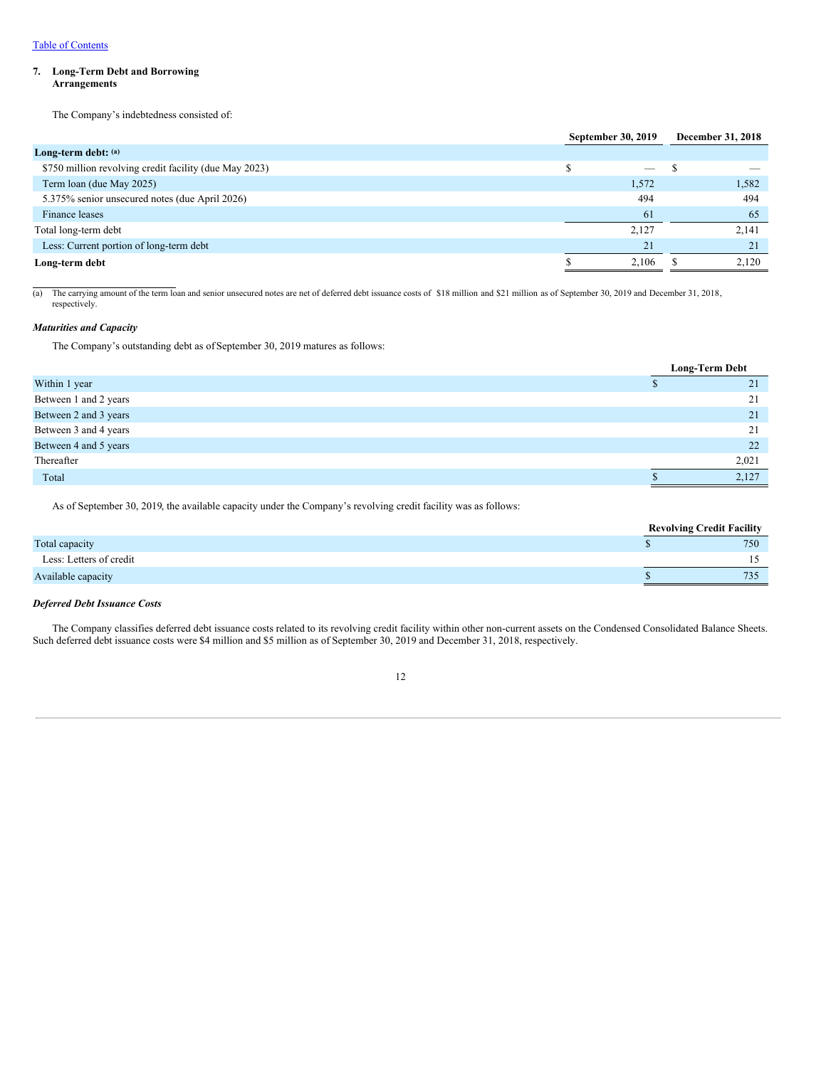### **7. Long-Term Debt and Borrowing Arrangements**

The Company's indebtedness consisted of:

|                                                        | September 30, 2019       | December 31, 2018 |
|--------------------------------------------------------|--------------------------|-------------------|
| Long-term debt: (a)                                    |                          |                   |
| \$750 million revolving credit facility (due May 2023) | $\overline{\phantom{a}}$ |                   |
| Term loan (due May 2025)                               | 1,572                    | 1,582             |
| 5.375% senior unsecured notes (due April 2026)         | 494                      | 494               |
| Finance leases                                         | 61                       | 65                |
| Total long-term debt                                   | 2.127                    | 2.141             |
| Less: Current portion of long-term debt                | 21                       | 21                |
| Long-term debt                                         | 2.106                    | 2.120             |

(a) The carrying amount of the term loan and senior unsecured notes are net of deferred debt issuance costs of \$18 million and \$21 million as of September 30, 2019 and December 31, 2018, respectively.

### *Maturities and Capacity*

The Company's outstanding debt as of September 30, 2019 matures as follows:

|                       | <b>Long-Term Debt</b> |
|-----------------------|-----------------------|
| Within 1 year         | 21                    |
| Between 1 and 2 years | 21                    |
| Between 2 and 3 years | 21                    |
| Between 3 and 4 years | 21                    |
| Between 4 and 5 years | 22                    |
| Thereafter            | 2,021                 |
| Total                 | 2,127                 |

As of September 30, 2019, the available capacity under the Company's revolving credit facility was as follows:

| Total capacity          | 750 |
|-------------------------|-----|
|                         |     |
| Less: Letters of credit |     |
| Available capacity      | 725 |

### *Deferred Debt Issuance Costs*

The Company classifies deferred debt issuance costs related to its revolving credit facility within other non-current assets on the Condensed Consolidated Balance Sheets. Such deferred debt issuance costs were \$4 million and \$5 million as of September 30, 2019 and December 31, 2018, respectively.

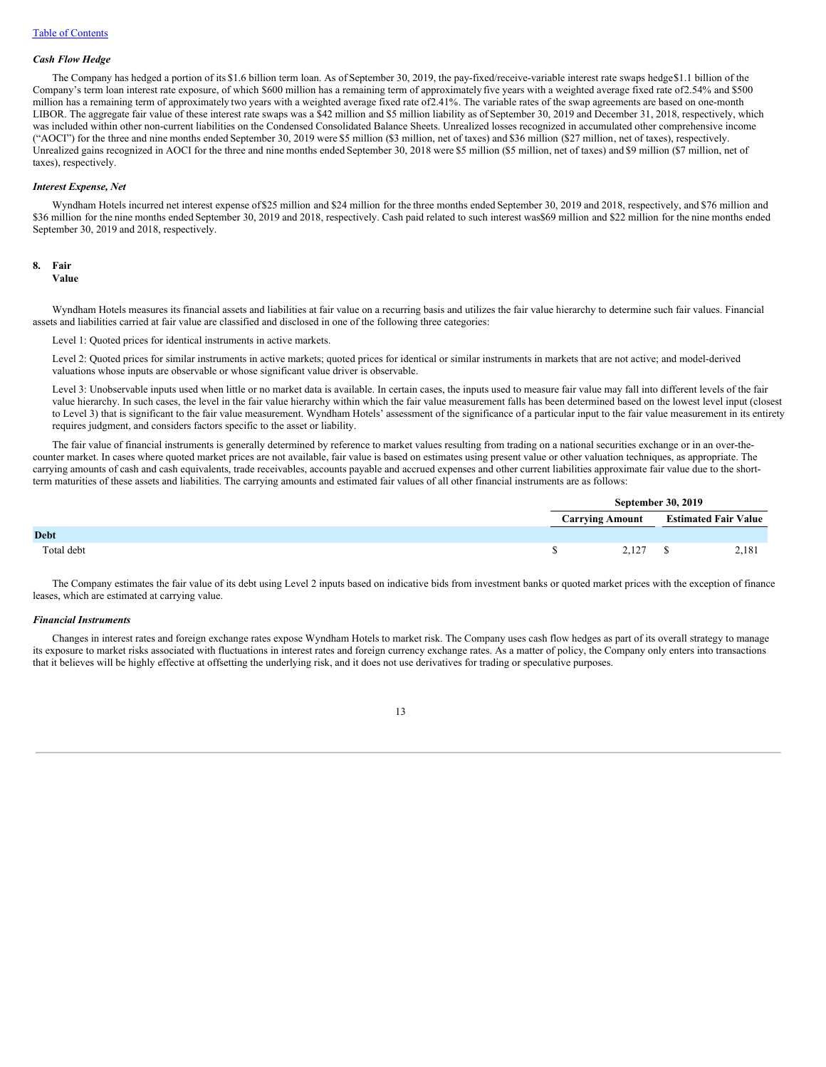#### *Cash Flow Hedge*

The Company has hedged a portion of its \$1.6 billion term loan. As of September 30, 2019, the pay-fixed/receive-variable interest rate swaps hedge\$1.1 billion of the Company's term loan interest rate exposure, of which \$600 million has a remaining term of approximately five years with a weighted average fixed rate of2.54% and \$500 million has a remaining term of approximately two years with a weighted average fixed rate of 2.41%. The variable rates of the swap agreements are based on one-month LIBOR. The aggregate fair value of these interest rate swaps was a \$42 million and \$5 million liability as of September 30, 2019 and December 31, 2018, respectively, which was included within other non-current liabilities on the Condensed Consolidated Balance Sheets. Unrealized losses recognized in accumulated other comprehensive income ("AOCI") for the three and nine months ended September 30, 2019 were \$5 million (\$3 million, net of taxes) and \$36 million (\$27 million, net of taxes), respectively. Unrealized gains recognized in AOCI for the three and nine months ended September 30, 2018 were \$5 million (\$5 million, net of taxes) and \$9 million (\$7 million, net of taxes), respectively.

#### *Interest Expense, Net*

Wyndham Hotels incurred net interest expense of\$25 million and \$24 million for the three months ended September 30, 2019 and 2018, respectively, and \$76 million and \$36 million for the nine months ended September 30, 2019 and 2018, respectively. Cash paid related to such interest was\$69 million and \$22 million for the nine months ended September 30, 2019 and 2018, respectively.

### **8. Fair**

**Value**

Wyndham Hotels measures its financial assets and liabilities at fair value on a recurring basis and utilizes the fair value hierarchy to determine such fair values. Financial assets and liabilities carried at fair value are classified and disclosed in one of the following three categories:

Level 1: Quoted prices for identical instruments in active markets.

Level 2: Quoted prices for similar instruments in active markets; quoted prices for identical or similar instruments in markets that are not active; and model-derived valuations whose inputs are observable or whose significant value driver is observable.

Level 3: Unobservable inputs used when little or no market data is available. In certain cases, the inputs used to measure fair value may fall into different levels of the fair value hierarchy. In such cases, the level in the fair value hierarchy within which the fair value measurement falls has been determined based on the lowest level input (closest to Level 3) that is significant to the fair value measurement. Wyndham Hotels' assessment of the significance of a particular input to the fair value measurement in its entirety requires judgment, and considers factors specific to the asset or liability.

The fair value of financial instruments is generally determined by reference to market values resulting from trading on a national securities exchange or in an over-thecounter market. In cases where quoted market prices are not available, fair value is based on estimates using present value or other valuation techniques, as appropriate. The carrying amounts of cash and cash equivalents, trade receivables, accounts payable and accrued expenses and other current liabilities approximate fair value due to the shortterm maturities of these assets and liabilities. The carrying amounts and estimated fair values of all other financial instruments are as follows:

|             | <b>September 30, 2019</b>                   |  |       |  |
|-------------|---------------------------------------------|--|-------|--|
|             | <b>Carrying Amount</b> Estimated Fair Value |  |       |  |
| <b>Debt</b> |                                             |  |       |  |
| Total debt  | 2.127                                       |  | 2,181 |  |

The Company estimates the fair value of its debt using Level 2 inputs based on indicative bids from investment banks or quoted market prices with the exception of finance leases, which are estimated at carrying value.

#### *Financial Instruments*

Changes in interest rates and foreign exchange rates expose Wyndham Hotels to market risk. The Company uses cash flow hedges as part of its overall strategy to manage its exposure to market risks associated with fluctuations in interest rates and foreign currency exchange rates. As a matter of policy, the Company only enters into transactions that it believes will be highly effective at offsetting the underlying risk, and it does not use derivatives for trading or speculative purposes.

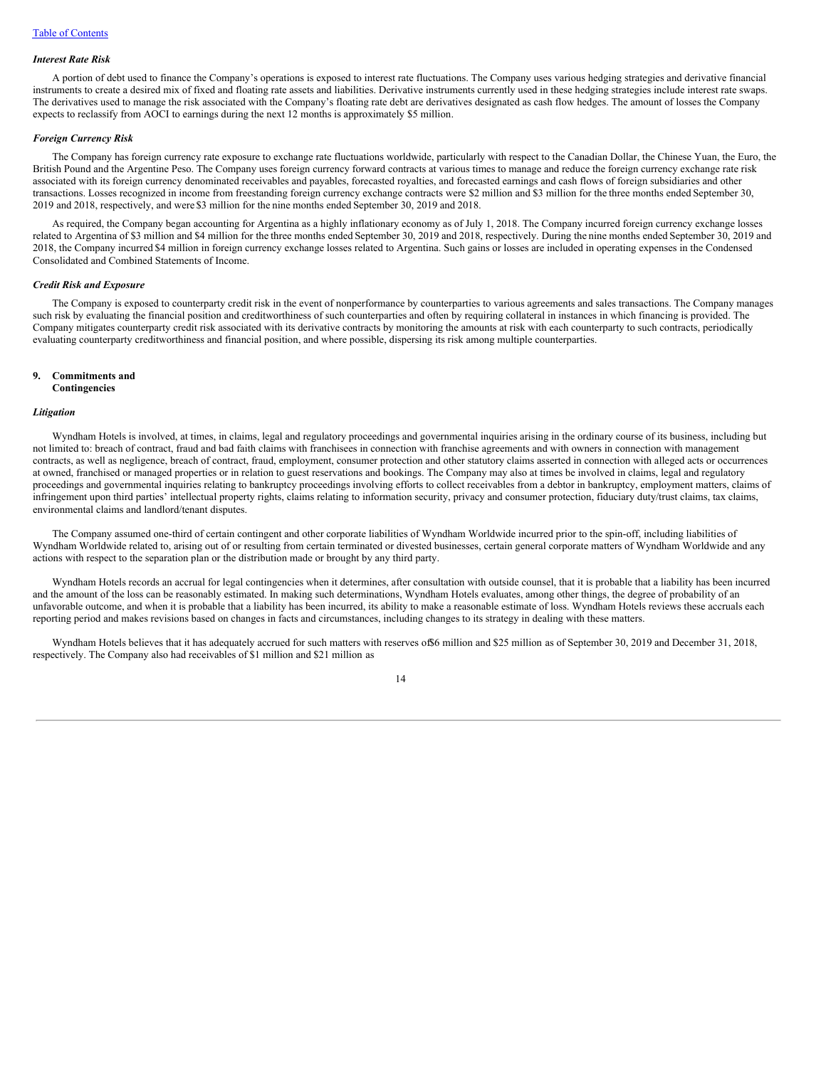#### *Interest Rate Risk*

A portion of debt used to finance the Company's operations is exposed to interest rate fluctuations. The Company uses various hedging strategies and derivative financial instruments to create a desired mix of fixed and floating rate assets and liabilities. Derivative instruments currently used in these hedging strategies include interest rate swaps. The derivatives used to manage the risk associated with the Company's floating rate debt are derivatives designated as cash flow hedges. The amount of losses the Company expects to reclassify from AOCI to earnings during the next 12 months is approximately \$5 million.

#### *Foreign Currency Risk*

The Company has foreign currency rate exposure to exchange rate fluctuations worldwide, particularly with respect to the Canadian Dollar, the Chinese Yuan, the Euro, the British Pound and the Argentine Peso. The Company uses foreign currency forward contracts at various times to manage and reduce the foreign currency exchange rate risk associated with its foreign currency denominated receivables and payables, forecasted royalties, and forecasted earnings and cash flows of foreign subsidiaries and other transactions. Losses recognized in income from freestanding foreign currency exchange contracts were \$2 million and \$3 million for the three months ended September 30, 2019 and 2018, respectively, and were \$3 million for the nine months ended September 30, 2019 and 2018.

As required, the Company began accounting for Argentina as a highly inflationary economy as of July 1, 2018. The Company incurred foreign currency exchange losses related to Argentina of \$3 million and \$4 million for the three months ended September 30, 2019 and 2018, respectively. During the nine months ended September 30, 2019 and 2018, the Company incurred \$4 million in foreign currency exchange losses related to Argentina. Such gains or losses are included in operating expenses in the Condensed Consolidated and Combined Statements of Income.

#### *Credit Risk and Exposure*

The Company is exposed to counterparty credit risk in the event of nonperformance by counterparties to various agreements and sales transactions. The Company manages such risk by evaluating the financial position and creditworthiness of such counterparties and often by requiring collateral in instances in which financing is provided. The Company mitigates counterparty credit risk associated with its derivative contracts by monitoring the amounts at risk with each counterparty to such contracts, periodically evaluating counterparty creditworthiness and financial position, and where possible, dispersing its risk among multiple counterparties.

### **9. Commitments and Contingencies**

### *Litigation*

Wyndham Hotels is involved, at times, in claims, legal and regulatory proceedings and governmental inquiries arising in the ordinary course of its business, including but not limited to: breach of contract, fraud and bad faith claims with franchisees in connection with franchise agreements and with owners in connection with management contracts, as well as negligence, breach of contract, fraud, employment, consumer protection and other statutory claims asserted in connection with alleged acts or occurrences at owned, franchised or managed properties or in relation to guest reservations and bookings. The Company may also at times be involved in claims, legal and regulatory proceedings and governmental inquiries relating to bankruptcy proceedings involving efforts to collect receivables from a debtor in bankruptcy, employment matters, claims of infringement upon third parties' intellectual property rights, claims relating to information security, privacy and consumer protection, fiduciary duty/trust claims, tax claims, environmental claims and landlord/tenant disputes.

The Company assumed one-third of certain contingent and other corporate liabilities of Wyndham Worldwide incurred prior to the spin-off, including liabilities of Wyndham Worldwide related to, arising out of or resulting from certain terminated or divested businesses, certain general corporate matters of Wyndham Worldwide and any actions with respect to the separation plan or the distribution made or brought by any third party.

Wyndham Hotels records an accrual for legal contingencies when it determines, after consultation with outside counsel, that it is probable that a liability has been incurred and the amount of the loss can be reasonably estimated. In making such determinations, Wyndham Hotels evaluates, among other things, the degree of probability of an unfavorable outcome, and when it is probable that a liability has been incurred, its ability to make a reasonable estimate of loss. Wyndham Hotels reviews these accruals each reporting period and makes revisions based on changes in facts and circumstances, including changes to its strategy in dealing with these matters.

Wyndham Hotels believes that it has adequately accrued for such matters with reserves of\$6 million and \$25 million as of September 30, 2019 and December 31, 2018, respectively. The Company also had receivables of \$1 million and \$21 million as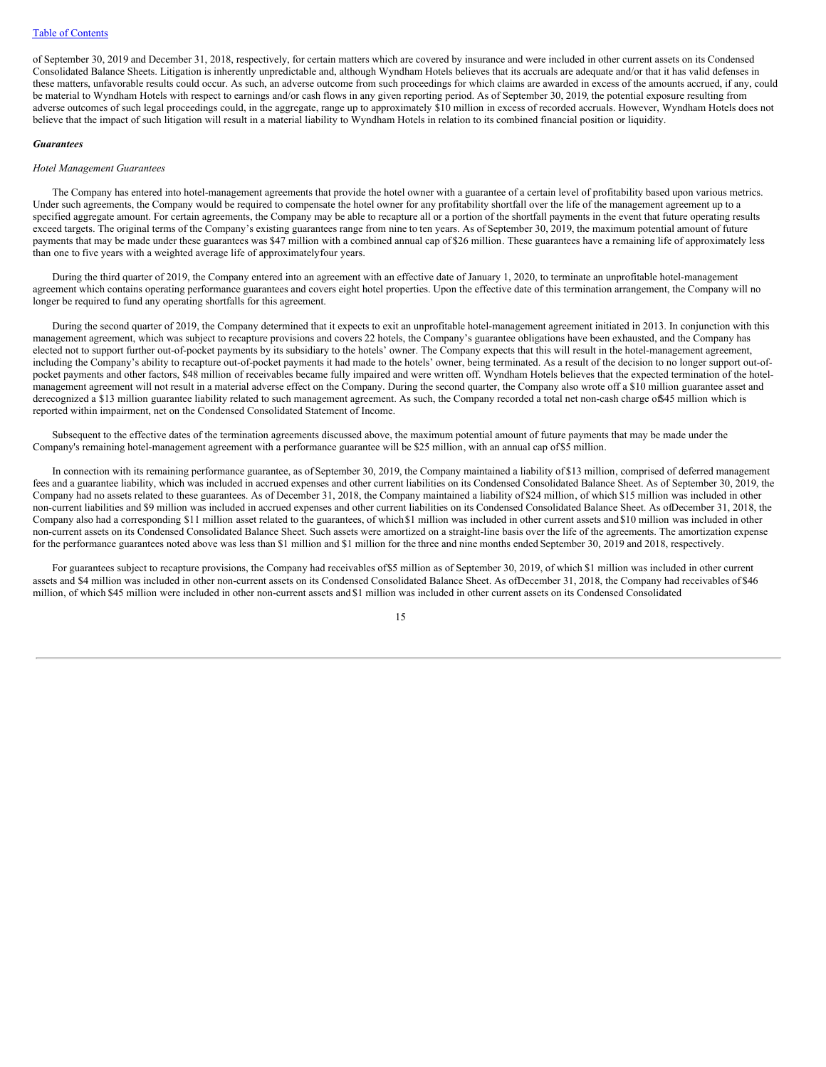of September 30, 2019 and December 31, 2018, respectively, for certain matters which are covered by insurance and were included in other current assets on its Condensed Consolidated Balance Sheets. Litigation is inherently unpredictable and, although Wyndham Hotels believes that its accruals are adequate and/or that it has valid defenses in these matters, unfavorable results could occur. As such, an adverse outcome from such proceedings for which claims are awarded in excess of the amounts accrued, if any, could be material to Wyndham Hotels with respect to earnings and/or cash flows in any given reporting period. As of September 30, 2019, the potential exposure resulting from adverse outcomes of such legal proceedings could, in the aggregate, range up to approximately \$10 million in excess of recorded accruals. However, Wyndham Hotels does not believe that the impact of such litigation will result in a material liability to Wyndham Hotels in relation to its combined financial position or liquidity.

#### *Guarantees*

### *Hotel Management Guarantees*

The Company has entered into hotel-management agreements that provide the hotel owner with a guarantee of a certain level of profitability based upon various metrics. Under such agreements, the Company would be required to compensate the hotel owner for any profitability shortfall over the life of the management agreement up to a specified aggregate amount. For certain agreements, the Company may be able to recapture all or a portion of the shortfall payments in the event that future operating results exceed targets. The original terms of the Company's existing guarantees range from nine to ten years. As of September 30, 2019, the maximum potential amount of future payments that may be made under these guarantees was \$47 million with a combined annual cap of \$26 million. These guarantees have a remaining life of approximately less than one to five years with a weighted average life of approximatelyfour years.

During the third quarter of 2019, the Company entered into an agreement with an effective date of January 1, 2020, to terminate an unprofitable hotel-management agreement which contains operating performance guarantees and covers eight hotel properties. Upon the effective date of this termination arrangement, the Company will no longer be required to fund any operating shortfalls for this agreement.

During the second quarter of 2019, the Company determined that it expects to exit an unprofitable hotel-management agreement initiated in 2013. In conjunction with this management agreement, which was subject to recapture provisions and covers 22 hotels, the Company's guarantee obligations have been exhausted, and the Company has elected not to support further out-of-pocket payments by its subsidiary to the hotels' owner. The Company expects that this will result in the hotel-management agreement, including the Company's ability to recapture out-of-pocket payments it had made to the hotels' owner, being terminated. As a result of the decision to no longer support out-ofpocket payments and other factors, \$48 million of receivables became fully impaired and were written off. Wyndham Hotels believes that the expected termination of the hotelmanagement agreement will not result in a material adverse effect on the Company. During the second quarter, the Company also wrote off a \$10 million guarantee asset and derecognized a \$13 million guarantee liability related to such management agreement. As such, the Company recorded a total net non-cash charge of \$45 million which is reported within impairment, net on the Condensed Consolidated Statement of Income.

Subsequent to the effective dates of the termination agreements discussed above, the maximum potential amount of future payments that may be made under the Company's remaining hotel-management agreement with a performance guarantee will be \$25 million, with an annual cap of \$5 million.

In connection with its remaining performance guarantee, as of September 30, 2019, the Company maintained a liability of \$13 million, comprised of deferred management fees and a guarantee liability, which was included in accrued expenses and other current liabilities on its Condensed Consolidated Balance Sheet. As of September 30, 2019, the Company had no assets related to these guarantees. As of December 31, 2018, the Company maintained a liability of \$24 million, of which \$15 million was included in other non-current liabilities and \$9 million was included in accrued expenses and other current liabilities on its Condensed Consolidated Balance Sheet. As ofDecember 31, 2018, the Company also had a corresponding \$11 million asset related to the guarantees, of which\$1 million was included in other current assets and \$10 million was included in other non-current assets on its Condensed Consolidated Balance Sheet. Such assets were amortized on a straight-line basis over the life of the agreements. The amortization expense for the performance guarantees noted above was less than \$1 million and \$1 million for the three and nine months ended September 30, 2019 and 2018, respectively.

For guarantees subject to recapture provisions, the Company had receivables of\$5 million as of September 30, 2019, of which \$1 million was included in other current assets and \$4 million was included in other non-current assets on its Condensed Consolidated Balance Sheet. As ofDecember 31, 2018, the Company had receivables of \$46 million, of which \$45 million were included in other non-current assets and \$1 million was included in other current assets on its Condensed Consolidated

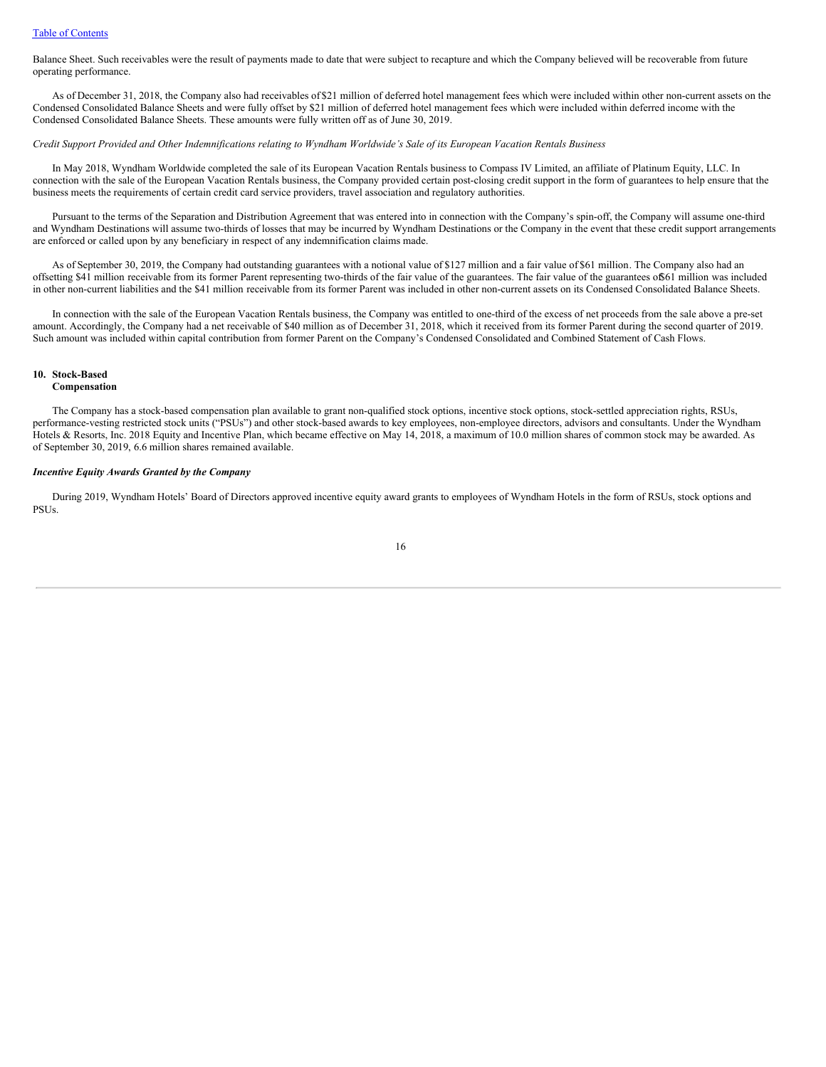Balance Sheet. Such receivables were the result of payments made to date that were subject to recapture and which the Company believed will be recoverable from future operating performance.

As of December 31, 2018, the Company also had receivables of \$21 million of deferred hotel management fees which were included within other non-current assets on the Condensed Consolidated Balance Sheets and were fully offset by \$21 million of deferred hotel management fees which were included within deferred income with the Condensed Consolidated Balance Sheets. These amounts were fully written off as of June 30, 2019.

#### Credit Support Provided and Other Indemnifications relating to Wyndham Worldwide's Sale of its European Vacation Rentals Business

In May 2018, Wyndham Worldwide completed the sale of its European Vacation Rentals business to Compass IV Limited, an affiliate of Platinum Equity, LLC. In connection with the sale of the European Vacation Rentals business, the Company provided certain post-closing credit support in the form of guarantees to help ensure that the business meets the requirements of certain credit card service providers, travel association and regulatory authorities.

Pursuant to the terms of the Separation and Distribution Agreement that was entered into in connection with the Company's spin-off, the Company will assume one-third and Wyndham Destinations will assume two-thirds of losses that may be incurred by Wyndham Destinations or the Company in the event that these credit support arrangements are enforced or called upon by any beneficiary in respect of any indemnification claims made.

As of September 30, 2019, the Company had outstanding guarantees with a notional value of \$127 million and a fair value of \$61 million. The Company also had an offsetting \$41 million receivable from its former Parent representing two-thirds of the fair value of the guarantees. The fair value of the guarantees of\$61 million was included in other non-current liabilities and the \$41 million receivable from its former Parent was included in other non-current assets on its Condensed Consolidated Balance Sheets.

In connection with the sale of the European Vacation Rentals business, the Company was entitled to one-third of the excess of net proceeds from the sale above a pre-set amount. Accordingly, the Company had a net receivable of \$40 million as of December 31, 2018, which it received from its former Parent during the second quarter of 2019. Such amount was included within capital contribution from former Parent on the Company's Condensed Consolidated and Combined Statement of Cash Flows.

### **10. Stock-Based Compensation**

The Company has a stock-based compensation plan available to grant non-qualified stock options, incentive stock options, stock-settled appreciation rights, RSUs, performance-vesting restricted stock units ("PSUs") and other stock-based awards to key employees, non-employee directors, advisors and consultants. Under the Wyndham Hotels & Resorts, Inc. 2018 Equity and Incentive Plan, which became effective on May 14, 2018, a maximum of 10.0 million shares of common stock may be awarded. As of September 30, 2019, 6.6 million shares remained available.

### *Incentive Equity Awards Granted by the Company*

During 2019, Wyndham Hotels' Board of Directors approved incentive equity award grants to employees of Wyndham Hotels in the form of RSUs, stock options and PSUs.

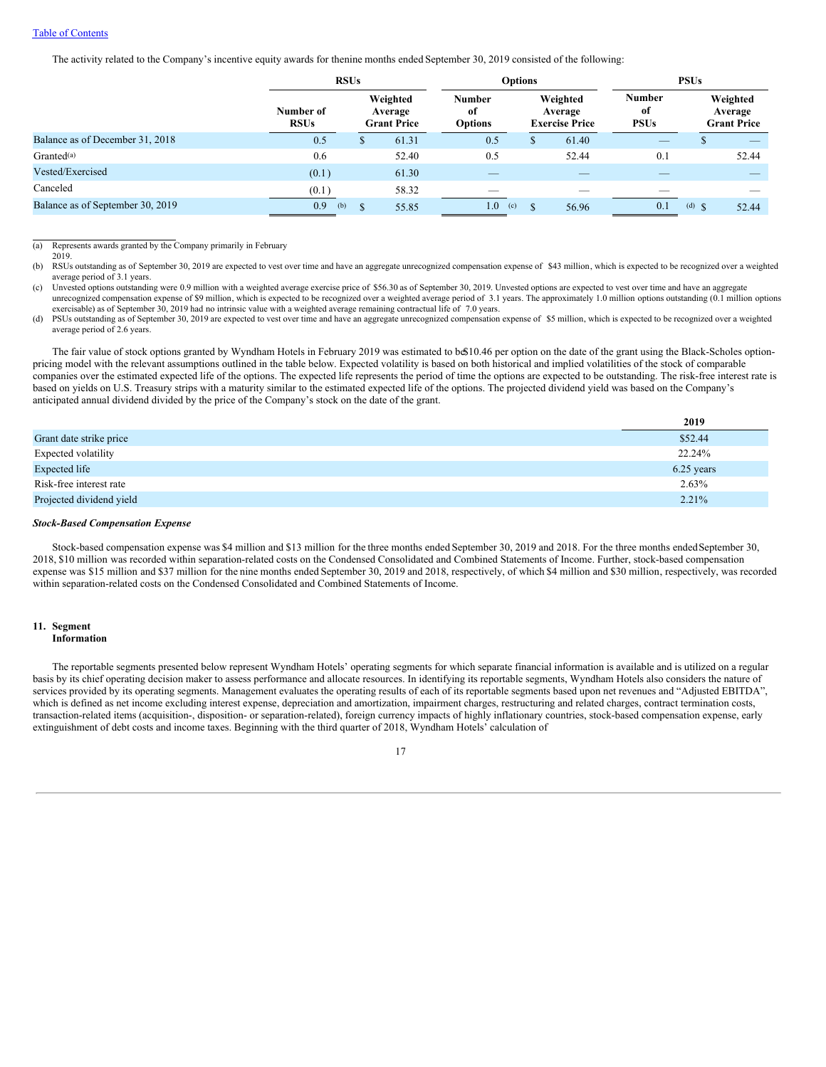### Table of [Contents](#page-1-0)

The activity related to the Company's incentive equity awards for thenine months ended September 30, 2019 consisted of the following:

|                                  | <b>RSUs</b><br><b>Options</b> |                                           |       |                                       | <b>PSUs</b>                                  |       |     |            |                                    |  |                                           |
|----------------------------------|-------------------------------|-------------------------------------------|-------|---------------------------------------|----------------------------------------------|-------|-----|------------|------------------------------------|--|-------------------------------------------|
|                                  | Number of<br><b>RSUs</b>      | Weighted<br>Average<br><b>Grant Price</b> |       | <b>Number</b><br>of<br><b>Options</b> | Weighted<br>Average<br><b>Exercise Price</b> |       |     |            | <b>Number</b><br>оf<br><b>PSUs</b> |  | Weighted<br>Average<br><b>Grant Price</b> |
| Balance as of December 31, 2018  | 0.5                           | D                                         | 61.31 | 0.5                                   |                                              | 61.40 | _   |            |                                    |  |                                           |
| $Granted^{(a)}$                  | 0.6                           |                                           | 52.40 | 0.5                                   |                                              | 52.44 | 0.1 |            | 52.44                              |  |                                           |
| Vested/Exercised                 | (0.1)                         |                                           | 61.30 |                                       |                                              |       |     |            |                                    |  |                                           |
| Canceled                         | (0.1)                         |                                           | 58.32 |                                       |                                              |       |     |            |                                    |  |                                           |
| Balance as of September 30, 2019 | 0.9<br>(b)                    |                                           | 55.85 | 1.0 <sub>1</sub><br>(c)               |                                              | 56.96 | 0.1 | (d) $\int$ | 52.44                              |  |                                           |

(a) Represents awards granted by the Company primarily in February

2019.

(b) RSUs outstanding as of September 30, 2019 are expected to vest over time and have an aggregate unrecognized compensation expense of \$43 million, which is expected to be recognized over a weighted average period of 3.1 years.

(c) Unvested options outstanding were 0.9 million with a weighted average exercise price of \$56.30 as of September 30, 2019. Unvested options are expected to vest over time and have an aggregate unrecognized compensation expense of \$9 million, which is expected to be recognized over a weighted average period of 3.1 years. The approximately 1.0 million options outstanding (0.1 million options exercisable) as of September 30, 2019 had no intrinsic value with a weighted average remaining contractual life of 7.0 years.

(d) PSUs outstanding as of September 30, 2019 are expected to vest over time and have an aggregate unrecognized compensation expense of \$5 million, which is expected to be recognized over a weighted average period of 2.6 years.

The fair value of stock options granted by Wyndham Hotels in February 2019 was estimated to b\$10.46 per option on the date of the grant using the Black-Scholes optionpricing model with the relevant assumptions outlined in the table below. Expected volatility is based on both historical and implied volatilities of the stock of comparable companies over the estimated expected life of the options. The expected life represents the period of time the options are expected to be outstanding. The risk-free interest rate is based on yields on U.S. Treasury strips with a maturity similar to the estimated expected life of the options. The projected dividend yield was based on the Company's anticipated annual dividend divided by the price of the Company's stock on the date of the grant.

|                          | 2019       |
|--------------------------|------------|
| Grant date strike price  | \$52.44    |
| Expected volatility      | 22.24%     |
| Expected life            | 6.25 years |
| Risk-free interest rate  | 2.63%      |
| Projected dividend yield | 2.21%      |

#### *Stock-Based Compensation Expense*

Stock-based compensation expense was \$4 million and \$13 million for the three months ended September 30, 2019 and 2018. For the three months endedSeptember 30, 2018, \$10 million was recorded within separation-related costs on the Condensed Consolidated and Combined Statements of Income. Further, stock-based compensation expense was \$15 million and \$37 million for the nine months ended September 30, 2019 and 2018, respectively, of which \$4 million and \$30 million, respectively, was recorded within separation-related costs on the Condensed Consolidated and Combined Statements of Income.

# **11. Segment**

**Information**

The reportable segments presented below represent Wyndham Hotels' operating segments for which separate financial information is available and is utilized on a regular basis by its chief operating decision maker to assess performance and allocate resources. In identifying its reportable segments, Wyndham Hotels also considers the nature of services provided by its operating segments. Management evaluates the operating results of each of its reportable segments based upon net revenues and "Adjusted EBITDA", which is defined as net income excluding interest expense, depreciation and amortization, impairment charges, restructuring and related charges, contract termination costs, transaction-related items (acquisition-, disposition- or separation-related), foreign currency impacts of highly inflationary countries, stock-based compensation expense, early extinguishment of debt costs and income taxes. Beginning with the third quarter of 2018, Wyndham Hotels' calculation of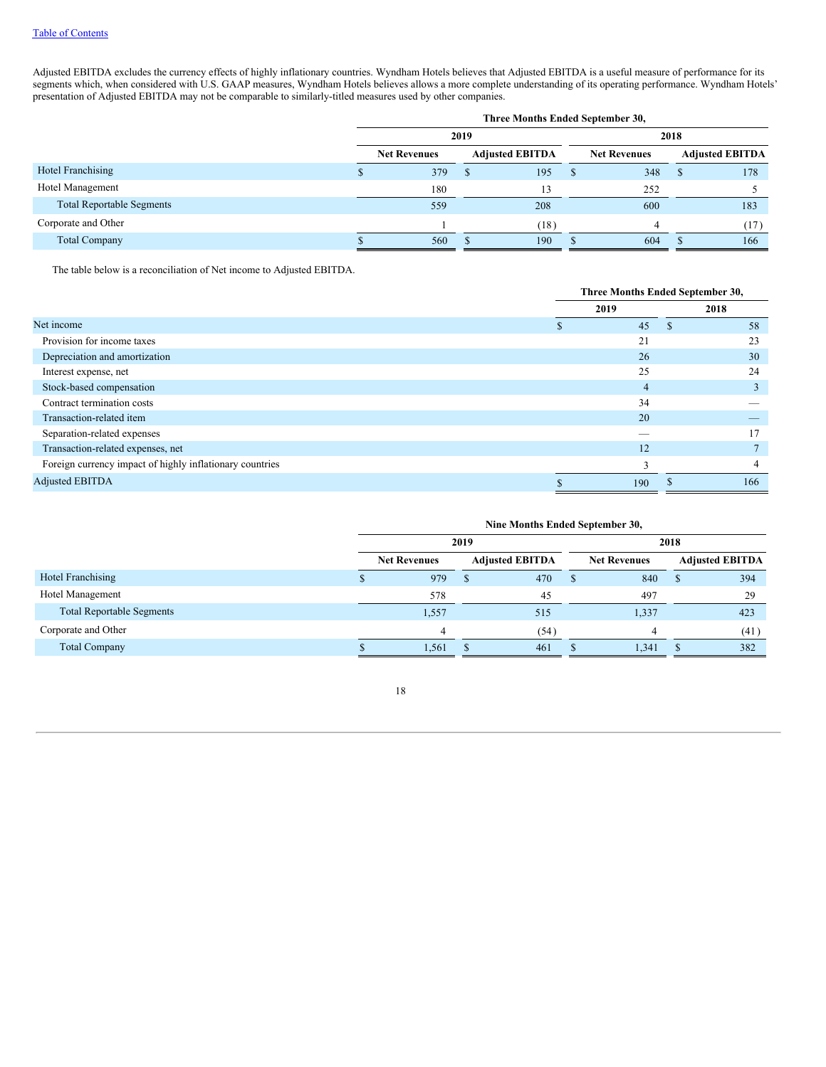Adjusted EBITDA excludes the currency effects of highly inflationary countries. Wyndham Hotels believes that Adjusted EBITDA is a useful measure of performance for its segments which, when considered with U.S. GAAP measures, Wyndham Hotels believes allows a more complete understanding of its operating performance. Wyndham Hotels' presentation of Adjusted EBITDA may not be comparable to similarly-titled measures used by other companies.

|                                  | Three Months Ended September 30, |                     |                        |      |                     |     |                        |      |  |
|----------------------------------|----------------------------------|---------------------|------------------------|------|---------------------|-----|------------------------|------|--|
|                                  | 2019                             |                     |                        |      | 2018                |     |                        |      |  |
|                                  |                                  | <b>Net Revenues</b> | <b>Adjusted EBITDA</b> |      | <b>Net Revenues</b> |     | <b>Adjusted EBITDA</b> |      |  |
| Hotel Franchising                |                                  | 379                 | Ъ.                     | 195  |                     | 348 | $\mathbf{s}$           | 178  |  |
| Hotel Management                 |                                  | 180                 |                        | 13   |                     | 252 |                        |      |  |
| <b>Total Reportable Segments</b> |                                  | 559                 |                        | 208  |                     | 600 |                        | 183  |  |
| Corporate and Other              |                                  |                     |                        | (18) |                     |     |                        | (17) |  |
| <b>Total Company</b>             |                                  | 560                 |                        | 190  |                     | 604 |                        | 166  |  |

The table below is a reconciliation of Net income to Adjusted EBITDA.

|                                                          | Three Months Ended September 30, |                |               |     |  |
|----------------------------------------------------------|----------------------------------|----------------|---------------|-----|--|
|                                                          |                                  | 2019           | 2018          |     |  |
| Net income                                               |                                  | 45             | <sup>\$</sup> | 58  |  |
| Provision for income taxes                               |                                  | 21             |               | 23  |  |
| Depreciation and amortization                            |                                  | 26             |               | 30  |  |
| Interest expense, net                                    |                                  | 25             |               | 24  |  |
| Stock-based compensation                                 |                                  | $\overline{4}$ |               |     |  |
| Contract termination costs                               |                                  | 34             |               |     |  |
| Transaction-related item                                 |                                  | 20             |               |     |  |
| Separation-related expenses                              |                                  |                |               | 17  |  |
| Transaction-related expenses, net                        |                                  | 12             |               |     |  |
| Foreign currency impact of highly inflationary countries |                                  | $\sim$         |               | 4   |  |
| <b>Adjusted EBITDA</b>                                   |                                  | 190            |               | 166 |  |

|                                  | Nine Months Ended September 30,               |       |  |      |   |       |                     |                        |  |  |
|----------------------------------|-----------------------------------------------|-------|--|------|---|-------|---------------------|------------------------|--|--|
|                                  |                                               | 2019  |  |      |   | 2018  |                     |                        |  |  |
|                                  | <b>Net Revenues</b><br><b>Adjusted EBITDA</b> |       |  |      |   |       | <b>Net Revenues</b> | <b>Adjusted EBITDA</b> |  |  |
| <b>Hotel Franchising</b>         |                                               | 979   |  | 470  | Ф | 840   | <b>S</b>            | 394                    |  |  |
| Hotel Management                 |                                               | 578   |  | 45   |   | 497   |                     | 29                     |  |  |
| <b>Total Reportable Segments</b> |                                               | 1,557 |  | 515  |   | 1,337 |                     | 423                    |  |  |
| Corporate and Other              |                                               |       |  | (54) |   |       |                     | (41)                   |  |  |
| <b>Total Company</b>             |                                               | 1,561 |  | 461  |   | 1,341 |                     | 382                    |  |  |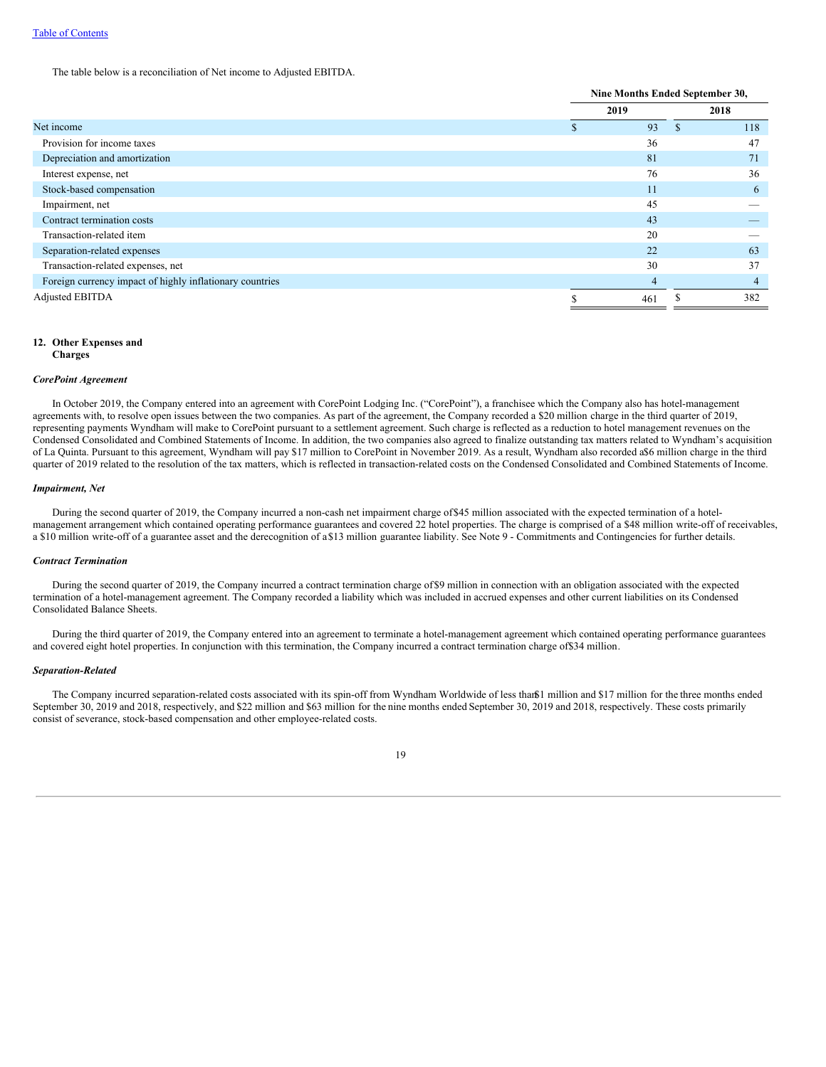The table below is a reconciliation of Net income to Adjusted EBITDA.

|                                                          | Nine Months Ended September 30, |      |               |      |
|----------------------------------------------------------|---------------------------------|------|---------------|------|
|                                                          |                                 | 2019 |               | 2018 |
| Net income                                               |                                 | 93   | <sup>\$</sup> | 118  |
| Provision for income taxes                               |                                 | 36   |               | 47   |
| Depreciation and amortization                            |                                 | 81   |               | 71   |
| Interest expense, net                                    |                                 | 76   |               | 36   |
| Stock-based compensation                                 |                                 | 11   |               | 6    |
| Impairment, net                                          |                                 | 45   |               |      |
| Contract termination costs                               |                                 | 43   |               |      |
| Transaction-related item                                 |                                 | 20   |               |      |
| Separation-related expenses                              |                                 | 22   |               | 63   |
| Transaction-related expenses, net                        |                                 | 30   |               | 37   |
| Foreign currency impact of highly inflationary countries |                                 | 4    |               | 4    |
| Adjusted EBITDA                                          |                                 | 461  |               | 382  |

# **12. Other Expenses and**

### **Charges**

#### *CorePoint Agreement*

In October 2019, the Company entered into an agreement with CorePoint Lodging Inc. ("CorePoint"), a franchisee which the Company also has hotel-management agreements with, to resolve open issues between the two companies. As part of the agreement, the Company recorded a \$20 million charge in the third quarter of 2019, representing payments Wyndham will make to CorePoint pursuant to a settlement agreement. Such charge is reflected as a reduction to hotel management revenues on the Condensed Consolidated and Combined Statements of Income. In addition, the two companies also agreed to finalize outstanding tax matters related to Wyndham's acquisition of La Quinta. Pursuant to this agreement, Wyndham will pay \$17 million to CorePoint in November 2019. As a result, Wyndham also recorded a\$6 million charge in the third quarter of 2019 related to the resolution of the tax matters, which is reflected in transaction-related costs on the Condensed Consolidated and Combined Statements of Income.

#### *Impairment, Net*

During the second quarter of 2019, the Company incurred a non-cash net impairment charge of\$45 million associated with the expected termination of a hotelmanagement arrangement which contained operating performance guarantees and covered 22 hotel properties. The charge is comprised of a \$48 million write-off of receivables, a \$10 million write-off of a guarantee asset and the derecognition of a\$13 million guarantee liability. See Note 9 - Commitments and Contingencies for further details.

### *Contract Termination*

During the second quarter of 2019, the Company incurred a contract termination charge of\$9 million in connection with an obligation associated with the expected termination of a hotel-management agreement. The Company recorded a liability which was included in accrued expenses and other current liabilities on its Condensed Consolidated Balance Sheets.

During the third quarter of 2019, the Company entered into an agreement to terminate a hotel-management agreement which contained operating performance guarantees and covered eight hotel properties. In conjunction with this termination, the Company incurred a contract termination charge of\$34 million.

### *Separation-Related*

The Company incurred separation-related costs associated with its spin-off from Wyndham Worldwide of less than\$1 million and \$17 million for the three months ended September 30, 2019 and 2018, respectively, and \$22 million and \$63 million for the nine months ended September 30, 2019 and 2018, respectively. These costs primarily consist of severance, stock-based compensation and other employee-related costs.

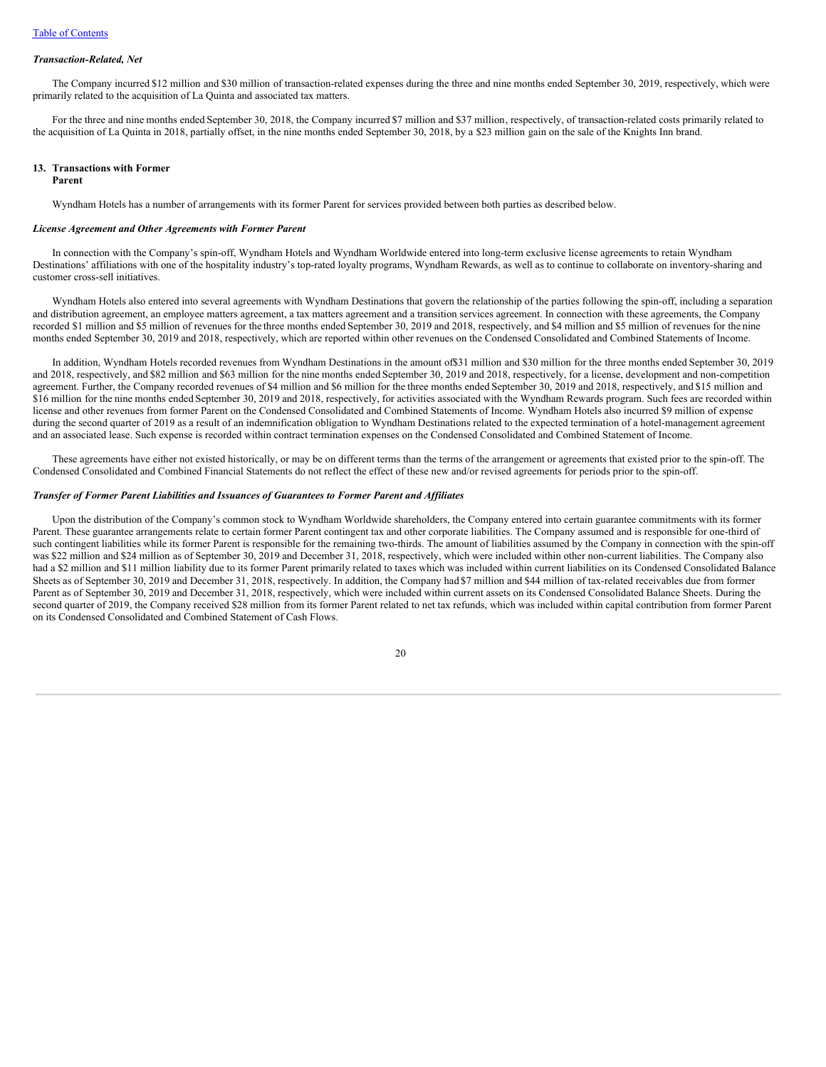#### *Transaction-Related, Net*

The Company incurred \$12 million and \$30 million of transaction-related expenses during the three and nine months ended September 30, 2019, respectively, which were primarily related to the acquisition of La Quinta and associated tax matters.

For the three and nine months ended September 30, 2018, the Company incurred \$7 million and \$37 million, respectively, of transaction-related costs primarily related to the acquisition of La Quinta in 2018, partially offset, in the nine months ended September 30, 2018, by a \$23 million gain on the sale of the Knights Inn brand.

#### **13. Transactions with Former Parent**

Wyndham Hotels has a number of arrangements with its former Parent for services provided between both parties as described below.

#### *License Agreement and Other Agreements with Former Parent*

In connection with the Company's spin-off, Wyndham Hotels and Wyndham Worldwide entered into long-term exclusive license agreements to retain Wyndham Destinations' affiliations with one of the hospitality industry's top-rated loyalty programs, Wyndham Rewards, as well as to continue to collaborate on inventory-sharing and customer cross-sell initiatives.

Wyndham Hotels also entered into several agreements with Wyndham Destinations that govern the relationship of the parties following the spin-off, including a separation and distribution agreement, an employee matters agreement, a tax matters agreement and a transition services agreement. In connection with these agreements, the Company recorded \$1 million and \$5 million of revenues for the three months ended September 30, 2019 and 2018, respectively, and \$4 million and \$5 million of revenues for the nine months ended September 30, 2019 and 2018, respectively, which are reported within other revenues on the Condensed Consolidated and Combined Statements of Income.

In addition, Wyndham Hotels recorded revenues from Wyndham Destinations in the amount of\$31 million and \$30 million for the three months ended September 30, 2019 and 2018, respectively, and \$82 million and \$63 million for the nine months ended September 30, 2019 and 2018, respectively, for a license, development and non-competition agreement. Further, the Company recorded revenues of \$4 million and \$6 million for the three months ended September 30, 2019 and 2018, respectively, and \$15 million and \$16 million for the nine months ended September 30, 2019 and 2018, respectively, for activities associated with the Wyndham Rewards program. Such fees are recorded within license and other revenues from former Parent on the Condensed Consolidated and Combined Statements of Income. Wyndham Hotels also incurred \$9 million of expense during the second quarter of 2019 as a result of an indemnification obligation to Wyndham Destinations related to the expected termination of a hotel-management agreement and an associated lease. Such expense is recorded within contract termination expenses on the Condensed Consolidated and Combined Statement of Income.

These agreements have either not existed historically, or may be on different terms than the terms of the arrangement or agreements that existed prior to the spin-off. The Condensed Consolidated and Combined Financial Statements do not reflect the effect of these new and/or revised agreements for periods prior to the spin-off.

### *Transfer of Former Parent Liabilities and Issuances of Guarantees to Former Parent and Af iliates*

Upon the distribution of the Company's common stock to Wyndham Worldwide shareholders, the Company entered into certain guarantee commitments with its former Parent. These guarantee arrangements relate to certain former Parent contingent tax and other corporate liabilities. The Company assumed and is responsible for one-third of such contingent liabilities while its former Parent is responsible for the remaining two-thirds. The amount of liabilities assumed by the Company in connection with the spin-off was \$22 million and \$24 million as of September 30, 2019 and December 31, 2018, respectively, which were included within other non-current liabilities. The Company also had a \$2 million and \$11 million liability due to its former Parent primarily related to taxes which was included within current liabilities on its Condensed Consolidated Balance Sheets as of September 30, 2019 and December 31, 2018, respectively. In addition, the Company had \$7 million and \$44 million of tax-related receivables due from former Parent as of September 30, 2019 and December 31, 2018, respectively, which were included within current assets on its Condensed Consolidated Balance Sheets. During the second quarter of 2019, the Company received \$28 million from its former Parent related to net tax refunds, which was included within capital contribution from former Parent on its Condensed Consolidated and Combined Statement of Cash Flows.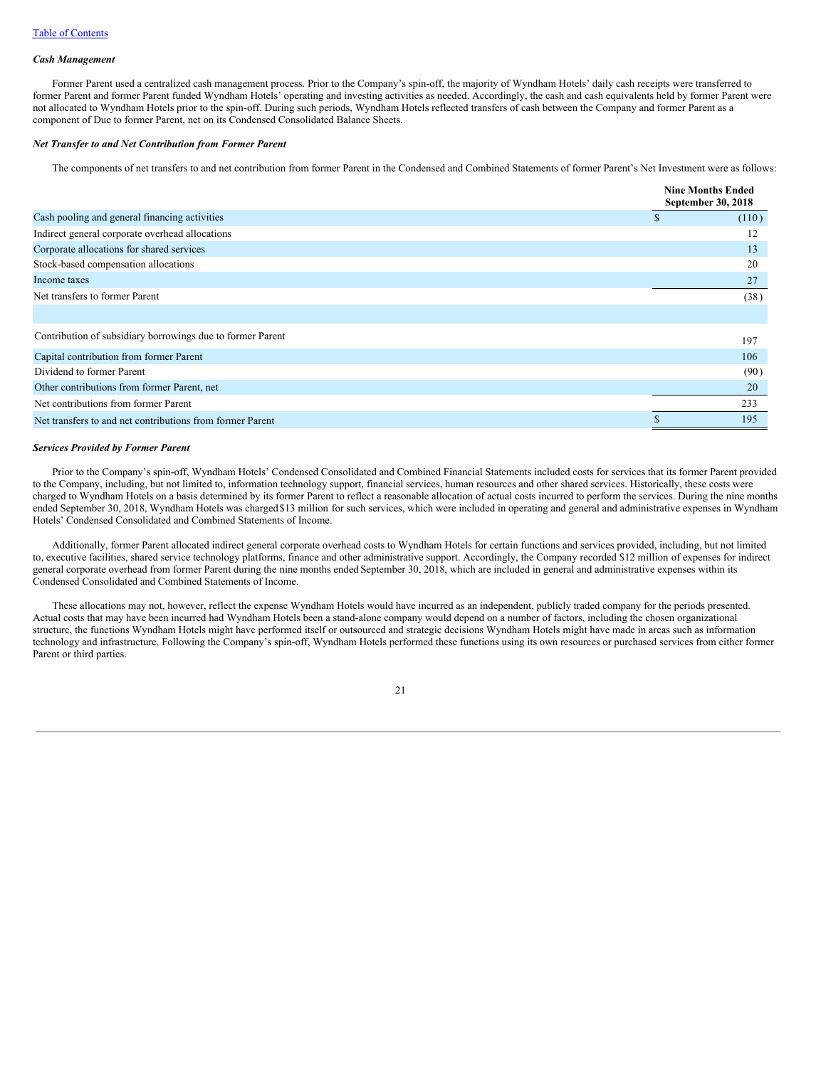#### *Cash Management*

Former Parent used a centralized cash management process. Prior to the Company's spin-off, the majority of Wyndham Hotels' daily cash receipts were transferred to former Parent and former Parent funded Wyndham Hotels' operating and investing activities as needed. Accordingly, the cash and cash equivalents held by former Parent were not allocated to Wyndham Hotels prior to the spin-off. During such periods, Wyndham Hotels reflected transfers of cash between the Company and former Parent as a component of Due to former Parent, net on its Condensed Consolidated Balance Sheets.

#### *Net Transfer to and Net Contribution from Former Parent*

The components of net transfers to and net contribution from former Parent in the Condensed and Combined Statements of former Parent's Net Investment were as follows:

|                                                            | <b>Nine Months Ended</b><br>September 30, 2018 |
|------------------------------------------------------------|------------------------------------------------|
| Cash pooling and general financing activities              | (110)<br>S                                     |
| Indirect general corporate overhead allocations            | 12                                             |
| Corporate allocations for shared services                  | 13                                             |
| Stock-based compensation allocations                       | 20                                             |
| Income taxes                                               | 27                                             |
| Net transfers to former Parent                             | (38)                                           |
|                                                            |                                                |
| Contribution of subsidiary borrowings due to former Parent | 197                                            |
| Capital contribution from former Parent                    | 106                                            |
| Dividend to former Parent                                  | (90)                                           |
| Other contributions from former Parent, net                | 20                                             |
| Net contributions from former Parent                       | 233                                            |
| Net transfers to and net contributions from former Parent  | 195                                            |

#### *Services Provided by Former Parent*

Prior to the Company's spin-off, Wyndham Hotels' Condensed Consolidated and Combined Financial Statements included costs for services that its former Parent provided to the Company, including, but not limited to, information technology support, financial services, human resources and other shared services. Historically, these costs were charged to Wyndham Hotels on a basis determined by its former Parent to reflect a reasonable allocation of actual costs incurred to perform the services. During the nine months ended September 30, 2018, Wyndham Hotels was charged\$13 million for such services, which were included in operating and general and administrative expenses in Wyndham Hotels' Condensed Consolidated and Combined Statements of Income.

Additionally, former Parent allocated indirect general corporate overhead costs to Wyndham Hotels for certain functions and services provided, including, but not limited to, executive facilities, shared service technology platforms, finance and other administrative support. Accordingly, the Company recorded \$12 million of expenses for indirect general corporate overhead from former Parent during the nine months ended September 30, 2018, which are included in general and administrative expenses within its Condensed Consolidated and Combined Statements of Income.

These allocations may not, however, reflect the expense Wyndham Hotels would have incurred as an independent, publicly traded company for the periods presented. Actual costs that may have been incurred had Wyndham Hotels been a stand-alone company would depend on a number of factors, including the chosen organizational structure, the functions Wyndham Hotels might have performed itself or outsourced and strategic decisions Wyndham Hotels might have made in areas such as information technology and infrastructure. Following the Company's spin-off, Wyndham Hotels performed these functions using its own resources or purchased services from either former Parent or third parties.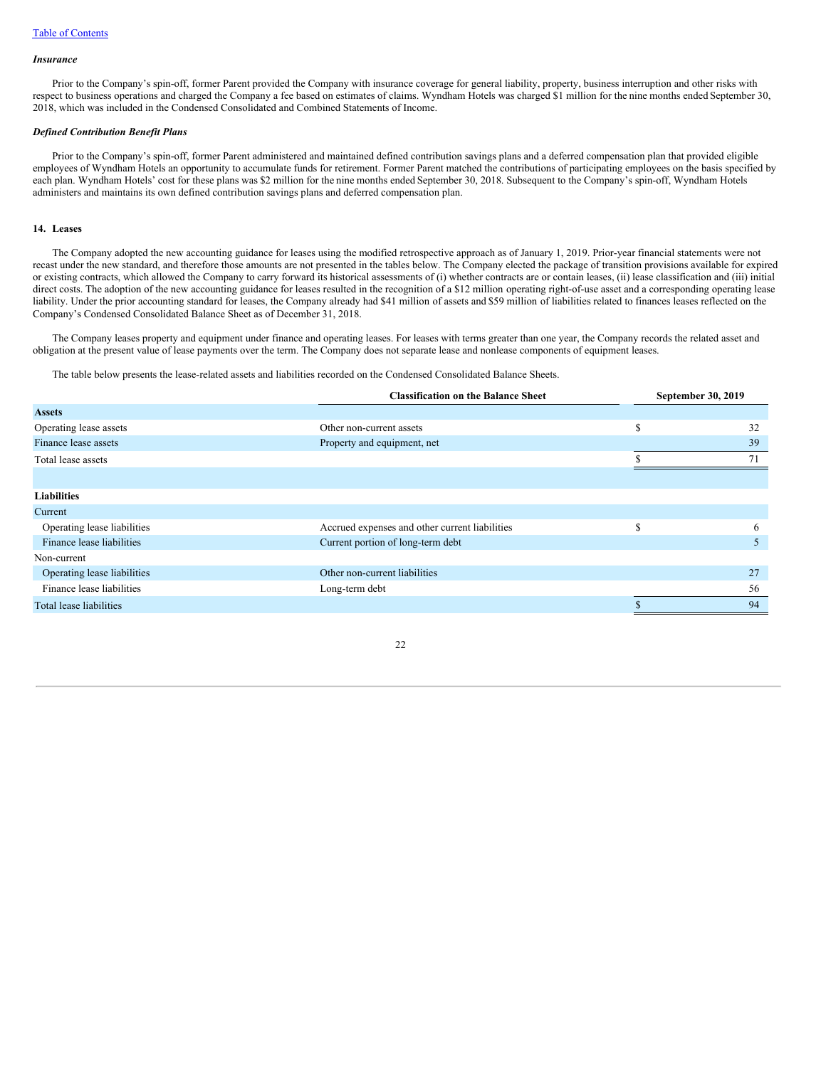#### *Insurance*

Prior to the Company's spin-off, former Parent provided the Company with insurance coverage for general liability, property, business interruption and other risks with respect to business operations and charged the Company a fee based on estimates of claims. Wyndham Hotels was charged \$1 million for the nine months ended September 30, 2018, which was included in the Condensed Consolidated and Combined Statements of Income.

### *Defined Contribution Benefit Plans*

Prior to the Company's spin-off, former Parent administered and maintained defined contribution savings plans and a deferred compensation plan that provided eligible employees of Wyndham Hotels an opportunity to accumulate funds for retirement. Former Parent matched the contributions of participating employees on the basis specified by each plan. Wyndham Hotels' cost for these plans was \$2 million for the nine months ended September 30, 2018. Subsequent to the Company's spin-off, Wyndham Hotels administers and maintains its own defined contribution savings plans and deferred compensation plan.

### **14. Leases**

The Company adopted the new accounting guidance for leases using the modified retrospective approach as of January 1, 2019. Prior-year financial statements were not recast under the new standard, and therefore those amounts are not presented in the tables below. The Company elected the package of transition provisions available for expired or existing contracts, which allowed the Company to carry forward its historical assessments of (i) whether contracts are or contain leases, (ii) lease classification and (iii) initial direct costs. The adoption of the new accounting guidance for leases resulted in the recognition of a \$12 million operating right-of-use asset and a corresponding operating lease liability. Under the prior accounting standard for leases, the Company already had \$41 million of assets and \$59 million of liabilities related to finances leases reflected on the Company's Condensed Consolidated Balance Sheet as of December 31, 2018.

The Company leases property and equipment under finance and operating leases. For leases with terms greater than one year, the Company records the related asset and obligation at the present value of lease payments over the term. The Company does not separate lease and nonlease components of equipment leases.

The table below presents the lease-related assets and liabilities recorded on the Condensed Consolidated Balance Sheets.

|                             | <b>Classification on the Balance Sheet</b>     | September 30, 2019 |    |
|-----------------------------|------------------------------------------------|--------------------|----|
| <b>Assets</b>               |                                                |                    |    |
| Operating lease assets      | Other non-current assets                       | S                  | 32 |
| Finance lease assets        | Property and equipment, net                    |                    | 39 |
| Total lease assets          |                                                |                    | 71 |
|                             |                                                |                    |    |
| <b>Liabilities</b>          |                                                |                    |    |
| Current                     |                                                |                    |    |
| Operating lease liabilities | Accrued expenses and other current liabilities | S                  | 6  |
| Finance lease liabilities   | Current portion of long-term debt              |                    |    |
| Non-current                 |                                                |                    |    |
| Operating lease liabilities | Other non-current liabilities                  |                    | 27 |
| Finance lease liabilities   | Long-term debt                                 |                    | 56 |
| Total lease liabilities     |                                                |                    | 94 |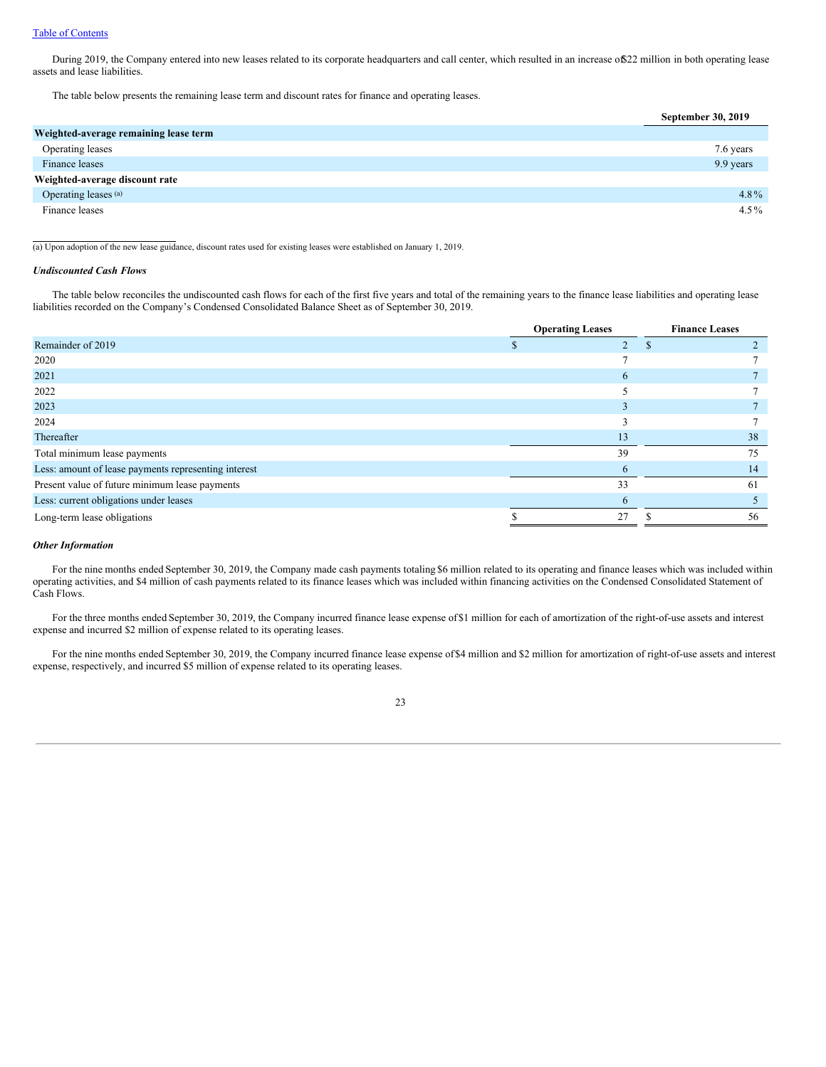During 2019, the Company entered into new leases related to its corporate headquarters and call center, which resulted in an increase of\$22 million in both operating lease assets and lease liabilities.

The table below presents the remaining lease term and discount rates for finance and operating leases.

|                                       | <b>September 30, 2019</b> |
|---------------------------------------|---------------------------|
| Weighted-average remaining lease term |                           |
| Operating leases                      | 7.6 years                 |
| Finance leases                        | 9.9 years                 |
| Weighted-average discount rate        |                           |
| Operating leases (a)                  | $4.8\%$                   |
| Finance leases                        | $4.5\%$                   |

(a) Upon adoption of the new lease guidance, discount rates used for existing leases were established on January 1, 2019.

### *Undiscounted Cash Flows*

The table below reconciles the undiscounted cash flows for each of the first five years and total of the remaining years to the finance lease liabilities and operating lease liabilities recorded on the Company's Condensed Consolidated Balance Sheet as of September 30, 2019.

|                                                      | <b>Operating Leases</b> | <b>Finance Leases</b> |    |
|------------------------------------------------------|-------------------------|-----------------------|----|
| Remainder of 2019                                    | $\bigcap$               |                       |    |
| 2020                                                 |                         |                       |    |
| 2021                                                 | 6                       |                       |    |
| 2022                                                 |                         |                       |    |
| 2023                                                 |                         |                       |    |
| 2024                                                 |                         |                       |    |
| Thereafter                                           | 13                      |                       | 38 |
| Total minimum lease payments                         | 39                      |                       | 75 |
| Less: amount of lease payments representing interest | 6                       |                       | 14 |
| Present value of future minimum lease payments       | 33                      |                       | 61 |
| Less: current obligations under leases               | 6                       |                       |    |
| Long-term lease obligations                          | 27                      |                       | 56 |
|                                                      |                         |                       |    |

### *Other Information*

For the nine months ended September 30, 2019, the Company made cash payments totaling \$6 million related to its operating and finance leases which was included within operating activities, and \$4 million of cash payments related to its finance leases which was included within financing activities on the Condensed Consolidated Statement of Cash Flows.

For the three months ended September 30, 2019, the Company incurred finance lease expense of \$1 million for each of amortization of the right-of-use assets and interest expense and incurred \$2 million of expense related to its operating leases.

For the nine months ended September 30, 2019, the Company incurred finance lease expense of \$4 million and \$2 million for amortization of right-of-use assets and interest expense, respectively, and incurred \$5 million of expense related to its operating leases.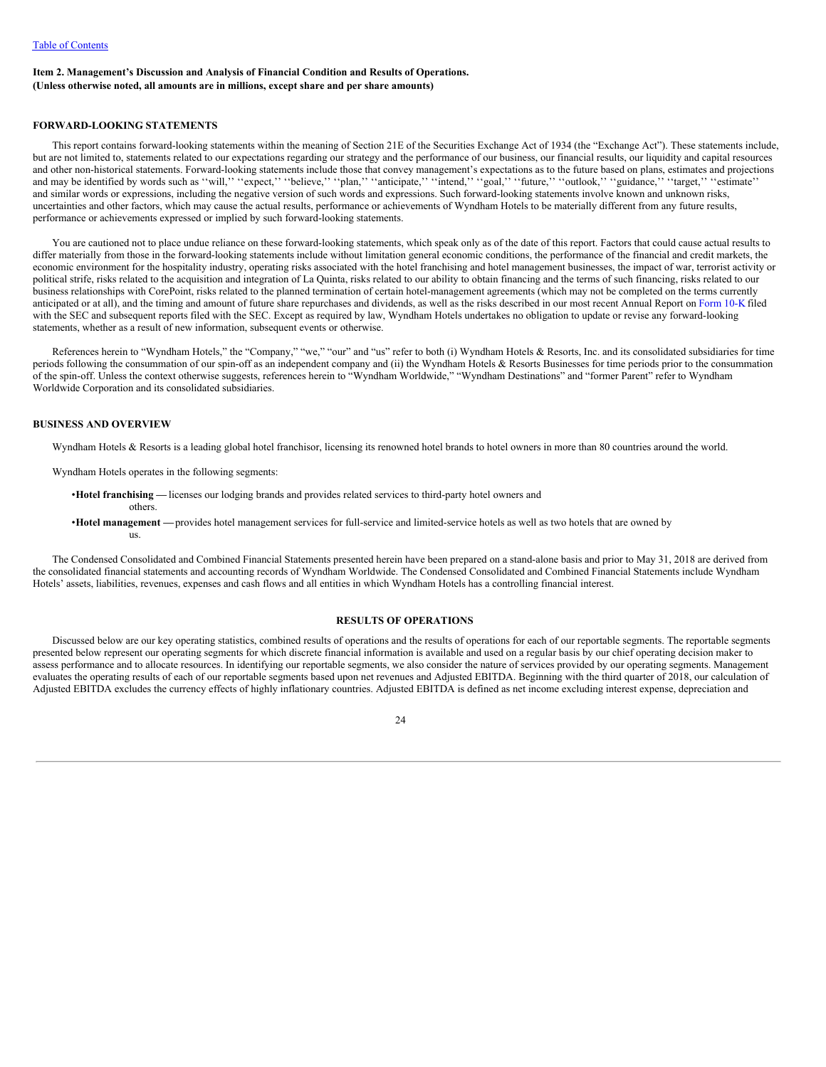### <span id="page-25-0"></span>**Item 2. Management's Discussion and Analysis of Financial Condition and Results of Operations. (Unless otherwise noted, all amounts are in millions, except share and per share amounts)**

### <span id="page-25-1"></span>**FORWARD-LOOKING STATEMENTS**

This report contains forward-looking statements within the meaning of Section 21E of the Securities Exchange Act of 1934 (the "Exchange Act"). These statements include, but are not limited to, statements related to our expectations regarding our strategy and the performance of our business, our financial results, our liquidity and capital resources and other non-historical statements. Forward-looking statements include those that convey management's expectations as to the future based on plans, estimates and projections and may be identified by words such as "will," "expect," "believe," "plan," "anticipate," "intend," "goal," "future," "outlook," "guidance," "target," "estimate" and similar words or expressions, including the negative version of such words and expressions. Such forward-looking statements involve known and unknown risks, uncertainties and other factors, which may cause the actual results, performance or achievements of Wyndham Hotels to be materially different from any future results, performance or achievements expressed or implied by such forward-looking statements.

You are cautioned not to place undue reliance on these forward-looking statements, which speak only as of the date of this report. Factors that could cause actual results to differ materially from those in the forward-looking statements include without limitation general economic conditions, the performance of the financial and credit markets, the economic environment for the hospitality industry, operating risks associated with the hotel franchising and hotel management businesses, the impact of war, terrorist activity or political strife, risks related to the acquisition and integration of La Quinta, risks related to our ability to obtain financing and the terms of such financing, risks related to our business relationships with CorePoint, risks related to the planned termination of certain hotel-management agreements (which may not be completed on the terms currently anticipated or at all), and the timing and amount of future share repurchases and dividends, as well as the risks described in our most recent Annual Report on [Form](http://www.sec.gov/Archives/edgar/data/1722684/000172268419000008/wh-20181231x10k.htm) 10-K filed with the SEC and subsequent reports filed with the SEC. Except as required by law, Wyndham Hotels undertakes no obligation to update or revise any forward-looking statements, whether as a result of new information, subsequent events or otherwise.

References herein to "Wyndham Hotels," the "Company," "we," "our" and "us" refer to both (i) Wyndham Hotels & Resorts, Inc. and its consolidated subsidiaries for time periods following the consummation of our spin-off as an independent company and (ii) the Wyndham Hotels & Resorts Businesses for time periods prior to the consummation of the spin-off. Unless the context otherwise suggests, references herein to "Wyndham Worldwide," "Wyndham Destinations" and "former Parent" refer to Wyndham Worldwide Corporation and its consolidated subsidiaries.

### **BUSINESS AND OVERVIEW**

Wyndham Hotels & Resorts is a leading global hotel franchisor, licensing its renowned hotel brands to hotel owners in more than 80 countries around the world.

Wyndham Hotels operates in the following segments:

- •**Hotel franchising —** licenses our lodging brands and provides related services to third-party hotel owners and
- others. •**Hotel management —**provides hotel management services for full-service and limited-service hotels as well as two hotels that are owned by us.

The Condensed Consolidated and Combined Financial Statements presented herein have been prepared on a stand-alone basis and prior to May 31, 2018 are derived from the consolidated financial statements and accounting records of Wyndham Worldwide. The Condensed Consolidated and Combined Financial Statements include Wyndham Hotels' assets, liabilities, revenues, expenses and cash flows and all entities in which Wyndham Hotels has a controlling financial interest.

### **RESULTS OF OPERATIONS**

Discussed below are our key operating statistics, combined results of operations and the results of operations for each of our reportable segments. The reportable segments presented below represent our operating segments for which discrete financial information is available and used on a regular basis by our chief operating decision maker to assess performance and to allocate resources. In identifying our reportable segments, we also consider the nature of services provided by our operating segments. Management evaluates the operating results of each of our reportable segments based upon net revenues and Adjusted EBITDA. Beginning with the third quarter of 2018, our calculation of Adjusted EBITDA excludes the currency effects of highly inflationary countries. Adjusted EBITDA is defined as net income excluding interest expense, depreciation and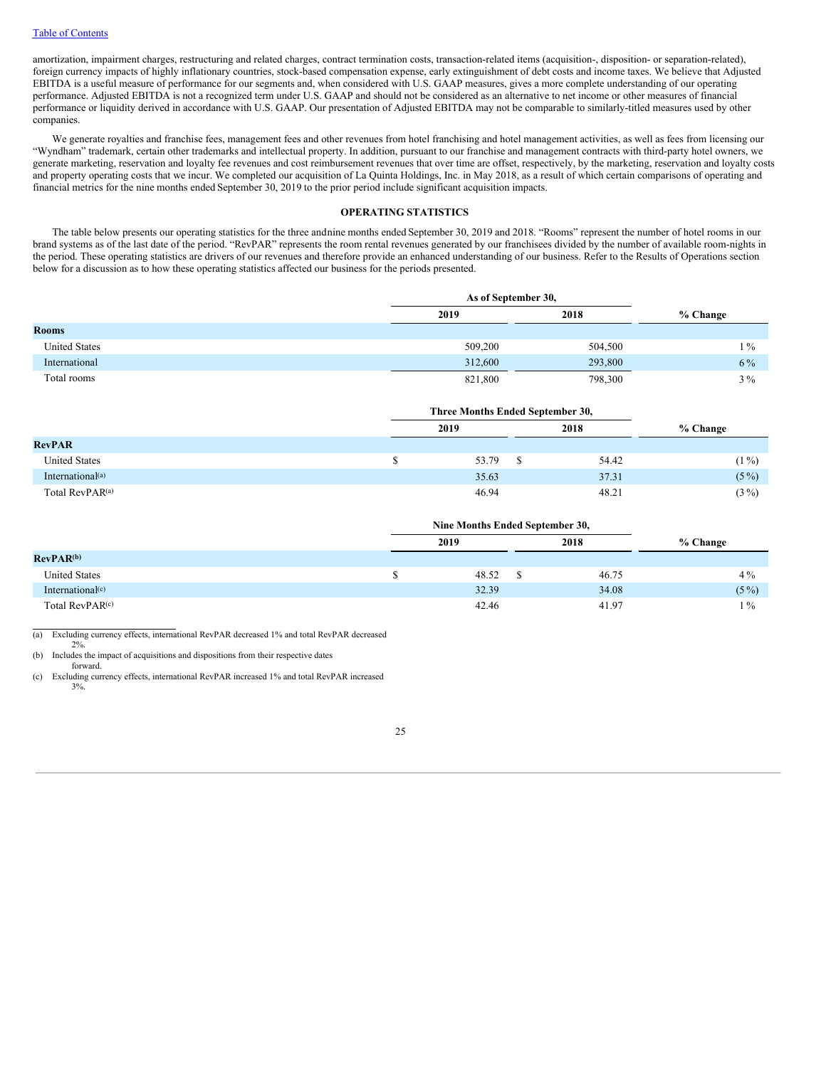amortization, impairment charges, restructuring and related charges, contract termination costs, transaction-related items (acquisition-, disposition- or separation-related), foreign currency impacts of highly inflationary countries, stock-based compensation expense, early extinguishment of debt costs and income taxes. We believe that Adjusted EBITDA is a useful measure of performance for our segments and, when considered with U.S. GAAP measures, gives a more complete understanding of our operating performance. Adjusted EBITDA is not a recognized term under U.S. GAAP and should not be considered as an alternative to net income or other measures of financial performance or liquidity derived in accordance with U.S. GAAP. Our presentation of Adjusted EBITDA may not be comparable to similarly-titled measures used by other companies.

We generate royalties and franchise fees, management fees and other revenues from hotel franchising and hotel management activities, as well as fees from licensing our "Wyndham" trademark, certain other trademarks and intellectual property. In addition, pursuant to our franchise and management contracts with third-party hotel owners, we generate marketing, reservation and loyalty fee revenues and cost reimbursement revenues that over time are offset, respectively, by the marketing, reservation and loyalty costs and property operating costs that we incur. We completed our acquisition of La Quinta Holdings, Inc. in May 2018, as a result of which certain comparisons of operating and financial metrics for the nine months ended September 30, 2019 to the prior period include significant acquisition impacts.

### **OPERATING STATISTICS**

The table below presents our operating statistics for the three andnine months ended September 30, 2019 and 2018. "Rooms" represent the number of hotel rooms in our brand systems as of the last date of the period. "RevPAR" represents the room rental revenues generated by our franchisees divided by the number of available room-nights in the period. These operating statistics are drivers of our revenues and therefore provide an enhanced understanding of our business. Refer to the Results of Operations section below for a discussion as to how these operating statistics affected our business for the periods presented.

|                      |         | As of September 30, |          |  |  |  |
|----------------------|---------|---------------------|----------|--|--|--|
|                      | 2019    | 2018                | % Change |  |  |  |
| <b>Rooms</b>         |         |                     |          |  |  |  |
| <b>United States</b> | 509,200 | 504,500             | $1\%$    |  |  |  |
| International        | 312,600 | 293,800             | $6\%$    |  |  |  |
| Total rooms          | 821,800 | 798,300             | $3\%$    |  |  |  |
|                      |         |                     |          |  |  |  |

|                              | Three Months Ended September 30, |       |          |  |  |  |  |
|------------------------------|----------------------------------|-------|----------|--|--|--|--|
|                              | 2019                             | 2018  | % Change |  |  |  |  |
| <b>RevPAR</b>                |                                  |       |          |  |  |  |  |
| <b>United States</b>         | 53.79                            | 54.42 | $(1\%)$  |  |  |  |  |
| International <sup>(a)</sup> | 35.63                            | 37.31 | $(5\%)$  |  |  |  |  |
| Total RevPAR <sup>(a)</sup>  | 46.94                            | 48.21 | $(3\%)$  |  |  |  |  |

|                             | Nine Months Ended September 30, |       |       |          |  |
|-----------------------------|---------------------------------|-------|-------|----------|--|
|                             |                                 | 2019  |       | % Change |  |
| $RevPAR^{(b)}$              |                                 |       |       |          |  |
| <b>United States</b>        |                                 | 48.52 | 46.75 | $4\%$    |  |
| International $(c)$         |                                 | 32.39 | 34.08 | $(5\%)$  |  |
| Total RevPAR <sup>(c)</sup> |                                 | 42.46 | 41.97 | $1\%$    |  |

(a) Excluding currency effects, international RevPAR decreased 1% and total RevPAR decreased 2%.

<sup>(</sup>b) Includes the impact of acquisitions and dispositions from their respective dates

forward.

<sup>(</sup>c) Excluding currency effects, international RevPAR increased 1% and total RevPAR increased 3%.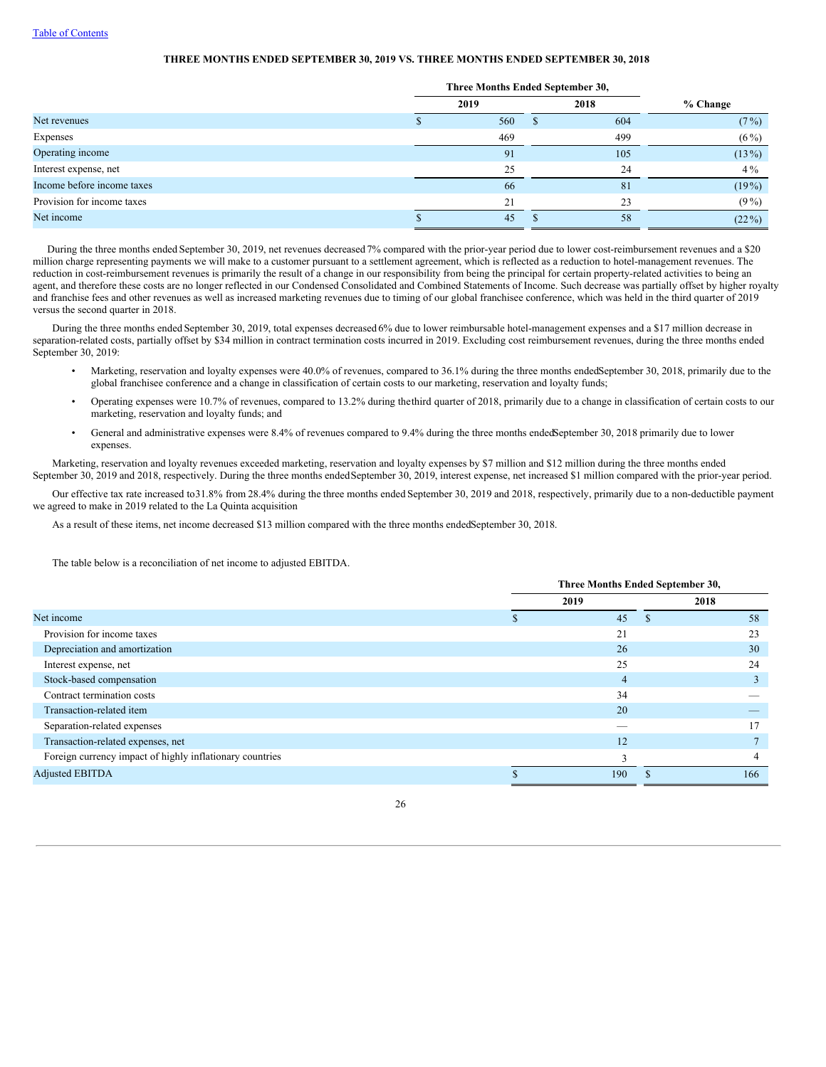### **THREE MONTHS ENDED SEPTEMBER 30, 2019 VS. THREE MONTHS ENDED SEPTEMBER 30, 2018**

| Three Months Ended September 30, |  |  |  |  |
|----------------------------------|--|--|--|--|
|----------------------------------|--|--|--|--|

|                            | 2019 |     |  |     | $%$ Change |  |
|----------------------------|------|-----|--|-----|------------|--|
| Net revenues               |      | 560 |  | 604 | (7%)       |  |
| Expenses                   |      | 469 |  | 499 | $(6\%)$    |  |
| Operating income           |      | 91  |  | 105 | $(13\%)$   |  |
| Interest expense, net      |      | 25  |  | 24  | $4\%$      |  |
| Income before income taxes |      | 66  |  | 81  | $(19\%)$   |  |
| Provision for income taxes |      | 21  |  | 23  | $(9\%)$    |  |
| Net income                 |      | 45  |  | 58  | $(22\%)$   |  |

During the three months ended September 30, 2019, net revenues decreased 7% compared with the prior-year period due to lower cost-reimbursement revenues and a \$20 million charge representing payments we will make to a customer pursuant to a settlement agreement, which is reflected as a reduction to hotel-management revenues. The reduction in cost-reimbursement revenues is primarily the result of a change in our responsibility from being the principal for certain property-related activities to being an agent, and therefore these costs are no longer reflected in our Condensed Consolidated and Combined Statements of Income. Such decrease was partially offset by higher royalty and franchise fees and other revenues as well as increased marketing revenues due to timing of our global franchisee conference, which was held in the third quarter of 2019 versus the second quarter in 2018.

During the three months ended September 30, 2019, total expenses decreased 6% due to lower reimbursable hotel-management expenses and a \$17 million decrease in separation-related costs, partially offset by \$34 million in contract termination costs incurred in 2019. Excluding cost reimbursement revenues, during the three months ended September 30, 2019:

- Marketing, reservation and loyalty expenses were 40.0% of revenues, compared to 36.1% during the three months endedSeptember 30, 2018, primarily due to the global franchisee conference and a change in classification of certain costs to our marketing, reservation and loyalty funds;
- Operating expenses were 10.7% of revenues, compared to 13.2% during thethird quarter of 2018, primarily due to a change in classification of certain costs to our marketing, reservation and loyalty funds; and
- General and administrative expenses were 8.4% of revenues compared to 9.4% during the three months endedSeptember 30, 2018 primarily due to lower expenses

Marketing, reservation and loyalty revenues exceeded marketing, reservation and loyalty expenses by \$7 million and \$12 million during the three months ended September 30, 2019 and 2018, respectively. During the three months endedSeptember 30, 2019, interest expense, net increased \$1 million compared with the prior-year period.

Our effective tax rate increased to 31.8% from 28.4% during the three months ended September 30, 2019 and 2018, respectively, primarily due to a non-deductible payment we agreed to make in 2019 related to the La Quinta acquisition

As a result of these items, net income decreased \$13 million compared with the three months endedSeptember 30, 2018.

The table below is a reconciliation of net income to adjusted EBITDA.

|                                                          | Three Months Ended September 30, |                          |   |      |
|----------------------------------------------------------|----------------------------------|--------------------------|---|------|
|                                                          |                                  | 2019                     |   | 2018 |
| Net income                                               |                                  | 45                       | S | 58   |
| Provision for income taxes                               |                                  | 21                       |   | 23   |
| Depreciation and amortization                            |                                  | 26                       |   | 30   |
| Interest expense, net                                    |                                  | 25                       |   | 24   |
| Stock-based compensation                                 |                                  | $\overline{4}$           |   | 3    |
| Contract termination costs                               |                                  | 34                       |   |      |
| Transaction-related item                                 |                                  | 20                       |   |      |
| Separation-related expenses                              |                                  | $\overline{\phantom{a}}$ |   | 17   |
| Transaction-related expenses, net                        |                                  | 12                       |   |      |
| Foreign currency impact of highly inflationary countries |                                  | $\sim$                   |   | 4    |
| <b>Adjusted EBITDA</b>                                   |                                  | 190                      |   | 166  |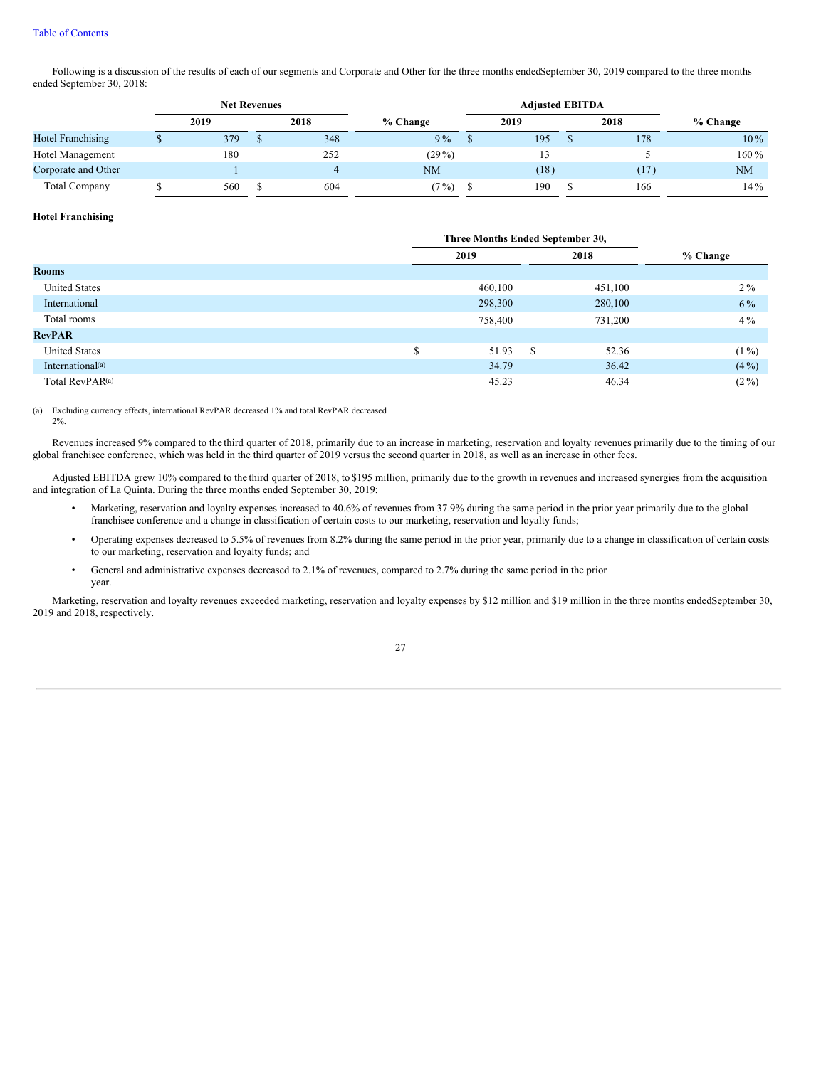Following is a discussion of the results of each of our segments and Corporate and Other for the three months endedSeptember 30, 2019 compared to the three months ended September 30, 2018:

|                          | <b>Net Revenues</b> |  |      | <b>Adjusted EBITDA</b> |  |      |  |      |            |
|--------------------------|---------------------|--|------|------------------------|--|------|--|------|------------|
|                          | 2019                |  | 2018 | $%$ Change             |  | 2019 |  | 2018 | $%$ Change |
| <b>Hotel Franchising</b> | 379                 |  | 348  | 9%                     |  | 195  |  | 178  | $10\%$     |
| Hotel Management         | 180                 |  | 252  | $(29\%)$               |  | 13   |  |      | $160\%$    |
| Corporate and Other      |                     |  |      | NM                     |  | (18) |  | (17) | NM         |
| <b>Total Company</b>     | 560                 |  | 604  | $7\%$                  |  | 190  |  | 166  | 14%        |

### **Hotel Franchising**

|                              |      | Three Months Ended September 30, |         |            |  |  |
|------------------------------|------|----------------------------------|---------|------------|--|--|
|                              | 2019 |                                  | 2018    | $%$ Change |  |  |
| <b>Rooms</b>                 |      |                                  |         |            |  |  |
| <b>United States</b>         |      | 460,100                          | 451,100 | $2\%$      |  |  |
| International                |      | 298,300                          | 280,100 | 6 %        |  |  |
| Total rooms                  |      | 758,400                          | 731,200 | $4\%$      |  |  |
| <b>RevPAR</b>                |      |                                  |         |            |  |  |
| <b>United States</b>         | S    | 51.93<br>S                       | 52.36   | $(1\%)$    |  |  |
| International <sup>(a)</sup> |      | 34.79                            | 36.42   | $(4\%)$    |  |  |
| Total RevPAR <sup>(a)</sup>  |      | 45.23                            | 46.34   | $(2\%)$    |  |  |

(a) Excluding currency effects, international RevPAR decreased 1% and total RevPAR decreased 2%.

Revenues increased 9% compared to the third quarter of 2018, primarily due to an increase in marketing, reservation and loyalty revenues primarily due to the timing of our global franchisee conference, which was held in the third quarter of 2019 versus the second quarter in 2018, as well as an increase in other fees.

Adjusted EBITDA grew 10% compared to the third quarter of 2018, to \$195 million, primarily due to the growth in revenues and increased synergies from the acquisition and integration of La Quinta. During the three months ended September 30, 2019:

- Marketing, reservation and loyalty expenses increased to 40.6% of revenues from 37.9% during the same period in the prior year primarily due to the global franchisee conference and a change in classification of certain costs to our marketing, reservation and loyalty funds;
- Operating expenses decreased to 5.5% of revenues from 8.2% during the same period in the prior year, primarily due to a change in classification of certain costs to our marketing, reservation and loyalty funds; and
- General and administrative expenses decreased to 2.1% of revenues, compared to 2.7% during the same period in the prior year.

Marketing, reservation and loyalty revenues exceeded marketing, reservation and loyalty expenses by \$12 million and \$19 million in the three months endedSeptember 30, 2019 and 2018, respectively.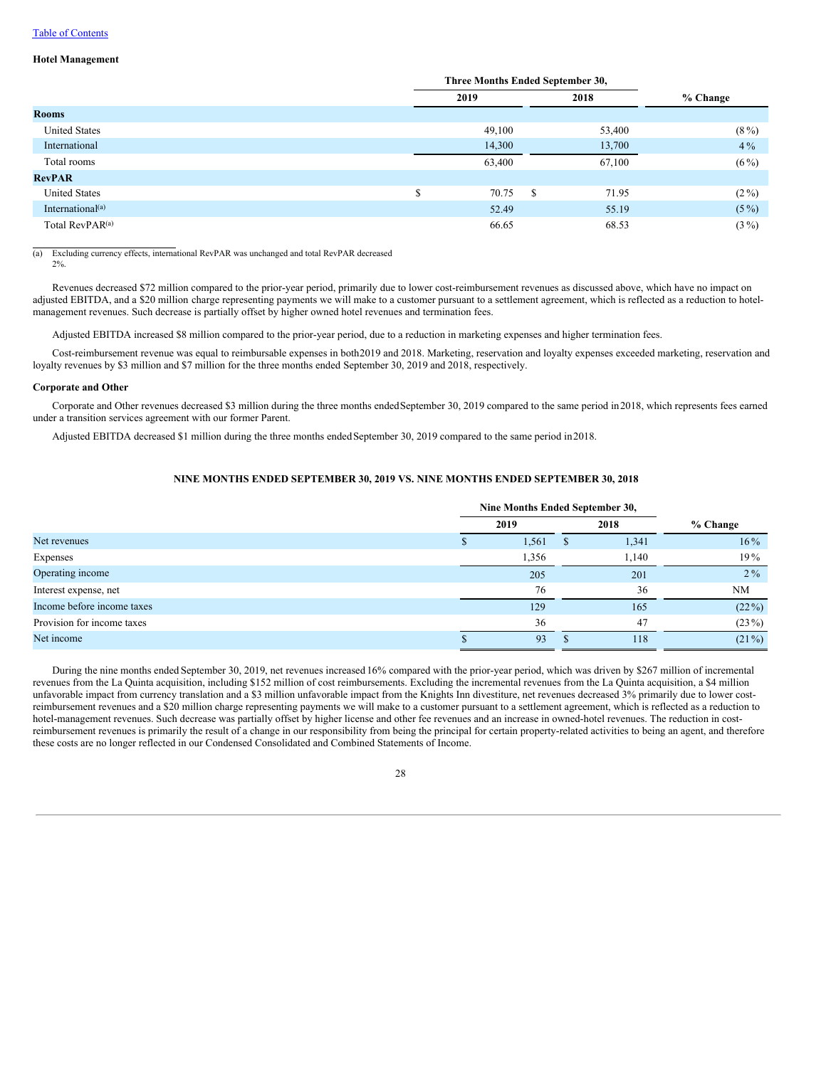### Table of [Contents](#page-1-0)

#### **Hotel Management**

|                              |   | Three Months Ended September 30, |               |        |            |  |
|------------------------------|---|----------------------------------|---------------|--------|------------|--|
|                              |   | 2019                             |               | 2018   | $%$ Change |  |
| <b>Rooms</b>                 |   |                                  |               |        |            |  |
| <b>United States</b>         |   | 49,100                           |               | 53,400 | $(8\%)$    |  |
| International                |   | 14,300                           |               | 13,700 | $4\%$      |  |
| Total rooms                  |   | 63,400                           |               | 67,100 | $(6\%)$    |  |
| <b>RevPAR</b>                |   |                                  |               |        |            |  |
| <b>United States</b>         | S | 70.75                            | <sup>\$</sup> | 71.95  | $(2\%)$    |  |
| International <sup>(a)</sup> |   | 52.49                            |               | 55.19  | $(5\%)$    |  |
| Total RevPAR <sup>(a)</sup>  |   | 66.65                            |               | 68.53  | $(3\%)$    |  |

(a) Excluding currency effects, international RevPAR was unchanged and total RevPAR decreased 2%.

Revenues decreased \$72 million compared to the prior-year period, primarily due to lower cost-reimbursement revenues as discussed above, which have no impact on adjusted EBITDA, and a \$20 million charge representing payments we will make to a customer pursuant to a settlement agreement, which is reflected as a reduction to hotelmanagement revenues. Such decrease is partially offset by higher owned hotel revenues and termination fees.

Adjusted EBITDA increased \$8 million compared to the prior-year period, due to a reduction in marketing expenses and higher termination fees.

Cost-reimbursement revenue was equal to reimbursable expenses in both2019 and 2018. Marketing, reservation and loyalty expenses exceeded marketing, reservation and loyalty revenues by \$3 million and \$7 million for the three months ended September 30, 2019 and 2018, respectively.

#### **Corporate and Other**

Corporate and Other revenues decreased \$3 million during the three months endedSeptember 30, 2019 compared to the same period in2018, which represents fees earned under a transition services agreement with our former Parent.

Adjusted EBITDA decreased \$1 million during the three months endedSeptember 30, 2019 compared to the same period in2018.

### **NINE MONTHS ENDED SEPTEMBER 30, 2019 VS. NINE MONTHS ENDED SEPTEMBER 30, 2018**

|                            | Nine Months Ended September 30, |       |       |            |
|----------------------------|---------------------------------|-------|-------|------------|
|                            |                                 | 2019  | 2018  | $%$ Change |
| Net revenues               |                                 | 1,561 | 1,341 | $16\%$     |
| Expenses                   |                                 | 1,356 | 1,140 | 19%        |
| Operating income           |                                 | 205   | 201   | $2\%$      |
| Interest expense, net      |                                 | 76    | 36    | <b>NM</b>  |
| Income before income taxes |                                 | 129   | 165   | $(22\%)$   |
| Provision for income taxes |                                 | 36    | 47    | $(23\%)$   |
| Net income                 |                                 | 93    | 118   | $(21\%)$   |

During the nine months ended September 30, 2019, net revenues increased 16% compared with the prior-year period, which was driven by \$267 million of incremental revenues from the La Quinta acquisition, including \$152 million of cost reimbursements. Excluding the incremental revenues from the La Quinta acquisition, a \$4 million unfavorable impact from currency translation and a \$3 million unfavorable impact from the Knights Inn divestiture, net revenues decreased 3% primarily due to lower costreimbursement revenues and a \$20 million charge representing payments we will make to a customer pursuant to a settlement agreement, which is reflected as a reduction to hotel-management revenues. Such decrease was partially offset by higher license and other fee revenues and an increase in owned-hotel revenues. The reduction in costreimbursement revenues is primarily the result of a change in our responsibility from being the principal for certain property-related activities to being an agent, and therefore these costs are no longer reflected in our Condensed Consolidated and Combined Statements of Income.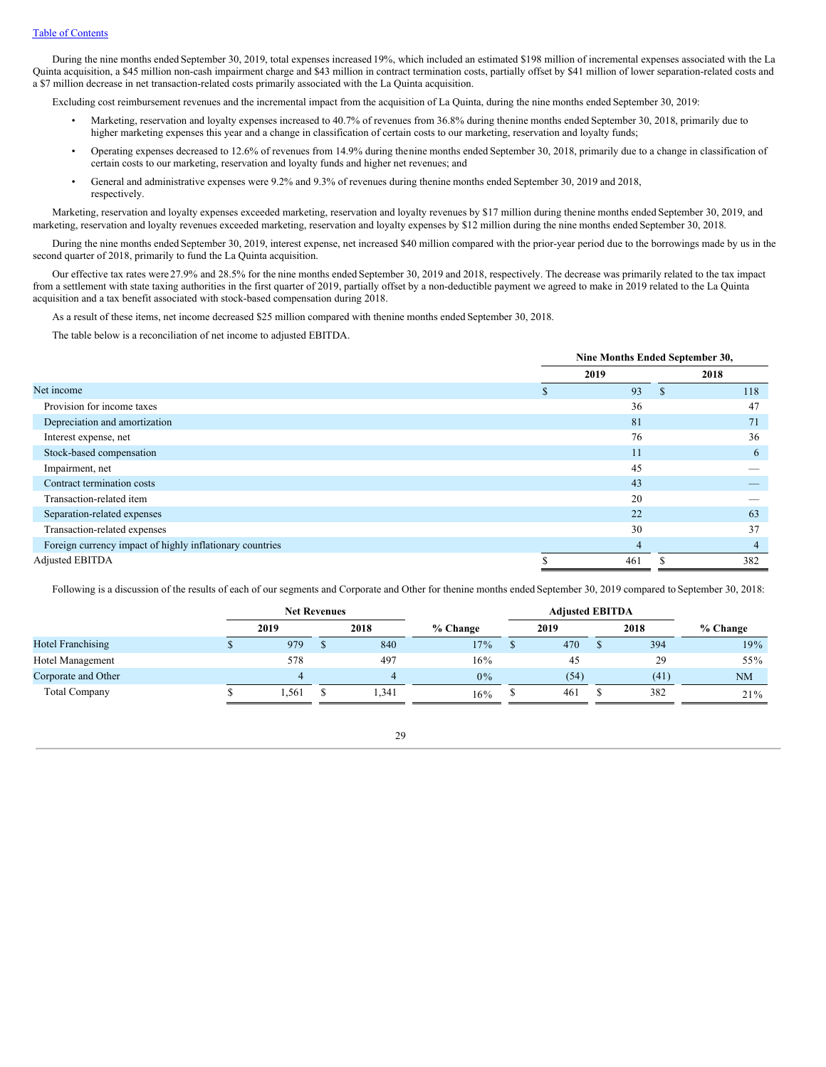During the nine months ended September 30, 2019, total expenses increased 19%, which included an estimated \$198 million of incremental expenses associated with the La Quinta acquisition, a \$45 million non-cash impairment charge and \$43 million in contract termination costs, partially offset by \$41 million of lower separation-related costs and a \$7 million decrease in net transaction-related costs primarily associated with the La Quinta acquisition.

Excluding cost reimbursement revenues and the incremental impact from the acquisition of La Quinta, during the nine months ended September 30, 2019:

- Marketing, reservation and loyalty expenses increased to 40.7% of revenues from 36.8% during thenine months ended September 30, 2018, primarily due to higher marketing expenses this year and a change in classification of certain costs to our marketing, reservation and loyalty funds;
- Operating expenses decreased to 12.6% of revenues from 14.9% during thenine months ended September 30, 2018, primarily due to a change in classification of certain costs to our marketing, reservation and loyalty funds and higher net revenues; and
- General and administrative expenses were 9.2% and 9.3% of revenues during thenine months ended September 30, 2019 and 2018, respectively.

Marketing, reservation and loyalty expenses exceeded marketing, reservation and loyalty revenues by \$17 million during thenine months ended September 30, 2019, and marketing, reservation and loyalty revenues exceeded marketing, reservation and loyalty expenses by \$12 million during the nine months ended September 30, 2018.

During the nine months ended September 30, 2019, interest expense, net increased \$40 million compared with the prior-year period due to the borrowings made by us in the second quarter of 2018, primarily to fund the La Quinta acquisition.

Our effective tax rates were 27.9% and 28.5% for the nine months ended September 30, 2019 and 2018, respectively. The decrease was primarily related to the tax impact from a settlement with state taxing authorities in the first quarter of 2019, partially offset by a non-deductible payment we agreed to make in 2019 related to the La Quinta acquisition and a tax benefit associated with stock-based compensation during 2018.

As a result of these items, net income decreased \$25 million compared with thenine months ended September 30, 2018.

The table below is a reconciliation of net income to adjusted EBITDA.

|                                                          | Nine Months Ended September 30, |                |    |      |  |
|----------------------------------------------------------|---------------------------------|----------------|----|------|--|
|                                                          |                                 | 2019           |    | 2018 |  |
| Net income                                               | D                               | 93             | \$ | 118  |  |
| Provision for income taxes                               |                                 | 36             |    | 47   |  |
| Depreciation and amortization                            |                                 | 81             |    | 71   |  |
| Interest expense, net                                    |                                 | 76             |    | 36   |  |
| Stock-based compensation                                 |                                 | 11             |    | 6    |  |
| Impairment, net                                          |                                 | 45             |    |      |  |
| Contract termination costs                               |                                 | 43             |    |      |  |
| Transaction-related item                                 |                                 | 20             |    |      |  |
| Separation-related expenses                              |                                 | 22             |    | 63   |  |
| Transaction-related expenses                             |                                 | 30             |    | 37   |  |
| Foreign currency impact of highly inflationary countries |                                 | $\overline{4}$ |    | 4    |  |
| Adjusted EBITDA                                          |                                 | 461            |    | 382  |  |

Following is a discussion of the results of each of our segments and Corporate and Other for thenine months ended September 30, 2019 compared to September 30, 2018:

|                          | <b>Net Revenues</b> |  |       |            | <b>Adjusted EBITDA</b> |      |            |
|--------------------------|---------------------|--|-------|------------|------------------------|------|------------|
|                          | 2019                |  | 2018  | $%$ Change | 2019                   | 2018 | $%$ Change |
| <b>Hotel Franchising</b> | 979                 |  | 840   | 17%        | 470                    | 394  | 19%        |
| Hotel Management         | 578                 |  | 497   | 16%        | 45                     | 29   | 55%        |
| Corporate and Other      |                     |  |       | $0\%$      | (54)                   | (41) | <b>NM</b>  |
| <b>Total Company</b>     | 1.561               |  | 1,341 | 16%        | 461                    | 382  | 21%        |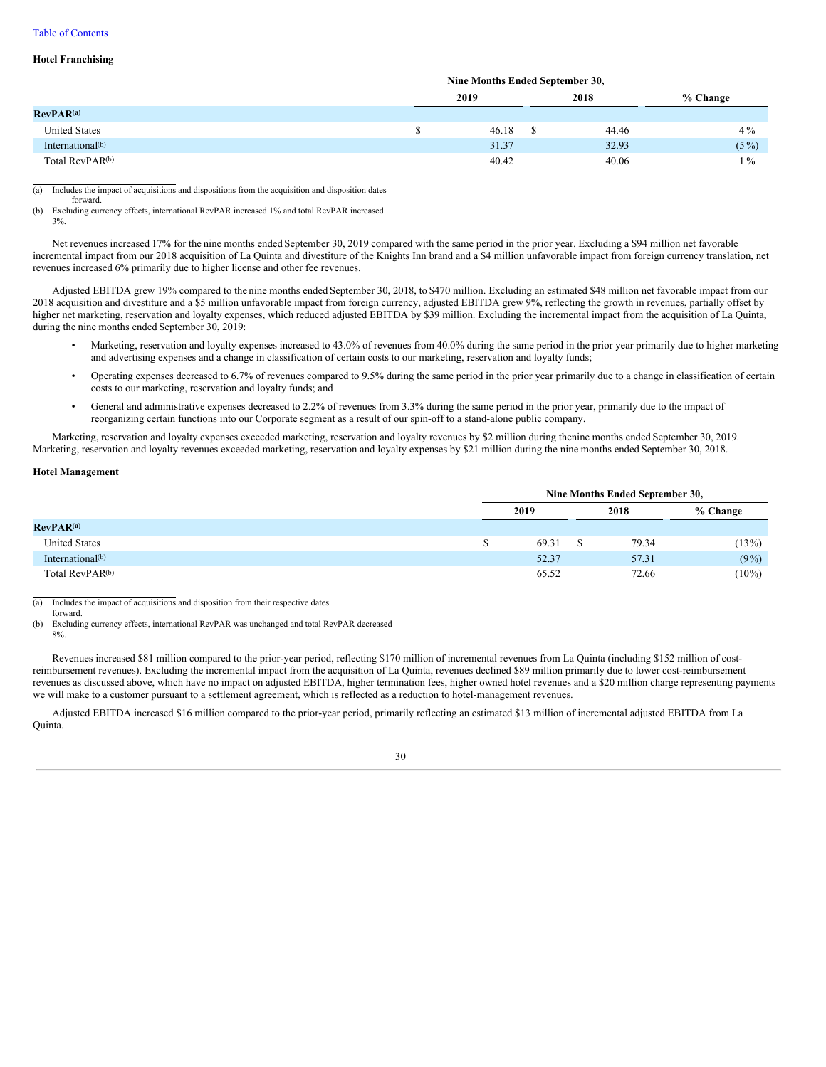### Table of [Contents](#page-1-0)

#### **Hotel Franchising**

|                             | Nine Months Ended September 30, |  |       |          |  |
|-----------------------------|---------------------------------|--|-------|----------|--|
|                             | 2019                            |  | 2018  | % Change |  |
| RevPAR <sup>(a)</sup>       |                                 |  |       |          |  |
| <b>United States</b>        | 46.18                           |  | 44.46 | $4\%$    |  |
| International $(b)$         | 31.37                           |  | 32.93 | $(5\%)$  |  |
| Total RevPAR <sup>(b)</sup> | 40.42                           |  | 40.06 | $1\%$    |  |

<sup>(</sup>a) Includes the impact of acquisitions and dispositions from the acquisition and disposition dates forward.

Net revenues increased 17% for the nine months ended September 30, 2019 compared with the same period in the prior year. Excluding a \$94 million net favorable incremental impact from our 2018 acquisition of La Quinta and divestiture of the Knights Inn brand and a \$4 million unfavorable impact from foreign currency translation, net revenues increased 6% primarily due to higher license and other fee revenues.

Adjusted EBITDA grew 19% compared to the nine months ended September 30, 2018, to \$470 million. Excluding an estimated \$48 million net favorable impact from our 2018 acquisition and divestiture and a \$5 million unfavorable impact from foreign currency, adjusted EBITDA grew 9%, reflecting the growth in revenues, partially offset by higher net marketing, reservation and loyalty expenses, which reduced adjusted EBITDA by \$39 million. Excluding the incremental impact from the acquisition of La Quinta, during the nine months ended September 30, 2019:

- Marketing, reservation and loyalty expenses increased to 43.0% of revenues from 40.0% during the same period in the prior year primarily due to higher marketing and advertising expenses and a change in classification of certain costs to our marketing, reservation and loyalty funds;
- Operating expenses decreased to 6.7% of revenues compared to 9.5% during the same period in the prior year primarily due to a change in classification of certain costs to our marketing, reservation and loyalty funds; and
- General and administrative expenses decreased to 2.2% of revenues from 3.3% during the same period in the prior year, primarily due to the impact of reorganizing certain functions into our Corporate segment as a result of our spin-off to a stand-alone public company.

Marketing, reservation and loyalty expenses exceeded marketing, reservation and loyalty revenues by \$2 million during thenine months ended September 30, 2019. Marketing, reservation and loyalty revenues exceeded marketing, reservation and loyalty expenses by \$21 million during the nine months ended September 30, 2018.

### **Hotel Management**

|                             |      | Nine Months Ended September 30, |  |       |          |  |  |
|-----------------------------|------|---------------------------------|--|-------|----------|--|--|
|                             | 2019 |                                 |  | 2018  | % Change |  |  |
| RevPAR <sup>(a)</sup>       |      |                                 |  |       |          |  |  |
| <b>United States</b>        | S    | 69.31                           |  | 79.34 | (13%)    |  |  |
| International $(b)$         |      | 52.37                           |  | 57.31 | $(9\%)$  |  |  |
| Total RevPAR <sup>(b)</sup> |      | 65.52                           |  | 72.66 | $(10\%)$ |  |  |

(a) Includes the impact of acquisitions and disposition from their respective dates forward.

(b) Excluding currency effects, international RevPAR was unchanged and total RevPAR decreased

Revenues increased \$81 million compared to the prior-year period, reflecting \$170 million of incremental revenues from La Quinta (including \$152 million of costreimbursement revenues). Excluding the incremental impact from the acquisition of La Quinta, revenues declined \$89 million primarily due to lower cost-reimbursement revenues as discussed above, which have no impact on adjusted EBITDA, higher termination fees, higher owned hotel revenues and a \$20 million charge representing payments we will make to a customer pursuant to a settlement agreement, which is reflected as a reduction to hotel-management revenues.

Adjusted EBITDA increased \$16 million compared to the prior-year period, primarily reflecting an estimated \$13 million of incremental adjusted EBITDA from La **Ouinta** 



<sup>(</sup>b) Excluding currency effects, international RevPAR increased 1% and total RevPAR increased 3%.

<sup>8%.</sup>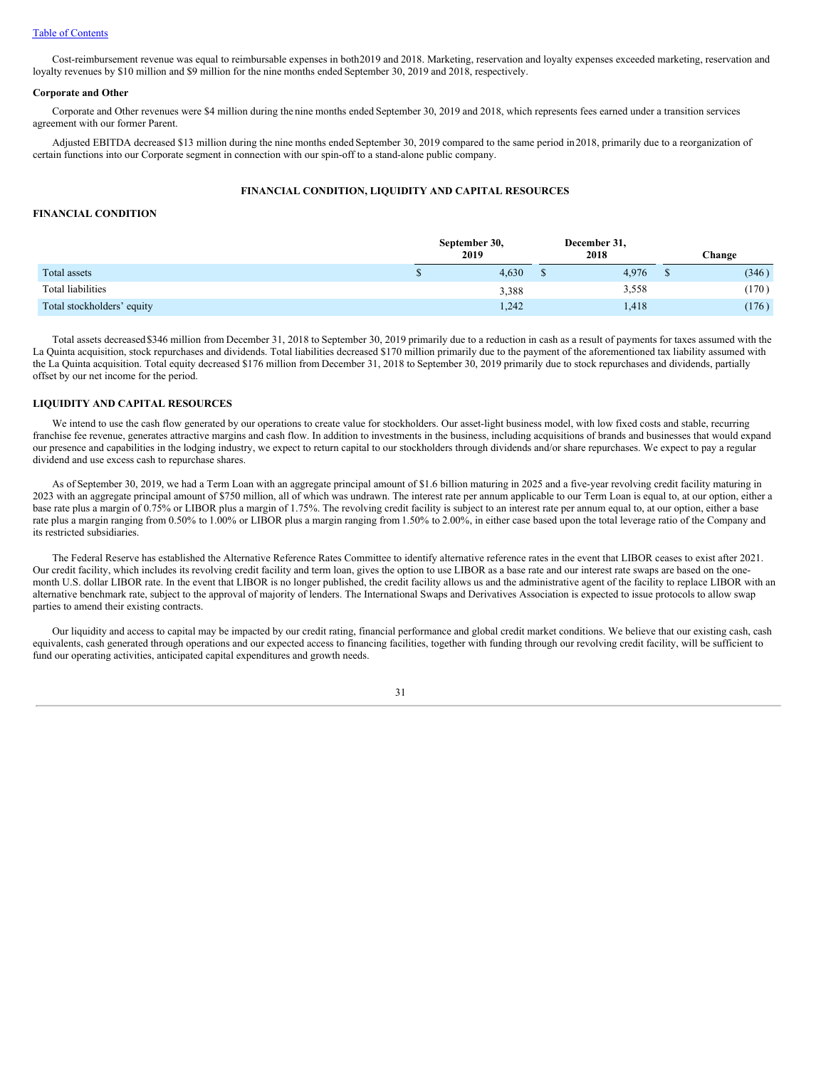Cost-reimbursement revenue was equal to reimbursable expenses in both2019 and 2018. Marketing, reservation and loyalty expenses exceeded marketing, reservation and loyalty revenues by \$10 million and \$9 million for the nine months ended September 30, 2019 and 2018, respectively.

#### **Corporate and Other**

Corporate and Other revenues were \$4 million during the nine months ended September 30, 2019 and 2018, which represents fees earned under a transition services agreement with our former Parent.

Adjusted EBITDA decreased \$13 million during the nine months ended September 30, 2019 compared to the same period in2018, primarily due to a reorganization of certain functions into our Corporate segment in connection with our spin-off to a stand-alone public company.

### **FINANCIAL CONDITION, LIQUIDITY AND CAPITAL RESOURCES**

### **FINANCIAL CONDITION**

|                            | September 30,<br>2019 | December 31,<br>2018 | Change |
|----------------------------|-----------------------|----------------------|--------|
| Total assets               | 4,630                 | 4,976                | (346)  |
| Total liabilities          | 3,388                 | 3,558                | (170)  |
| Total stockholders' equity | 1,242                 | 1,418                | (176)  |

Total assets decreased \$346 million from December 31, 2018 to September 30, 2019 primarily due to a reduction in cash as a result of payments for taxes assumed with the La Quinta acquisition, stock repurchases and dividends. Total liabilities decreased \$170 million primarily due to the payment of the aforementioned tax liability assumed with the La Quinta acquisition. Total equity decreased \$176 million from December 31, 2018 to September 30, 2019 primarily due to stock repurchases and dividends, partially offset by our net income for the period.

### **LIQUIDITY AND CAPITAL RESOURCES**

We intend to use the cash flow generated by our operations to create value for stockholders. Our asset-light business model, with low fixed costs and stable, recurring franchise fee revenue, generates attractive margins and cash flow. In addition to investments in the business, including acquisitions of brands and businesses that would expand our presence and capabilities in the lodging industry, we expect to return capital to our stockholders through dividends and/or share repurchases. We expect to pay a regular dividend and use excess cash to repurchase shares.

As of September 30, 2019, we had a Term Loan with an aggregate principal amount of \$1.6 billion maturing in 2025 and a five-year revolving credit facility maturing in 2023 with an aggregate principal amount of \$750 million, all of which was undrawn. The interest rate per annum applicable to our Term Loan is equal to, at our option, either a base rate plus a margin of 0.75% or LIBOR plus a margin of 1.75%. The revolving credit facility is subject to an interest rate per annum equal to, at our option, either a base rate plus a margin ranging from 0.50% to 1.00% or LIBOR plus a margin ranging from 1.50% to 2.00%, in either case based upon the total leverage ratio of the Company and its restricted subsidiaries.

The Federal Reserve has established the Alternative Reference Rates Committee to identify alternative reference rates in the event that LIBOR ceases to exist after 2021. Our credit facility, which includes its revolving credit facility and term loan, gives the option to use LIBOR as a base rate and our interest rate swaps are based on the onemonth U.S. dollar LIBOR rate. In the event that LIBOR is no longer published, the credit facility allows us and the administrative agent of the facility to replace LIBOR with an alternative benchmark rate, subject to the approval of majority of lenders. The International Swaps and Derivatives Association is expected to issue protocols to allow swap parties to amend their existing contracts.

Our liquidity and access to capital may be impacted by our credit rating, financial performance and global credit market conditions. We believe that our existing cash, cash equivalents, cash generated through operations and our expected access to financing facilities, together with funding through our revolving credit facility, will be sufficient to fund our operating activities, anticipated capital expenditures and growth needs.

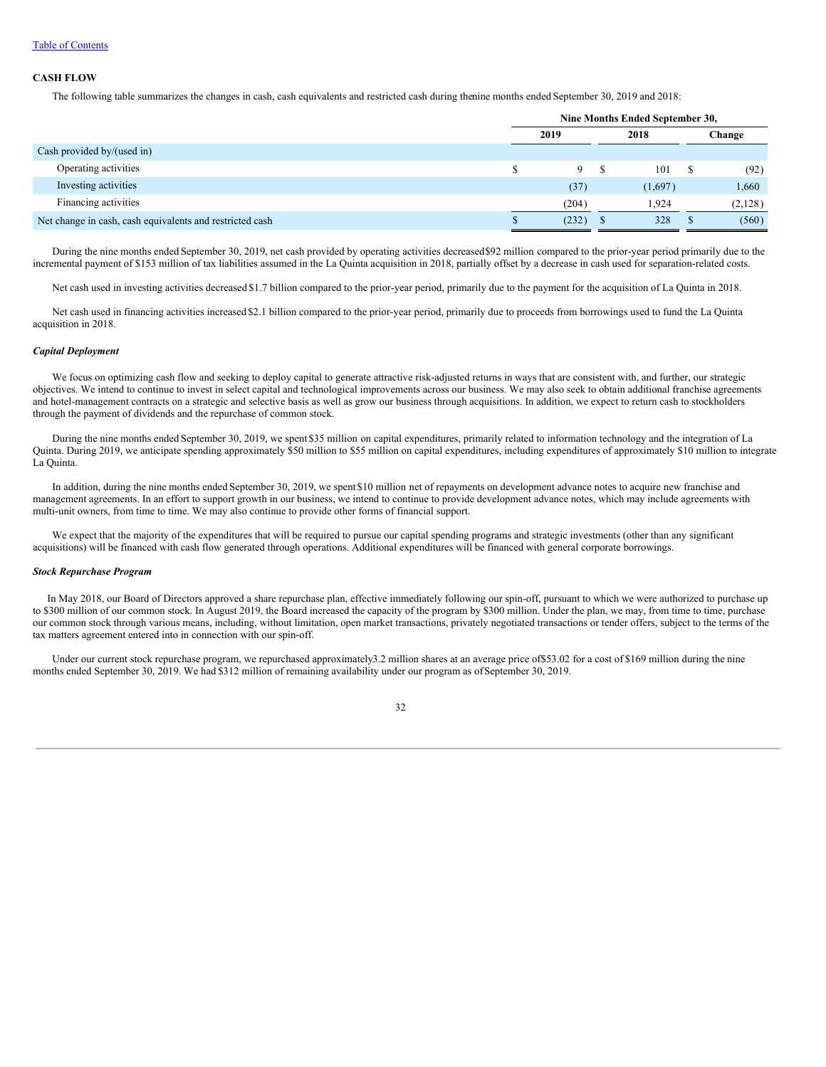#### Table of [Contents](#page-1-0)

#### **CASH FLOW**

The following table summarizes the changes in cash, cash equivalents and restricted cash during thenine months ended September 30, 2019 and 2018:

|                                                          | Nine Months Ended September 30, |      |         |  |         |  |
|----------------------------------------------------------|---------------------------------|------|---------|--|---------|--|
|                                                          | 2019                            | 2018 |         |  | Change  |  |
| Cash provided by/(used in)                               |                                 |      |         |  |         |  |
| Operating activities                                     | 9                               |      | 101     |  | (92)    |  |
| Investing activities                                     | (37)                            |      | (1,697) |  | 1,660   |  |
| Financing activities                                     | (204)                           |      | 1.924   |  | (2,128) |  |
| Net change in cash, cash equivalents and restricted cash | (232)                           |      | 328     |  | (560)   |  |

During the nine months ended September 30, 2019, net cash provided by operating activities decreased\$92 million compared to the prior-year period primarily due to the incremental payment of \$153 million of tax liabilities assumed in the La Quinta acquisition in 2018, partially offset by a decrease in cash used for separation-related costs.

Net cash used in investing activities decreased \$1.7 billion compared to the prior-year period, primarily due to the payment for the acquisition of La Quinta in 2018.

Net cash used in financing activities increased \$2.1 billion compared to the prior-year period, primarily due to proceeds from borrowings used to fund the La Quinta acquisition in 2018.

#### *Capital Deployment*

We focus on optimizing cash flow and seeking to deploy capital to generate attractive risk-adjusted returns in ways that are consistent with, and further, our strategic objectives. We intend to continue to invest in select capital and technological improvements across our business. We may also seek to obtain additional franchise agreements and hotel-management contracts on a strategic and selective basis as well as grow our business through acquisitions. In addition, we expect to return cash to stockholders through the payment of dividends and the repurchase of common stock.

During the nine months ended September 30, 2019, we spent \$35 million on capital expenditures, primarily related to information technology and the integration of La Quinta. During 2019, we anticipate spending approximately \$50 million to \$55 million on capital expenditures, including expenditures of approximately \$10 million to integrate La Quinta.

In addition, during the nine months ended September 30, 2019, we spent \$10 million net of repayments on development advance notes to acquire new franchise and management agreements. In an effort to support growth in our business, we intend to continue to provide development advance notes, which may include agreements with multi-unit owners, from time to time. We may also continue to provide other forms of financial support.

We expect that the majority of the expenditures that will be required to pursue our capital spending programs and strategic investments (other than any significant acquisitions) will be financed with cash flow generated through operations. Additional expenditures will be financed with general corporate borrowings.

#### *Stock Repurchase Program*

In May 2018, our Board of Directors approved a share repurchase plan, effective immediately following our spin-off, pursuant to which we were authorized to purchase up to \$300 million of our common stock. In August 2019, the Board increased the capacity of the program by \$300 million. Under the plan, we may, from time to time, purchase our common stock through various means, including, without limitation, open market transactions, privately negotiated transactions or tender offers, subject to the terms of the tax matters agreement entered into in connection with our spin-off.

Under our current stock repurchase program, we repurchased approximately3.2 million shares at an average price of\$53.02 for a cost of \$169 million during the nine months ended September 30, 2019. We had \$312 million of remaining availability under our program as ofSeptember 30, 2019.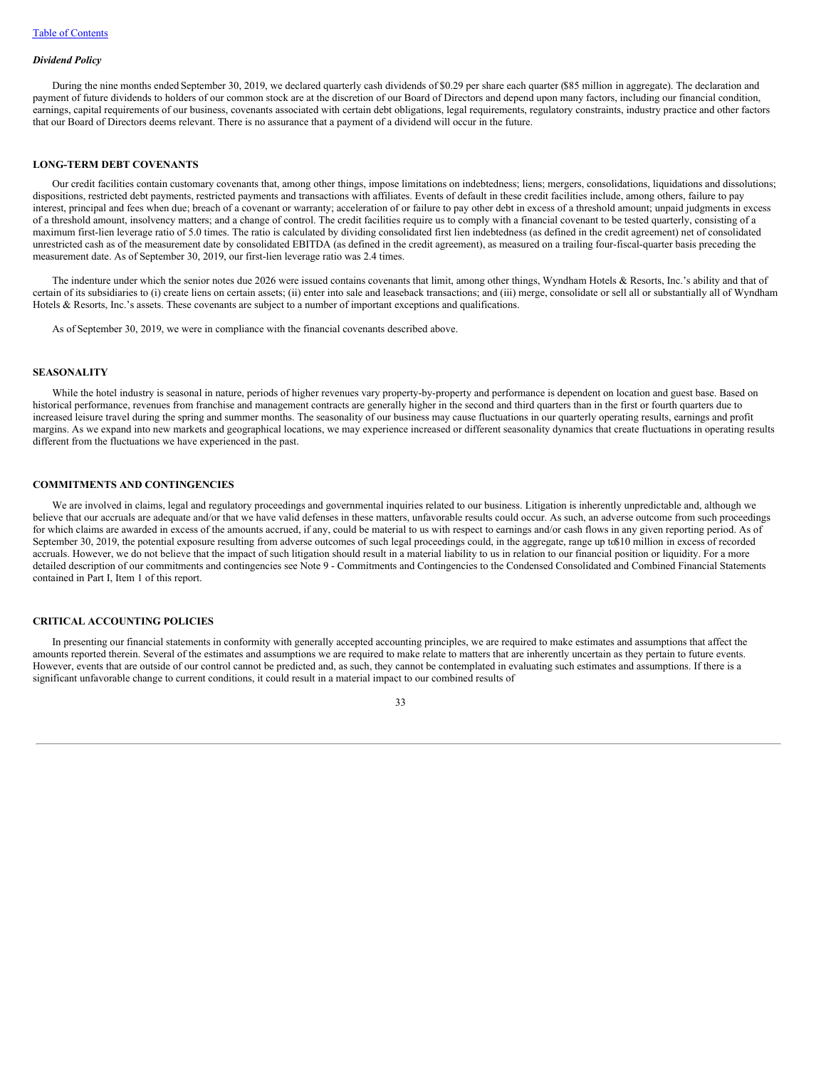### *Dividend Policy*

During the nine months ended September 30, 2019, we declared quarterly cash dividends of \$0.29 per share each quarter (\$85 million in aggregate). The declaration and payment of future dividends to holders of our common stock are at the discretion of our Board of Directors and depend upon many factors, including our financial condition, earnings, capital requirements of our business, covenants associated with certain debt obligations, legal requirements, regulatory constraints, industry practice and other factors that our Board of Directors deems relevant. There is no assurance that a payment of a dividend will occur in the future.

### **LONG-TERM DEBT COVENANTS**

Our credit facilities contain customary covenants that, among other things, impose limitations on indebtedness; liens; mergers, consolidations, liquidations and dissolutions; dispositions, restricted debt payments, restricted payments and transactions with affiliates. Events of default in these credit facilities include, among others, failure to pay interest, principal and fees when due; breach of a covenant or warranty; acceleration of or failure to pay other debt in excess of a threshold amount; unpaid judgments in excess of a threshold amount, insolvency matters; and a change of control. The credit facilities require us to comply with a financial covenant to be tested quarterly, consisting of a maximum first-lien leverage ratio of 5.0 times. The ratio is calculated by dividing consolidated first lien indebtedness (as defined in the credit agreement) net of consolidated unrestricted cash as of the measurement date by consolidated EBITDA (as defined in the credit agreement), as measured on a trailing four-fiscal-quarter basis preceding the measurement date. As of September 30, 2019, our first-lien leverage ratio was 2.4 times.

The indenture under which the senior notes due 2026 were issued contains covenants that limit, among other things, Wyndham Hotels & Resorts, Inc.'s ability and that of certain of its subsidiaries to (i) create liens on certain assets; (ii) enter into sale and leaseback transactions; and (iii) merge, consolidate or sell all or substantially all of Wyndham Hotels & Resorts, Inc.'s assets. These covenants are subject to a number of important exceptions and qualifications.

As of September 30, 2019, we were in compliance with the financial covenants described above.

#### **SEASONALITY**

While the hotel industry is seasonal in nature, periods of higher revenues vary property-by-property and performance is dependent on location and guest base. Based on historical performance, revenues from franchise and management contracts are generally higher in the second and third quarters than in the first or fourth quarters due to increased leisure travel during the spring and summer months. The seasonality of our business may cause fluctuations in our quarterly operating results, earnings and profit margins. As we expand into new markets and geographical locations, we may experience increased or different seasonality dynamics that create fluctuations in operating results different from the fluctuations we have experienced in the past.

### **COMMITMENTS AND CONTINGENCIES**

We are involved in claims, legal and regulatory proceedings and governmental inquiries related to our business. Litigation is inherently unpredictable and, although we believe that our accruals are adequate and/or that we have valid defenses in these matters, unfavorable results could occur. As such, an adverse outcome from such proceedings for which claims are awarded in excess of the amounts accrued, if any, could be material to us with respect to earnings and/or cash flows in any given reporting period. As of September 30, 2019, the potential exposure resulting from adverse outcomes of such legal proceedings could, in the aggregate, range up to\$10 million in excess of recorded accruals. However, we do not believe that the impact of such litigation should result in a material liability to us in relation to our financial position or liquidity. For a more detailed description of our commitments and contingencies see Note 9 - Commitments and Contingencies to the Condensed Consolidated and Combined Financial Statements contained in Part I, Item 1 of this report.

#### **CRITICAL ACCOUNTING POLICIES**

In presenting our financial statements in conformity with generally accepted accounting principles, we are required to make estimates and assumptions that affect the amounts reported therein. Several of the estimates and assumptions we are required to make relate to matters that are inherently uncertain as they pertain to future events. However, events that are outside of our control cannot be predicted and, as such, they cannot be contemplated in evaluating such estimates and assumptions. If there is a significant unfavorable change to current conditions, it could result in a material impact to our combined results of

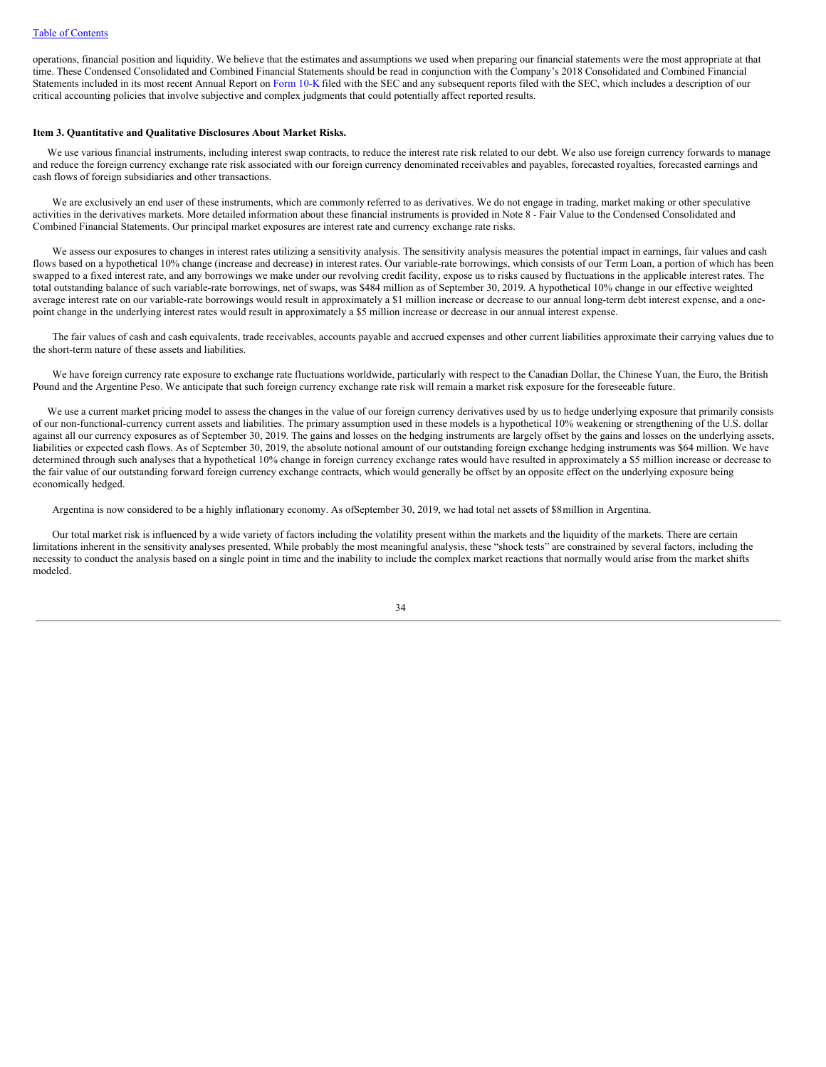operations, financial position and liquidity. We believe that the estimates and assumptions we used when preparing our financial statements were the most appropriate at that time. These Condensed Consolidated and Combined Financial Statements should be read in conjunction with the Company's 2018 Consolidated and Combined Financial Statements included in its most recent Annual Report on [Form](http://www.sec.gov/Archives/edgar/data/1722684/000172268419000008/wh-20181231x10k.htm) 10-K filed with the SEC and any subsequent reports filed with the SEC, which includes a description of our critical accounting policies that involve subjective and complex judgments that could potentially affect reported results.

### <span id="page-35-0"></span>**Item 3. Quantitative and Qualitative Disclosures About Market Risks.**

We use various financial instruments, including interest swap contracts, to reduce the interest rate risk related to our debt. We also use foreign currency forwards to manage and reduce the foreign currency exchange rate risk associated with our foreign currency denominated receivables and payables, forecasted royalties, forecasted earnings and cash flows of foreign subsidiaries and other transactions.

We are exclusively an end user of these instruments, which are commonly referred to as derivatives. We do not engage in trading, market making or other speculative activities in the derivatives markets. More detailed information about these financial instruments is provided in Note 8 - Fair Value to the Condensed Consolidated and Combined Financial Statements. Our principal market exposures are interest rate and currency exchange rate risks.

We assess our exposures to changes in interest rates utilizing a sensitivity analysis. The sensitivity analysis measures the potential impact in earnings, fair values and cash flows based on a hypothetical 10% change (increase and decrease) in interest rates. Our variable-rate borrowings, which consists of our Term Loan, a portion of which has been swapped to a fixed interest rate, and any borrowings we make under our revolving credit facility, expose us to risks caused by fluctuations in the applicable interest rates. The total outstanding balance of such variable-rate borrowings, net of swaps, was \$484 million as of September 30, 2019. A hypothetical 10% change in our effective weighted average interest rate on our variable-rate borrowings would result in approximately a \$1 million increase or decrease to our annual long-term debt interest expense, and a onepoint change in the underlying interest rates would result in approximately a \$5 million increase or decrease in our annual interest expense.

The fair values of cash and cash equivalents, trade receivables, accounts payable and accrued expenses and other current liabilities approximate their carrying values due to the short-term nature of these assets and liabilities.

We have foreign currency rate exposure to exchange rate fluctuations worldwide, particularly with respect to the Canadian Dollar, the Chinese Yuan, the Euro, the British Pound and the Argentine Peso. We anticipate that such foreign currency exchange rate risk will remain a market risk exposure for the foreseeable future.

We use a current market pricing model to assess the changes in the value of our foreign currency derivatives used by us to hedge underlying exposure that primarily consists of our non-functional-currency current assets and liabilities. The primary assumption used in these models is a hypothetical 10% weakening or strengthening of the U.S. dollar against all our currency exposures as of September 30, 2019. The gains and losses on the hedging instruments are largely offset by the gains and losses on the underlying assets, liabilities or expected cash flows. As of September 30, 2019, the absolute notional amount of our outstanding foreign exchange hedging instruments was \$64 million. We have determined through such analyses that a hypothetical 10% change in foreign currency exchange rates would have resulted in approximately a \$5 million increase or decrease to the fair value of our outstanding forward foreign currency exchange contracts, which would generally be offset by an opposite effect on the underlying exposure being economically hedged.

Argentina is now considered to be a highly inflationary economy. As ofSeptember 30, 2019, we had total net assets of \$8million in Argentina.

Our total market risk is influenced by a wide variety of factors including the volatility present within the markets and the liquidity of the markets. There are certain limitations inherent in the sensitivity analyses presented. While probably the most meaningful analysis, these "shock tests" are constrained by several factors, including the necessity to conduct the analysis based on a single point in time and the inability to include the complex market reactions that normally would arise from the market shifts modeled.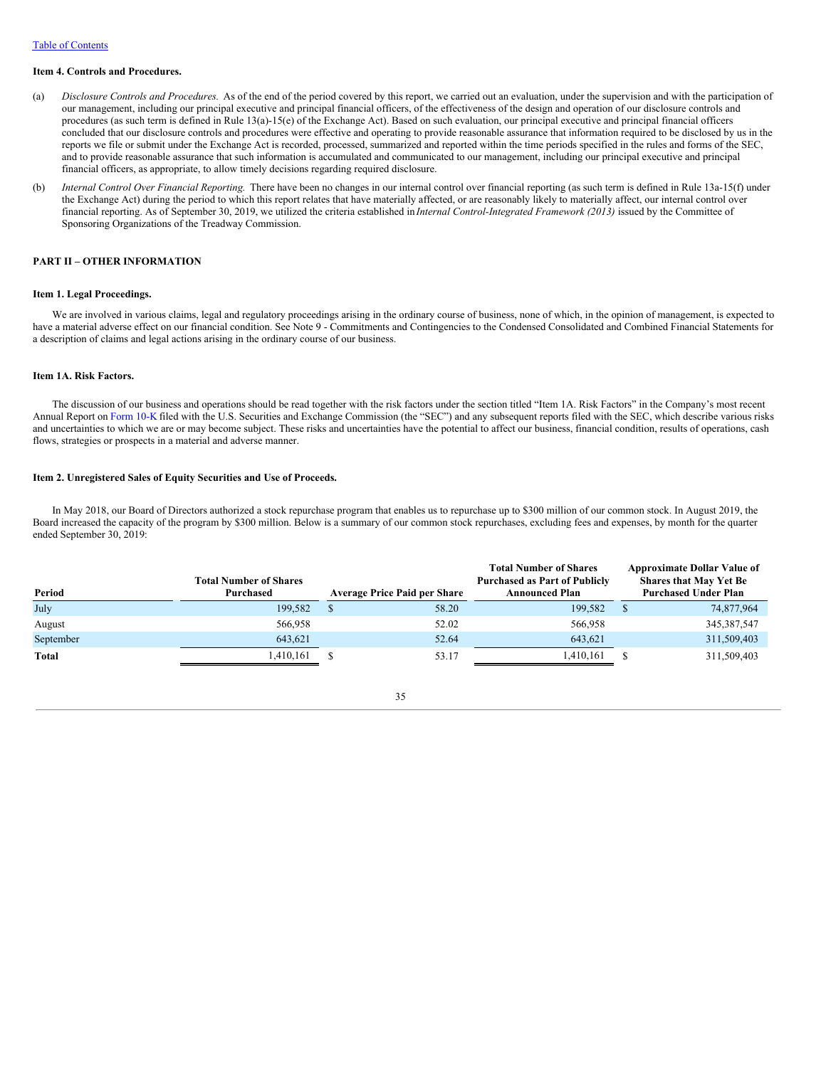#### <span id="page-36-0"></span>**Item 4. Controls and Procedures.**

- (a) *Disclosure Controls and Procedures*. As of the end of the period covered by this report, we carried out an evaluation, under the supervision and with the participation of our management, including our principal executive and principal financial officers, of the effectiveness of the design and operation of our disclosure controls and procedures (as such term is defined in Rule 13(a)-15(e) of the Exchange Act). Based on such evaluation, our principal executive and principal financial officers concluded that our disclosure controls and procedures were effective and operating to provide reasonable assurance that information required to be disclosed by us in the reports we file or submit under the Exchange Act is recorded, processed, summarized and reported within the time periods specified in the rules and forms of the SEC, and to provide reasonable assurance that such information is accumulated and communicated to our management, including our principal executive and principal financial officers, as appropriate, to allow timely decisions regarding required disclosure.
- (b) *Internal Control Over Financial Reporting.* There have been no changes in our internal control over financial reporting (as such term is defined in Rule 13a-15(f) under the Exchange Act) during the period to which this report relates that have materially affected, or are reasonably likely to materially affect, our internal control over financial reporting. As of September 30, 2019, we utilized the criteria established in *Internal Control-Integrated Framework (2013)* issued by the Committee of Sponsoring Organizations of the Treadway Commission.

### <span id="page-36-1"></span>**PART II – OTHER INFORMATION**

### **Item 1. Legal Proceedings.**

We are involved in various claims, legal and regulatory proceedings arising in the ordinary course of business, none of which, in the opinion of management, is expected to have a material adverse effect on our financial condition. See Note 9 - Commitments and Contingencies to the Condensed Consolidated and Combined Financial Statements for a description of claims and legal actions arising in the ordinary course of our business.

### <span id="page-36-2"></span>**Item 1A. Risk Factors.**

The discussion of our business and operations should be read together with the risk factors under the section titled "Item 1A. Risk Factors" in the Company's most recent Annual Report on [Form](http://www.sec.gov/Archives/edgar/data/1722684/000172268419000008/wh-20181231x10k.htm) 10-K filed with the U.S. Securities and Exchange Commission (the "SEC") and any subsequent reports filed with the SEC, which describe various risks and uncertainties to which we are or may become subject. These risks and uncertainties have the potential to affect our business, financial condition, results of operations, cash flows, strategies or prospects in a material and adverse manner.

### <span id="page-36-3"></span>**Item 2. Unregistered Sales of Equity Securities and Use of Proceeds.**

In May 2018, our Board of Directors authorized a stock repurchase program that enables us to repurchase up to \$300 million of our common stock. In August 2019, the Board increased the capacity of the program by \$300 million. Below is a summary of our common stock repurchases, excluding fees and expenses, by month for the quarter ended September 30, 2019:

| Period       | <b>Total Number of Shares</b><br>Purchased | <b>Average Price Paid per Share</b> | <b>Total Number of Shares</b><br><b>Purchased as Part of Publicly</b><br><b>Announced Plan</b> | <b>Approximate Dollar Value of</b><br><b>Shares that May Yet Be</b><br><b>Purchased Under Plan</b> |
|--------------|--------------------------------------------|-------------------------------------|------------------------------------------------------------------------------------------------|----------------------------------------------------------------------------------------------------|
| July         | 199,582                                    | 58.20                               | 199.582                                                                                        | 74,877,964                                                                                         |
| August       | 566,958                                    | 52.02                               | 566,958                                                                                        | 345, 387, 547                                                                                      |
| September    | 643.621                                    | 52.64                               | 643.621                                                                                        | 311,509,403                                                                                        |
| <b>Total</b> | 1,410,161                                  | 53.17                               | 1,410,161                                                                                      | 311,509,403                                                                                        |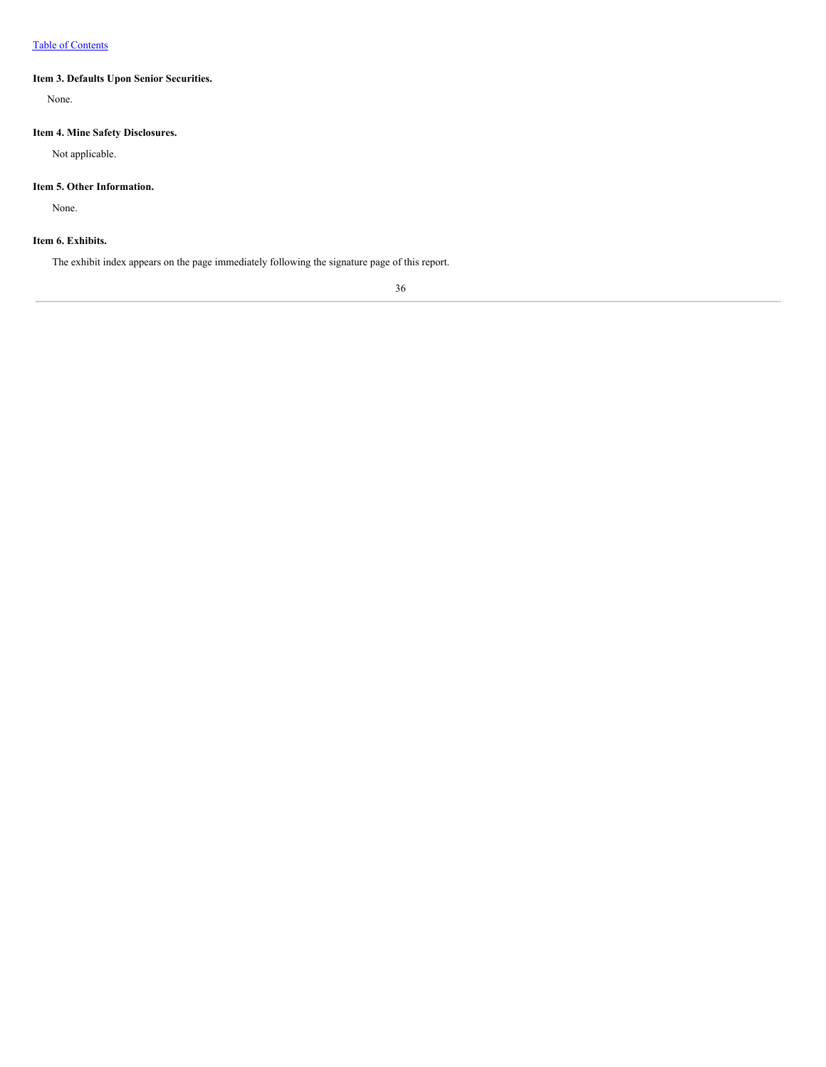### <span id="page-37-0"></span>**Item 3. Defaults Upon Senior Securities.**

<span id="page-37-1"></span>None.

# **Item 4. Mine Safety Disclosures.**

Not applicable.

## <span id="page-37-2"></span>**Item 5. Other Information.**

None.

## <span id="page-37-3"></span>**Item 6. Exhibits.**

The exhibit index appears on the page immediately following the signature page of this report.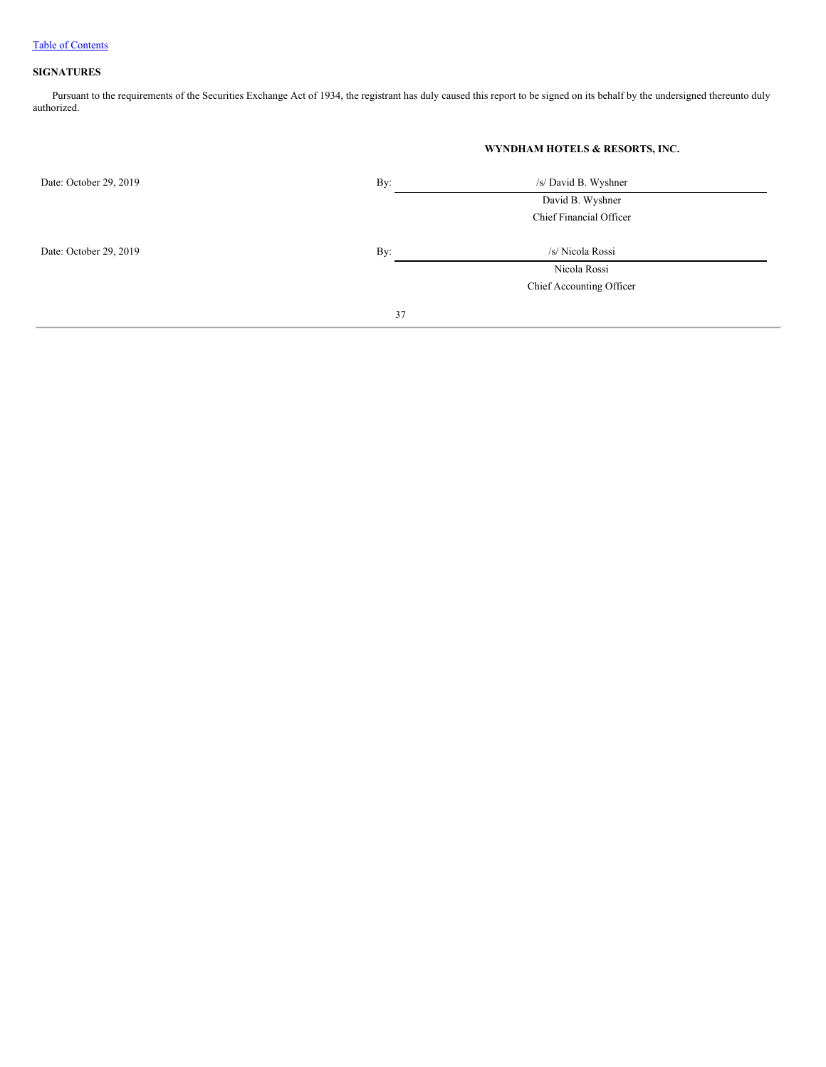### <span id="page-38-0"></span>**SIGNATURES**

Pursuant to the requirements of the Securities Exchange Act of 1934, the registrant has duly caused this report to be signed on its behalf by the undersigned thereunto duly authorized.

|                        |     | WYNDHAM HOTELS & RESORTS, INC. |  |
|------------------------|-----|--------------------------------|--|
| Date: October 29, 2019 | By: | /s/ David B. Wyshner           |  |
|                        |     | David B. Wyshner               |  |
|                        |     | Chief Financial Officer        |  |
| Date: October 29, 2019 | By: | /s/ Nicola Rossi               |  |
|                        |     | Nicola Rossi                   |  |
|                        |     | Chief Accounting Officer       |  |
|                        | 37  |                                |  |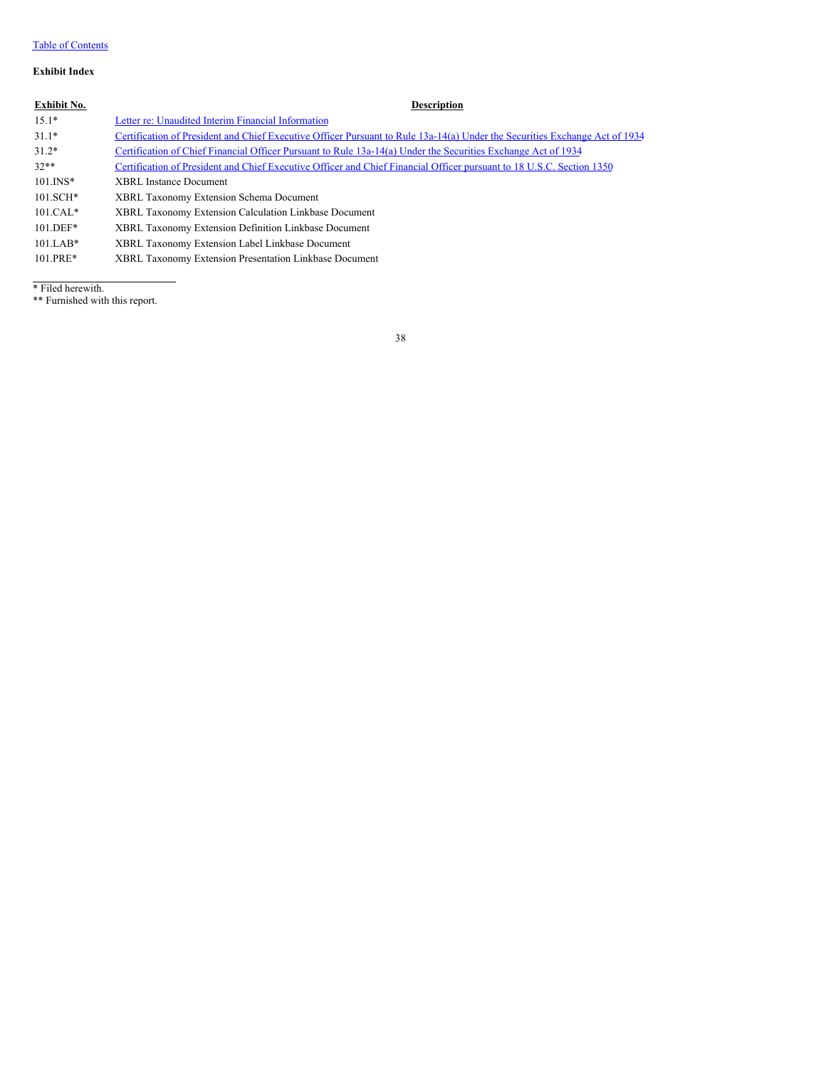# Table of [Contents](#page-1-0)

### **Exhibit Index**

# **Exhibit No. Description**

| $15.1*$     | Letter re: Unaudited Interim Financial Information                                                                          |
|-------------|-----------------------------------------------------------------------------------------------------------------------------|
| $31.1*$     | Certification of President and Chief Executive Officer Pursuant to Rule 13a-14(a) Under the Securities Exchange Act of 1934 |
| $31.2*$     | Certification of Chief Financial Officer Pursuant to Rule 13a-14(a) Under the Securities Exchange Act of 1934               |
| $32**$      | Certification of President and Chief Executive Officer and Chief Financial Officer pursuant to 18 U.S.C. Section 1350       |
| $101.$ INS* | <b>XBRL Instance Document</b>                                                                                               |
| $101.SCH*$  | <b>XBRL Taxonomy Extension Schema Document</b>                                                                              |
| $101.CAL*$  | XBRL Taxonomy Extension Calculation Linkbase Document                                                                       |
| $101.$ DEF* | XBRL Taxonomy Extension Definition Linkbase Document                                                                        |
| $101.LAB*$  | XBRL Taxonomy Extension Label Linkbase Document                                                                             |
| $101.PRE*$  | XBRL Taxonomy Extension Presentation Linkbase Document                                                                      |

\* Filed herewith.

\*\* Furnished with this report.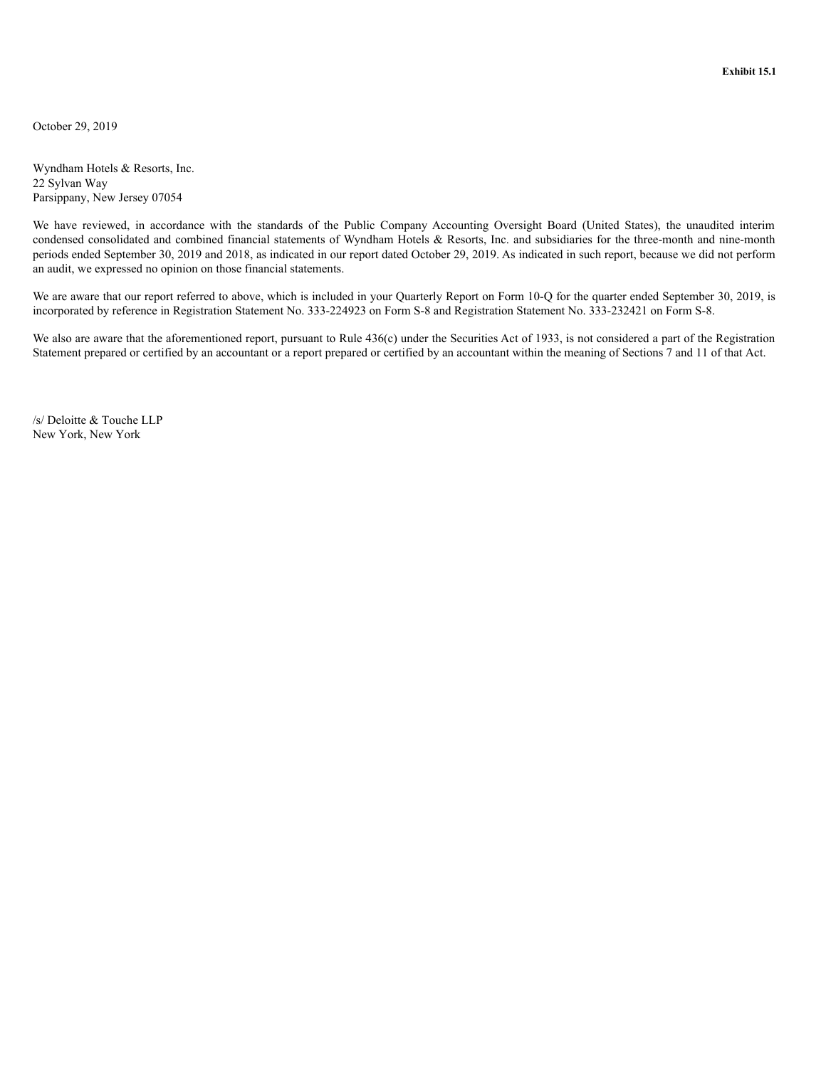<span id="page-40-0"></span>October 29, 2019

Wyndham Hotels & Resorts, Inc. 22 Sylvan Way Parsippany, New Jersey 07054

We have reviewed, in accordance with the standards of the Public Company Accounting Oversight Board (United States), the unaudited interim condensed consolidated and combined financial statements of Wyndham Hotels & Resorts, Inc. and subsidiaries for the three-month and nine-month periods ended September 30, 2019 and 2018, as indicated in our report dated October 29, 2019. As indicated in such report, because we did not perform an audit, we expressed no opinion on those financial statements.

We are aware that our report referred to above, which is included in your Quarterly Report on Form 10-Q for the quarter ended September 30, 2019, is incorporated by reference in Registration Statement No. 333-224923 on Form S-8 and Registration Statement No. 333-232421 on Form S-8.

We also are aware that the aforementioned report, pursuant to Rule 436(c) under the Securities Act of 1933, is not considered a part of the Registration Statement prepared or certified by an accountant or a report prepared or certified by an accountant within the meaning of Sections 7 and 11 of that Act.

/s/ Deloitte & Touche LLP New York, New York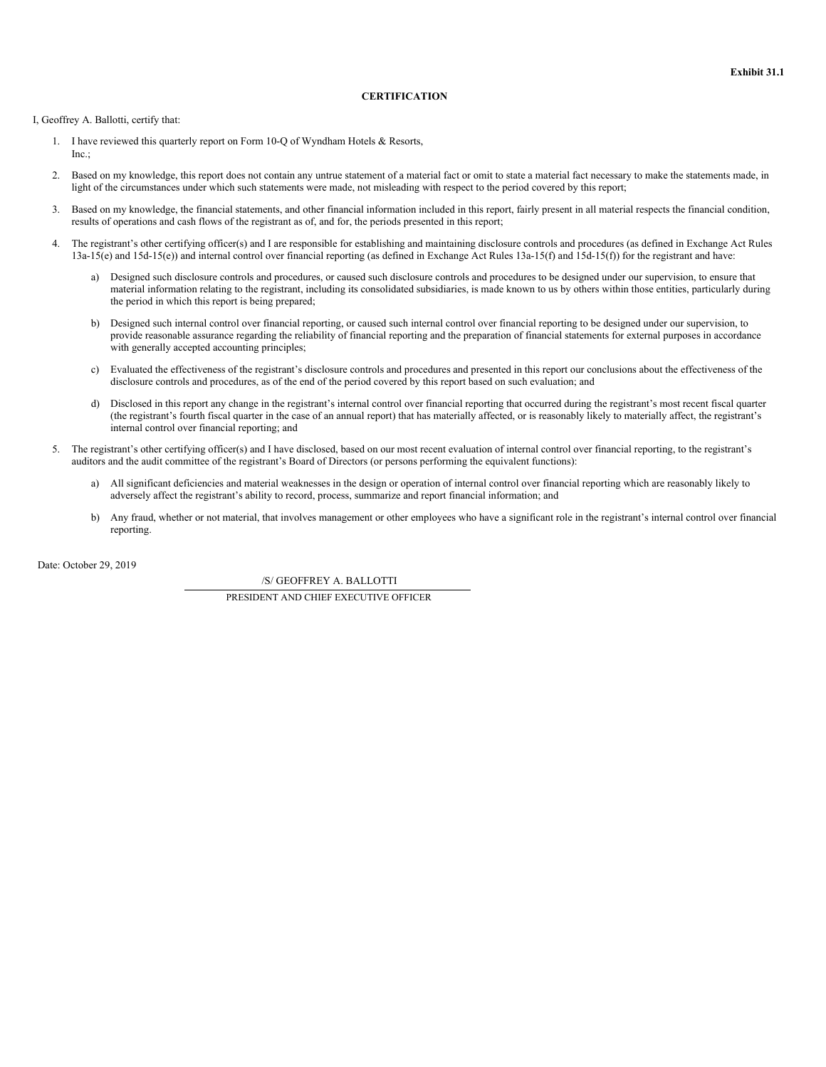### **CERTIFICATION**

<span id="page-41-0"></span>I, Geoffrey A. Ballotti, certify that:

- 1. I have reviewed this quarterly report on Form 10-Q of Wyndham Hotels & Resorts, Inc.;
- 2. Based on my knowledge, this report does not contain any untrue statement of a material fact or omit to state a material fact necessary to make the statements made, in light of the circumstances under which such statements were made, not misleading with respect to the period covered by this report;
- 3. Based on my knowledge, the financial statements, and other financial information included in this report, fairly present in all material respects the financial condition, results of operations and cash flows of the registrant as of, and for, the periods presented in this report;
- 4. The registrant's other certifying officer(s) and I are responsible for establishing and maintaining disclosure controls and procedures (as defined in Exchange Act Rules  $13a-15(e)$  and  $15d-15(e)$ ) and internal control over financial reporting (as defined in Exchange Act Rules  $13a-15(f)$  and  $15d-15(f)$ ) for the registrant and have:
	- a) Designed such disclosure controls and procedures, or caused such disclosure controls and procedures to be designed under our supervision, to ensure that material information relating to the registrant, including its consolidated subsidiaries, is made known to us by others within those entities, particularly during the period in which this report is being prepared;
	- b) Designed such internal control over financial reporting, or caused such internal control over financial reporting to be designed under our supervision, to provide reasonable assurance regarding the reliability of financial reporting and the preparation of financial statements for external purposes in accordance with generally accepted accounting principles;
	- c) Evaluated the effectiveness of the registrant's disclosure controls and procedures and presented in this report our conclusions about the effectiveness of the disclosure controls and procedures, as of the end of the period covered by this report based on such evaluation; and
	- d) Disclosed in this report any change in the registrant's internal control over financial reporting that occurred during the registrant's most recent fiscal quarter (the registrant's fourth fiscal quarter in the case of an annual report) that has materially affected, or is reasonably likely to materially affect, the registrant's internal control over financial reporting; and
- 5. The registrant's other certifying officer(s) and I have disclosed, based on our most recent evaluation of internal control over financial reporting, to the registrant's auditors and the audit committee of the registrant's Board of Directors (or persons performing the equivalent functions):
	- a) All significant deficiencies and material weaknesses in the design or operation of internal control over financial reporting which are reasonably likely to adversely affect the registrant's ability to record, process, summarize and report financial information; and
	- b) Any fraud, whether or not material, that involves management or other employees who have a significant role in the registrant's internal control over financial reporting.

Date: October 29, 2019

/S/ GEOFFREY A. BALLOTTI

PRESIDENT AND CHIEF EXECUTIVE OFFICER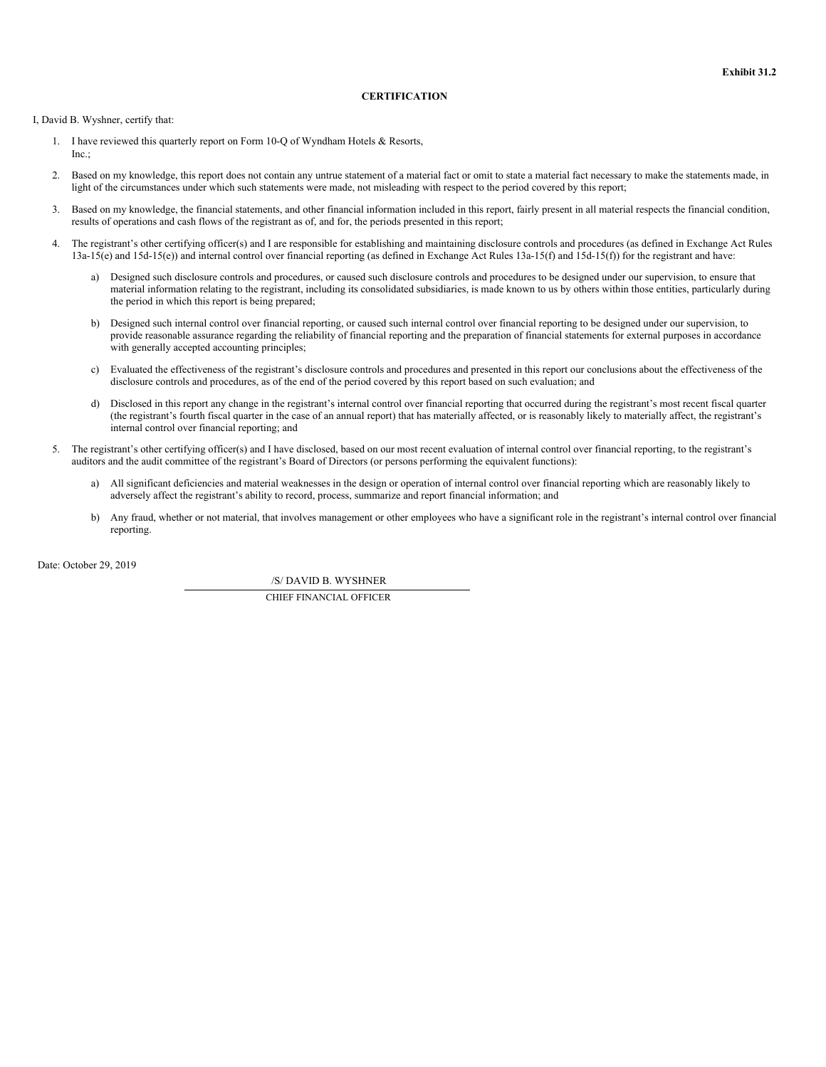### **CERTIFICATION**

<span id="page-42-0"></span>I, David B. Wyshner, certify that:

- 1. I have reviewed this quarterly report on Form 10-Q of Wyndham Hotels & Resorts, Inc.;
- 2. Based on my knowledge, this report does not contain any untrue statement of a material fact or omit to state a material fact necessary to make the statements made, in light of the circumstances under which such statements were made, not misleading with respect to the period covered by this report;
- 3. Based on my knowledge, the financial statements, and other financial information included in this report, fairly present in all material respects the financial condition, results of operations and cash flows of the registrant as of, and for, the periods presented in this report;
- 4. The registrant's other certifying officer(s) and I are responsible for establishing and maintaining disclosure controls and procedures (as defined in Exchange Act Rules  $13a-15(e)$  and  $15d-15(e)$ ) and internal control over financial reporting (as defined in Exchange Act Rules  $13a-15(f)$  and  $15d-15(f)$ ) for the registrant and have:
	- a) Designed such disclosure controls and procedures, or caused such disclosure controls and procedures to be designed under our supervision, to ensure that material information relating to the registrant, including its consolidated subsidiaries, is made known to us by others within those entities, particularly during the period in which this report is being prepared;
	- b) Designed such internal control over financial reporting, or caused such internal control over financial reporting to be designed under our supervision, to provide reasonable assurance regarding the reliability of financial reporting and the preparation of financial statements for external purposes in accordance with generally accepted accounting principles;
	- c) Evaluated the effectiveness of the registrant's disclosure controls and procedures and presented in this report our conclusions about the effectiveness of the disclosure controls and procedures, as of the end of the period covered by this report based on such evaluation; and
	- d) Disclosed in this report any change in the registrant's internal control over financial reporting that occurred during the registrant's most recent fiscal quarter (the registrant's fourth fiscal quarter in the case of an annual report) that has materially affected, or is reasonably likely to materially affect, the registrant's internal control over financial reporting; and
- 5. The registrant's other certifying officer(s) and I have disclosed, based on our most recent evaluation of internal control over financial reporting, to the registrant's auditors and the audit committee of the registrant's Board of Directors (or persons performing the equivalent functions):
	- a) All significant deficiencies and material weaknesses in the design or operation of internal control over financial reporting which are reasonably likely to adversely affect the registrant's ability to record, process, summarize and report financial information; and
	- b) Any fraud, whether or not material, that involves management or other employees who have a significant role in the registrant's internal control over financial reporting.

Date: October 29, 2019

/S/ DAVID B. WYSHNER

CHIEF FINANCIAL OFFICER